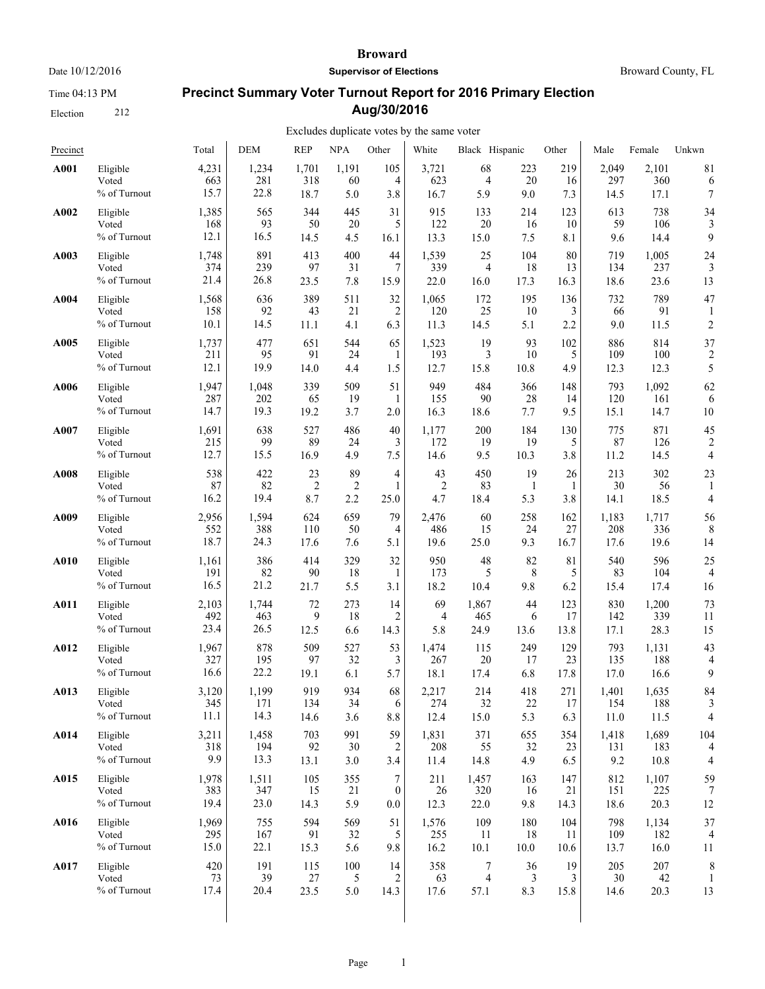Time 04:13 PM

Election 212

#### **Broward**

**Supervisor of Elections**

Broward County, FL

# **Precinct Summary Voter Turnout Report for 2016 Primary Election Aug/30/2016**

| Precinct |              | Total | <b>DEM</b> | <b>REP</b>     | <b>NPA</b>     | Other            | White          | Black Hispanic |      | Other | Male  | Female | Unkwn          |
|----------|--------------|-------|------------|----------------|----------------|------------------|----------------|----------------|------|-------|-------|--------|----------------|
| A001     | Eligible     | 4,231 | 1,234      | 1,701          | 1,191          | 105              | 3,721          | 68             | 223  | 219   | 2,049 | 2,101  | 81             |
|          | Voted        | 663   | 281        | 318            | 60             | 4                | 623            | 4              | 20   | 16    | 297   | 360    | 6              |
|          | % of Turnout | 15.7  | 22.8       | 18.7           | 5.0            | 3.8              | 16.7           | 5.9            | 9.0  | 7.3   | 14.5  | 17.1   | 7              |
| A002     | Eligible     | 1,385 | 565        | 344            | 445            | 31               | 915            | 133            | 214  | 123   | 613   | 738    | 34             |
|          | Voted        | 168   | 93         | 50             | 20             | 5                | 122            | 20             | 16   | 10    | 59    | 106    | 3              |
|          | % of Turnout | 12.1  | 16.5       | 14.5           | 4.5            | 16.1             | 13.3           | 15.0           | 7.5  | 8.1   | 9.6   | 14.4   | 9              |
| A003     | Eligible     | 1,748 | 891        | 413            | 400            | 44               | 1,539          | 25             | 104  | 80    | 719   | 1,005  | 24             |
|          | Voted        | 374   | 239        | 97             | 31             | 7                | 339            | 4              | 18   | 13    | 134   | 237    | 3              |
|          | % of Turnout | 21.4  | 26.8       | 23.5           | 7.8            | 15.9             | 22.0           | 16.0           | 17.3 | 16.3  | 18.6  | 23.6   | 13             |
| A004     | Eligible     | 1,568 | 636        | 389            | 511            | 32               | 1,065          | 172            | 195  | 136   | 732   | 789    | 47             |
|          | Voted        | 158   | 92         | 43             | 21             | 2                | 120            | 25             | 10   | 3     | 66    | 91     | 1              |
|          | % of Turnout | 10.1  | 14.5       | 11.1           | 4.1            | 6.3              | 11.3           | 14.5           | 5.1  | 2.2   | 9.0   | 11.5   | $\overline{c}$ |
| A005     | Eligible     | 1,737 | 477        | 651            | 544            | 65               | 1,523          | 19             | 93   | 102   | 886   | 814    | 37             |
|          | Voted        | 211   | 95         | 91             | 24             | 1                | 193            | 3              | 10   | 5     | 109   | 100    | $\overline{2}$ |
|          | % of Turnout | 12.1  | 19.9       | 14.0           | 4.4            | 1.5              | 12.7           | 15.8           | 10.8 | 4.9   | 12.3  | 12.3   | 5              |
| A006     | Eligible     | 1,947 | 1,048      | 339            | 509            | 51               | 949            | 484            | 366  | 148   | 793   | 1,092  | 62             |
|          | Voted        | 287   | 202        | 65             | 19             | -1               | 155            | 90             | 28   | 14    | 120   | 161    | 6              |
|          | % of Turnout | 14.7  | 19.3       | 19.2           | 3.7            | 2.0              | 16.3           | 18.6           | 7.7  | 9.5   | 15.1  | 14.7   | 10             |
| A007     | Eligible     | 1,691 | 638        | 527            | 486            | 40               | 1,177          | 200            | 184  | 130   | 775   | 871    | 45             |
|          | Voted        | 215   | 99         | 89             | 24             | 3                | 172            | 19             | 19   | 5     | 87    | 126    | 2              |
|          | % of Turnout | 12.7  | 15.5       | 16.9           | 4.9            | 7.5              | 14.6           | 9.5            | 10.3 | 3.8   | 11.2  | 14.5   | 4              |
| A008     | Eligible     | 538   | 422        | 23             | 89             | 4                | 43             | 450            | 19   | 26    | 213   | 302    | 23             |
|          | Voted        | 87    | 82         | $\overline{2}$ | $\overline{c}$ | 1                | $\overline{2}$ | 83             | 1    | 1     | 30    | 56     | 1              |
|          | % of Turnout | 16.2  | 19.4       | 8.7            | 2.2            | 25.0             | 4.7            | 18.4           | 5.3  | 3.8   | 14.1  | 18.5   | 4              |
| A009     | Eligible     | 2,956 | 1,594      | 624            | 659            | 79               | 2,476          | 60             | 258  | 162   | 1,183 | 1,717  | 56             |
|          | Voted        | 552   | 388        | 110            | 50             | 4                | 486            | 15             | 24   | 27    | 208   | 336    | 8              |
|          | % of Turnout | 18.7  | 24.3       | 17.6           | 7.6            | 5.1              | 19.6           | 25.0           | 9.3  | 16.7  | 17.6  | 19.6   | 14             |
| A010     | Eligible     | 1,161 | 386        | 414            | 329            | 32               | 950            | 48             | 82   | 81    | 540   | 596    | 25             |
|          | Voted        | 191   | 82         | 90             | 18             | $\mathbf{1}$     | 173            | 5              | 8    | 5     | 83    | 104    | 4              |
|          | % of Turnout | 16.5  | 21.2       | 21.7           | 5.5            | 3.1              | 18.2           | 10.4           | 9.8  | 6.2   | 15.4  | 17.4   | 16             |
| A011     | Eligible     | 2,103 | 1,744      | 72             | 273            | 14               | 69             | 1,867          | 44   | 123   | 830   | 1,200  | 73             |
|          | Voted        | 492   | 463        | 9              | 18             | $\overline{2}$   | 4              | 465            | 6    | 17    | 142   | 339    | 11             |
|          | % of Turnout | 23.4  | 26.5       | 12.5           | 6.6            | 14.3             | 5.8            | 24.9           | 13.6 | 13.8  | 17.1  | 28.3   | 15             |
| A012     | Eligible     | 1,967 | 878        | 509            | 527            | 53               | 1,474          | 115            | 249  | 129   | 793   | 1,131  | 43             |
|          | Voted        | 327   | 195        | 97             | 32             | 3                | 267            | 20             | 17   | 23    | 135   | 188    | 4              |
|          | % of Turnout | 16.6  | 22.2       | 19.1           | 6.1            | 5.7              | 18.1           | 17.4           | 6.8  | 17.8  | 17.0  | 16.6   | 9              |
| A013     | Eligible     | 3,120 | 1,199      | 919            | 934            | 68               | 2,217          | 214            | 418  | 271   | 1,401 | 1,635  | 84             |
|          | Voted        | 345   | 171        | 134            | 34             | 6                | 274            | 32             | 22   | 17    | 154   | 188    | 3              |
|          | % of Turnout | 11.1  | 14.3       | 14.6           | 3.6            | 8.8              | 12.4           | 15.0           | 5.3  | 6.3   | 11.0  | 11.5   | 4              |
| A014     | Eligible     | 3,211 | 1,458      | 703            | 991            | 59               | 1,831          | 371            | 655  | 354   | 1,418 | 1,689  | 104            |
|          | Voted        | 318   | 194        | 92             | 30             | 2                | 208            | 55             | 32   | 23    | 131   | 183    | 4              |
|          | % of Turnout | 9.9   | 13.3       | 13.1           | 3.0            | 3.4              | 11.4           | 14.8           | 4.9  | 6.5   | 9.2   | 10.8   | 4              |
| A015     | Eligible     | 1,978 | 1,511      | 105            | 355            | 7                | 211            | 1,457          | 163  | 147   | 812   | 1,107  | 59             |
|          | Voted        | 383   | 347        | 15             | 21             | $\boldsymbol{0}$ | 26             | 320            | 16   | 21    | 151   | 225    | 7              |
|          | % of Turnout | 19.4  | 23.0       | 14.3           | 5.9            | 0.0              | 12.3           | 22.0           | 9.8  | 14.3  | 18.6  | 20.3   | 12             |
| A016     | Eligible     | 1,969 | 755        | 594            | 569            | 51               | 1,576          | 109            | 180  | 104   | 798   | 1,134  | 37             |
|          | Voted        | 295   | 167        | 91             | 32             | 5                | 255            | 11             | 18   | 11    | 109   | 182    | 4              |
|          | % of Turnout | 15.0  | 22.1       | 15.3           | 5.6            | 9.8              | 16.2           | 10.1           | 10.0 | 10.6  | 13.7  | 16.0   | 11             |
| A017     | Eligible     | 420   | 191        | 115            | 100            | 14               | 358            | 7              | 36   | 19    | 205   | 207    | 8              |
|          | Voted        | 73    | 39         | $27\,$         | 5              | 2                | 63             | 4              | 3    | 3     | 30    | 42     | 1              |
|          | % of Turnout | 17.4  | 20.4       | 23.5           | 5.0            | 14.3             | 17.6           | 57.1           | 8.3  | 15.8  | 14.6  | 20.3   | 13             |
|          |              |       |            |                |                |                  |                |                |      |       |       |        |                |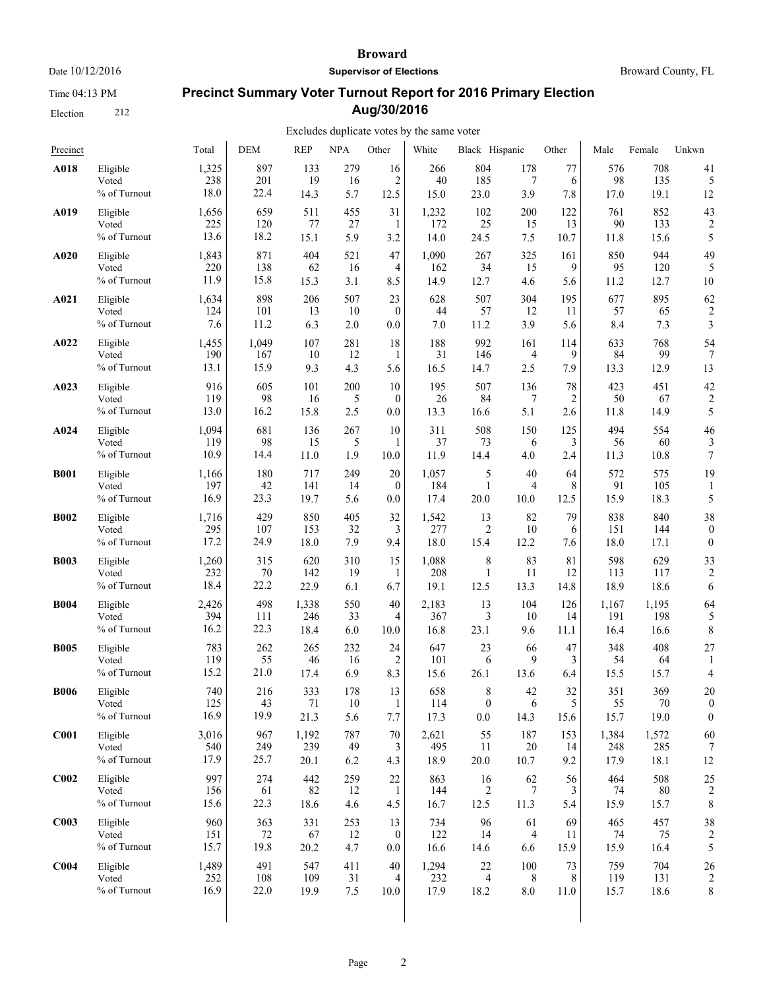Time 04:13 PM

Election 212

#### **Broward**

**Supervisor of Elections**

Broward County, FL

# **Precinct Summary Voter Turnout Report for 2016 Primary Election Aug/30/2016**

| Precinct         |                                      | Total                | <b>DEM</b>         | <b>REP</b>           | <b>NPA</b>       | Other                 | White                | Black Hispanic               |                   | Other            | Male                 | Female               | Unkwn                      |
|------------------|--------------------------------------|----------------------|--------------------|----------------------|------------------|-----------------------|----------------------|------------------------------|-------------------|------------------|----------------------|----------------------|----------------------------|
| A018             | Eligible                             | 1,325                | 897                | 133                  | 279              | 16                    | 266                  | 804                          | 178               | 77               | 576                  | 708                  | 41                         |
|                  | Voted                                | 238                  | 201                | 19                   | 16               | $\overline{2}$        | 40                   | 185                          | 7                 | 6                | 98                   | 135                  | 5                          |
|                  | % of Turnout                         | 18.0                 | 22.4               | 14.3                 | 5.7              | 12.5                  | 15.0                 | 23.0                         | 3.9               | 7.8              | 17.0                 | 19.1                 | 12                         |
| A019             | Eligible                             | 1,656                | 659                | 511                  | 455              | 31                    | 1,232                | 102                          | 200               | 122              | 761                  | 852                  | 43                         |
|                  | Voted                                | 225                  | 120                | 77                   | 27               | -1                    | 172                  | 25                           | 15                | 13               | 90                   | 133                  | $\overline{c}$             |
|                  | % of Turnout                         | 13.6                 | 18.2               | 15.1                 | 5.9              | 3.2                   | 14.0                 | 24.5                         | 7.5               | 10.7             | 11.8                 | 15.6                 | 5                          |
| A020             | Eligible                             | 1,843                | 871                | 404                  | 521              | 47                    | 1,090                | 267                          | 325               | 161              | 850                  | 944                  | 49                         |
|                  | Voted                                | 220                  | 138                | 62                   | 16               | 4                     | 162                  | 34                           | 15                | 9                | 95                   | 120                  | 5                          |
|                  | % of Turnout                         | 11.9                 | 15.8               | 15.3                 | 3.1              | 8.5                   | 14.9                 | 12.7                         | 4.6               | 5.6              | 11.2                 | 12.7                 | 10                         |
| A021             | Eligible                             | 1,634                | 898                | 206                  | 507              | 23                    | 628                  | 507                          | 304               | 195              | 677                  | 895                  | 62                         |
|                  | Voted                                | 124                  | 101                | 13                   | 10               | $\mathbf{0}$          | 44                   | 57                           | 12                | 11               | 57                   | 65                   | 2                          |
|                  | % of Turnout                         | 7.6                  | 11.2               | 6.3                  | 2.0              | 0.0                   | 7.0                  | 11.2                         | 3.9               | 5.6              | 8.4                  | 7.3                  | 3                          |
| A022             | Eligible                             | 1,455                | 1,049              | 107                  | 281              | 18                    | 188                  | 992                          | 161               | 114              | 633                  | 768                  | 54                         |
|                  | Voted                                | 190                  | 167                | 10                   | 12               | 1                     | 31                   | 146                          | 4                 | 9                | 84                   | 99                   | $\overline{7}$             |
|                  | % of Turnout                         | 13.1                 | 15.9               | 9.3                  | 4.3              | 5.6                   | 16.5                 | 14.7                         | 2.5               | 7.9              | 13.3                 | 12.9                 | 13                         |
| A023             | Eligible                             | 916                  | 605                | 101                  | 200              | 10                    | 195                  | 507                          | 136               | 78               | 423                  | 451                  | 42                         |
|                  | Voted                                | 119                  | 98                 | 16                   | 5                | $\overline{0}$        | 26                   | 84                           | 7                 | $\overline{2}$   | 50                   | 67                   | $\overline{c}$             |
|                  | % of Turnout                         | 13.0                 | 16.2               | 15.8                 | 2.5              | 0.0                   | 13.3                 | 16.6                         | 5.1               | 2.6              | 11.8                 | 14.9                 | 5                          |
| A024             | Eligible                             | 1,094                | 681                | 136                  | 267              | 10                    | 311                  | 508                          | 150               | 125              | 494                  | 554                  | 46                         |
|                  | Voted                                | 119                  | 98                 | 15                   | 5                | 1                     | 37                   | 73                           | 6                 | 3                | 56                   | 60                   | 3                          |
|                  | % of Turnout                         | 10.9                 | 14.4               | 11.0                 | 1.9              | 10.0                  | 11.9                 | 14.4                         | 4.0               | 2.4              | 11.3                 | 10.8                 | 7                          |
| <b>B001</b>      | Eligible<br>Voted<br>% of Turnout    | 1,166<br>197<br>16.9 | 180<br>42<br>23.3  | 717<br>141<br>19.7   | 249<br>14<br>5.6 | 20<br>$\theta$<br>0.0 | 1,057<br>184<br>17.4 | 5<br>1<br>20.0               | 40<br>4<br>10.0   | 64<br>8<br>12.5  | 572<br>91<br>15.9    | 575<br>105<br>18.3   | 19<br>5                    |
| <b>B002</b>      | Eligible                             | 1,716                | 429                | 850                  | 405              | 32                    | 1,542                | 13                           | 82                | 79               | 838                  | 840                  | 38                         |
|                  | Voted                                | 295                  | 107                | 153                  | 32               | 3                     | 277                  | 2                            | 10                | 6                | 151                  | 144                  | $\boldsymbol{0}$           |
|                  | % of Turnout                         | 17.2                 | 24.9               | 18.0                 | 7.9              | 9.4                   | 18.0                 | 15.4                         | 12.2              | 7.6              | 18.0                 | 17.1                 | $\mathbf{0}$               |
| <b>B003</b>      | Eligible                             | 1,260                | 315                | 620                  | 310              | 15                    | 1,088                | 8                            | 83                | 81               | 598                  | 629                  | 33                         |
|                  | Voted                                | 232                  | 70                 | 142                  | 19               | -1                    | 208                  | 1                            | 11                | 12               | 113                  | 117                  | $\overline{c}$             |
|                  | % of Turnout                         | 18.4                 | 22.2               | 22.9                 | 6.1              | 6.7                   | 19.1                 | 12.5                         | 13.3              | 14.8             | 18.9                 | 18.6                 | 6                          |
| <b>B004</b>      | Eligible                             | 2,426                | 498                | 1,338                | 550              | 40                    | 2,183                | 13                           | 104               | 126              | 1,167                | 1,195                | 64                         |
|                  | Voted                                | 394                  | 111                | 246                  | 33               | 4                     | 367                  | 3                            | 10                | 14               | 191                  | 198                  | 5                          |
|                  | % of Turnout                         | 16.2                 | 22.3               | 18.4                 | 6.0              | 10.0                  | 16.8                 | 23.1                         | 9.6               | 11.1             | 16.4                 | 16.6                 | 8                          |
| <b>B005</b>      | Eligible                             | 783                  | 262                | 265                  | 232              | 24                    | 647                  | 23                           | 66                | 47               | 348                  | 408                  | 27                         |
|                  | Voted                                | 119                  | 55                 | 46                   | 16               | 2                     | 101                  | 6                            | 9                 | 3                | 54                   | 64                   | 1                          |
|                  | % of Turnout                         | 15.2                 | 21.0               | 17.4                 | 6.9              | 8.3                   | 15.6                 | 26.1                         | 13.6              | 6.4              | 15.5                 | 15.7                 | 4                          |
| <b>B006</b>      | Eligible<br>Voted<br>$\%$ of Turnout | 740<br>125<br>16.9   | 216<br>43<br>19.9  | 333<br>71<br>21.3    | 178<br>10<br>5.6 | 13<br>7.7             | 658<br>114<br>17.3   | 8<br>$\boldsymbol{0}$<br>0.0 | 42<br>6<br>14.3   | 32<br>5<br>15.6  | 351<br>55<br>15.7    | 369<br>70<br>19.0    | 20<br>$\theta$<br>$\theta$ |
| C <sub>001</sub> | Eligible<br>Voted<br>% of Turnout    | 3,016<br>540<br>17.9 | 967<br>249<br>25.7 | 1,192<br>239<br>20.1 | 787<br>49<br>6.2 | 70<br>3<br>4.3        | 2,621<br>495<br>18.9 | 55<br>11<br>20.0             | 187<br>20<br>10.7 | 153<br>14<br>9.2 | 1,384<br>248<br>17.9 | 1,572<br>285<br>18.1 | 60<br>12                   |
| C <sub>002</sub> | Eligible                             | 997                  | 274                | 442                  | 259              | 22                    | 863                  | 16                           | 62                | 56               | 464                  | 508                  | 25                         |
|                  | Voted                                | 156                  | 61                 | 82                   | 12               | 1                     | 144                  | $\overline{c}$               | 7                 | 3                | 74                   | 80                   | $\overline{c}$             |
|                  | % of Turnout                         | 15.6                 | 22.3               | 18.6                 | 4.6              | 4.5                   | 16.7                 | 12.5                         | 11.3              | 5.4              | 15.9                 | 15.7                 | 8                          |
| C <sub>003</sub> | Eligible                             | 960                  | 363                | 331                  | 253              | 13                    | 734                  | 96                           | 61                | 69               | 465                  | 457                  | 38                         |
|                  | Voted                                | 151                  | 72                 | 67                   | 12               | $\boldsymbol{0}$      | 122                  | 14                           | 4                 | 11               | 74                   | 75                   | $\overline{2}$             |
|                  | % of Turnout                         | 15.7                 | 19.8               | 20.2                 | 4.7              | $0.0\,$               | 16.6                 | 14.6                         | 6.6               | 15.9             | 15.9                 | 16.4                 | 5                          |
| C <sub>004</sub> | Eligible                             | 1,489                | 491                | 547                  | 411              | 40                    | 1,294                | 22                           | 100               | 73               | 759                  | 704                  | 26                         |
|                  | Voted                                | 252                  | 108                | 109                  | 31               | 4                     | 232                  | $\overline{4}$               | 8                 | 8                | 119                  | 131                  | $\overline{c}$             |
|                  | % of Turnout                         | 16.9                 | 22.0               | 19.9                 | 7.5              | 10.0                  | 17.9                 | 18.2                         | $8.0\,$           | 11.0             | 15.7                 | 18.6                 | 8                          |
|                  |                                      |                      |                    |                      |                  |                       |                      |                              |                   |                  |                      |                      |                            |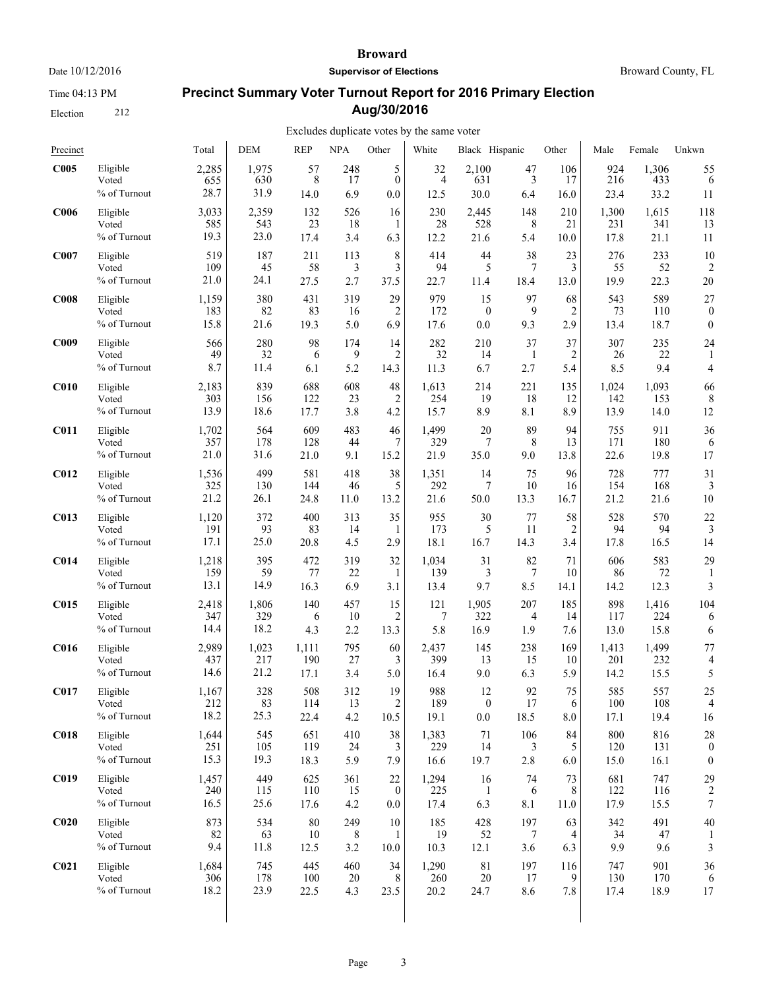Time 04:13 PM

Election 212

#### **Broward**

**Supervisor of Elections**

Broward County, FL

# **Precinct Summary Voter Turnout Report for 2016 Primary Election Aug/30/2016**

| Precinct         |                                   | Total            | <b>DEM</b>        | <b>REP</b>       | <b>NPA</b>                | Other           | White             | Black Hispanic    |                 | Other          | Male             | Female           | Unkwn                   |
|------------------|-----------------------------------|------------------|-------------------|------------------|---------------------------|-----------------|-------------------|-------------------|-----------------|----------------|------------------|------------------|-------------------------|
| C <sub>005</sub> | Eligible                          | 2,285            | 1,975             | 57               | 248                       | 5               | 32                | 2,100             | 47              | 106            | 924              | 1,306            | 55                      |
|                  | Voted                             | 655              | 630               | 8                | 17                        | $\mathbf{0}$    | $\overline{4}$    | 631               | 3               | 17             | 216              | 433              | 6                       |
|                  | % of Turnout                      | 28.7             | 31.9              | 14.0             | 6.9                       | 0.0             | 12.5              | 30.0              | 6.4             | 16.0           | 23.4             | 33.2             | 11                      |
| C <sub>006</sub> | Eligible                          | 3,033            | 2,359             | 132              | 526                       | 16              | 230               | 2,445             | 148             | 210            | 1,300            | 1,615            | 118                     |
|                  | Voted                             | 585              | 543               | 23               | 18                        | 1               | 28                | 528               | 8               | 21             | 231              | 341              | 13                      |
|                  | % of Turnout                      | 19.3             | 23.0              | 17.4             | 3.4                       | 6.3             | 12.2              | 21.6              | 5.4             | 10.0           | 17.8             | 21.1             | 11                      |
| C007             | Eligible                          | 519              | 187               | 211              | 113                       | 8               | 414               | 44                | 38              | 23             | 276              | 233              | 10                      |
|                  | Voted                             | 109              | 45                | 58               | 3                         | 3               | 94                | 5                 | 7               | 3              | 55               | 52               | 2                       |
|                  | % of Turnout                      | 21.0             | 24.1              | 27.5             | 2.7                       | 37.5            | 22.7              | 11.4              | 18.4            | 13.0           | 19.9             | 22.3             | 20                      |
| C <sub>008</sub> | Eligible                          | 1,159            | 380               | 431              | 319                       | 29              | 979               | 15                | 97              | 68             | 543              | 589              | 27                      |
|                  | Voted                             | 183              | 82                | 83               | 16                        | 2               | 172               | $\boldsymbol{0}$  | 9               | $\overline{c}$ | 73               | 110              | $\boldsymbol{0}$        |
|                  | % of Turnout                      | 15.8             | 21.6              | 19.3             | 5.0                       | 6.9             | 17.6              | 0.0               | 9.3             | 2.9            | 13.4             | 18.7             | $\boldsymbol{0}$        |
| C <sub>009</sub> | Eligible                          | 566              | 280               | 98               | 174                       | 14              | 282               | 210               | 37              | 37             | 307              | 235              | 24                      |
|                  | Voted                             | 49               | 32                | 6                | 9                         | 2               | 32                | 14                | $\mathbf{1}$    | 2              | 26               | 22               | 1                       |
|                  | % of Turnout                      | 8.7              | 11.4              | 6.1              | 5.2                       | 14.3            | 11.3              | 6.7               | 2.7             | 5.4            | 8.5              | 9.4              | 4                       |
| C <sub>010</sub> | Eligible                          | 2,183            | 839               | 688              | 608                       | $48\,$          | 1,613             | 214               | 221             | 135            | 1,024            | 1,093            | 66                      |
|                  | Voted                             | 303              | 156               | 122              | 23                        | $\overline{c}$  | 254               | 19                | 18              | 12             | 142              | 153              | 8                       |
|                  | % of Turnout                      | 13.9             | 18.6              | 17.7             | 3.8                       | 4.2             | 15.7              | 8.9               | 8.1             | 8.9            | 13.9             | 14.0             | 12                      |
| <b>C011</b>      | Eligible                          | 1,702            | 564               | 609              | 483                       | 46              | 1,499             | 20                | 89              | 94             | 755              | 911              | 36                      |
|                  | Voted                             | 357              | 178               | 128              | 44                        | $\overline{7}$  | 329               | 7                 | 8               | 13             | 171              | 180              | 6                       |
|                  | % of Turnout                      | 21.0             | 31.6              | 21.0             | 9.1                       | 15.2            | 21.9              | 35.0              | 9.0             | 13.8           | 22.6             | 19.8             | 17                      |
| <b>C012</b>      | Eligible                          | 1,536            | 499               | 581              | 418                       | 38              | 1,351             | 14                | 75              | 96             | 728              | 777              | 31                      |
|                  | Voted                             | 325              | 130               | 144              | 46                        | 5               | 292               | 7                 | 10              | 16             | 154              | 168              | 3                       |
|                  | % of Turnout                      | 21.2             | 26.1              | 24.8             | 11.0                      | 13.2            | 21.6              | 50.0              | 13.3            | 16.7           | 21.2             | 21.6             | 10                      |
| <b>C013</b>      | Eligible                          | 1,120            | 372               | 400              | 313                       | 35              | 955               | 30                | 77              | 58             | 528              | 570              | 22                      |
|                  | Voted                             | 191              | 93                | 83               | 14                        | 1               | 173               | 5                 | 11              | 2              | 94               | 94               | 3                       |
|                  | % of Turnout                      | 17.1             | 25.0              | 20.8             | 4.5                       | 2.9             | 18.1              | 16.7              | 14.3            | 3.4            | 17.8             | 16.5             | 14                      |
| C <sub>014</sub> | Eligible                          | 1,218            | 395               | 472              | 319                       | 32              | 1,034             | 31                | 82              | 71             | 606              | 583              | 29                      |
|                  | Voted                             | 159              | 59                | 77               | 22                        | 1               | 139               | 3                 | 7               | 10             | 86               | 72               | 1                       |
|                  | % of Turnout                      | 13.1             | 14.9              | 16.3             | 6.9                       | 3.1             | 13.4              | 9.7               | 8.5             | 14.1           | 14.2             | 12.3             | 3                       |
| <b>C015</b>      | Eligible                          | 2,418            | 1,806             | 140              | 457                       | 15              | 121               | 1,905             | 207             | 185            | 898              | 1,416            | 104                     |
|                  | Voted                             | 347              | 329               | 6                | 10                        | 2               | 7                 | 322               | 4               | 14             | 117              | 224              | 6                       |
|                  | % of Turnout                      | 14.4             | 18.2              | 4.3              | 2.2                       | 13.3            | 5.8               | 16.9              | 1.9             | 7.6            | 13.0             | 15.8             | 6                       |
| <b>C016</b>      | Eligible                          | 2,989            | 1,023             | 1,111            | 795                       | 60              | 2,437             | 145               | 238             | 169            | 1,413            | 1,499            | 77                      |
|                  | Voted                             | 437              | 217               | 190              | 27                        | 3               | 399               | 13                | 15              | 10             | 201              | 232              | 4                       |
|                  | % of Turnout                      | 14.6             | 21.2              | 17.1             | 3.4                       | 5.0             | 16.4              | 9.0               | 6.3             | 5.9            | 14.2             | 15.5             | 5                       |
| <b>C017</b>      | Eligible                          | 1,167            | 328               | 508              | 312                       | 19              | 988               | 12                | 92              | 75             | 585              | 557              | 25                      |
|                  | Voted                             | 212              | 83                | 114              | 13                        | 2               | 189               | $\boldsymbol{0}$  | 17              | 6              | 100              | 108              | 4                       |
|                  | % of Turnout                      | 18.2             | 25.3              | 22.4             | 4.2                       | 10.5            | 19.1              | 0.0               | 18.5            | 8.0            | 17.1             | 19.4             | 16                      |
| <b>C018</b>      | Eligible                          | 1,644            | 545               | 651              | 410                       | 38              | 1,383             | 71                | 106             | 84             | 800              | 816              | 28                      |
|                  | Voted                             | 251              | 105               | 119              | 24                        | 3               | 229               | 14                | 3               | 5              | 120              | 131              | $\boldsymbol{0}$        |
|                  | % of Turnout                      | 15.3             | 19.3              | 18.3             | 5.9                       | 7.9             | 16.6              | 19.7              | 2.8             | 6.0            | 15.0             | 16.1             | $\boldsymbol{0}$        |
| C <sub>019</sub> | Eligible                          | 1,457            | 449               | 625              | 361                       | 22              | 1,294             | 16                | 74              | 73             | 681              | 747              | 29                      |
|                  | Voted                             | 240              | 115               | 110              | 15                        | $\bf{0}$        | 225               | $\mathbf{1}$      | 6               | 8              | 122              | 116              | $\overline{\mathbf{c}}$ |
|                  | % of Turnout                      | 16.5             | 25.6              | 17.6             | 4.2                       | $0.0\,$         | 17.4              | 6.3               | 8.1             | 11.0           | 17.9             | 15.5             | $\overline{7}$          |
| C <sub>020</sub> | Eligible<br>Voted<br>% of Turnout | 873<br>82<br>9.4 | 534<br>63<br>11.8 | 80<br>10<br>12.5 | 249<br>$\,$ 8 $\,$<br>3.2 | 10<br>1<br>10.0 | 185<br>19<br>10.3 | 428<br>52<br>12.1 | 197<br>7<br>3.6 | 63<br>4<br>6.3 | 342<br>34<br>9.9 | 491<br>47<br>9.6 | 40<br>3                 |
| C <sub>021</sub> | Eligible                          | 1,684            | 745               | 445              | 460                       | 34              | 1,290             | 81                | 197             | 116            | 747              | 901              | 36                      |
|                  | Voted                             | 306              | 178               | 100              | 20                        | 8               | 260               | $20\,$            | 17              | 9              | 130              | 170              | 6                       |
|                  | $\%$ of Turnout                   | 18.2             | 23.9              | 22.5             | 4.3                       | 23.5            | 20.2              | 24.7              | 8.6             | 7.8            | 17.4             | 18.9             | 17                      |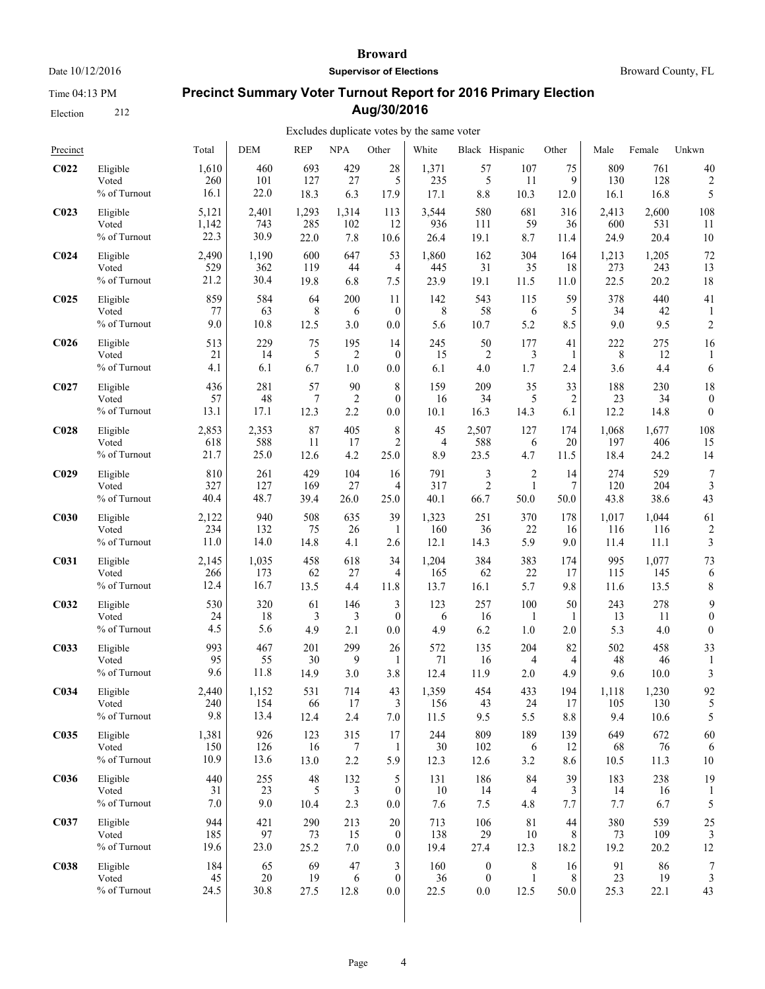Time 04:13 PM

Election 212

#### **Broward**

**Supervisor of Elections**

Broward County, FL

# **Precinct Summary Voter Turnout Report for 2016 Primary Election Aug/30/2016**

| Precinct         |              | Total | <b>DEM</b> | <b>REP</b> | <b>NPA</b>     | Other            | White | Black Hispanic   |                | Other   | Male  | Female | Unkwn                   |
|------------------|--------------|-------|------------|------------|----------------|------------------|-------|------------------|----------------|---------|-------|--------|-------------------------|
| C <sub>022</sub> | Eligible     | 1,610 | 460        | 693        | 429            | 28               | 1,371 | 57               | 107            | 75      | 809   | 761    | 40                      |
|                  | Voted        | 260   | 101        | 127        | 27             | 5                | 235   | 5                | 11             | 9       | 130   | 128    | 2                       |
|                  | % of Turnout | 16.1  | 22.0       | 18.3       | 6.3            | 17.9             | 17.1  | 8.8              | 10.3           | 12.0    | 16.1  | 16.8   | 5                       |
| C <sub>023</sub> | Eligible     | 5,121 | 2,401      | 1,293      | 1,314          | 113              | 3,544 | 580              | 681            | 316     | 2,413 | 2,600  | 108                     |
|                  | Voted        | 1,142 | 743        | 285        | 102            | 12               | 936   | 111              | 59             | 36      | 600   | 531    | 11                      |
|                  | % of Turnout | 22.3  | 30.9       | 22.0       | 7.8            | 10.6             | 26.4  | 19.1             | 8.7            | 11.4    | 24.9  | 20.4   | 10                      |
| C <sub>024</sub> | Eligible     | 2,490 | 1,190      | 600        | 647            | 53               | 1,860 | 162              | 304            | 164     | 1,213 | 1,205  | 72                      |
|                  | Voted        | 529   | 362        | 119        | 44             | 4                | 445   | 31               | 35             | 18      | 273   | 243    | 13                      |
|                  | % of Turnout | 21.2  | 30.4       | 19.8       | 6.8            | 7.5              | 23.9  | 19.1             | 11.5           | 11.0    | 22.5  | 20.2   | 18                      |
| C <sub>025</sub> | Eligible     | 859   | 584        | 64         | 200            | 11               | 142   | 543              | 115            | 59      | 378   | 440    | 41                      |
|                  | Voted        | 77    | 63         | 8          | 6              | $\theta$         | 8     | 58               | 6              | 5       | 34    | 42     | 1                       |
|                  | % of Turnout | 9.0   | 10.8       | 12.5       | 3.0            | 0.0              | 5.6   | 10.7             | 5.2            | 8.5     | 9.0   | 9.5    | $\overline{c}$          |
| C <sub>026</sub> | Eligible     | 513   | 229        | 75         | 195            | 14               | 245   | 50               | 177            | 41      | 222   | 275    | 16                      |
|                  | Voted        | 21    | 14         | 5          | $\overline{c}$ | $\theta$         | 15    | $\overline{c}$   | 3              | 1       | 8     | 12     | 1                       |
|                  | % of Turnout | 4.1   | 6.1        | 6.7        | 1.0            | 0.0              | 6.1   | 4.0              | 1.7            | 2.4     | 3.6   | 4.4    | 6                       |
| C <sub>027</sub> | Eligible     | 436   | 281        | 57         | 90             | 8                | 159   | 209              | 35             | 33      | 188   | 230    | 18                      |
|                  | Voted        | 57    | 48         | 7          | $\overline{2}$ | $\overline{0}$   | 16    | 34               | 5              | 2       | 23    | 34     | $\theta$                |
|                  | % of Turnout | 13.1  | 17.1       | 12.3       | 2.2            | 0.0              | 10.1  | 16.3             | 14.3           | 6.1     | 12.2  | 14.8   | $\mathbf{0}$            |
| C <sub>028</sub> | Eligible     | 2,853 | 2,353      | 87         | 405            | 8                | 45    | 2,507            | 127            | 174     | 1,068 | 1,677  | 108                     |
|                  | Voted        | 618   | 588        | 11         | 17             | 2                | 4     | 588              | 6              | 20      | 197   | 406    | 15                      |
|                  | % of Turnout | 21.7  | 25.0       | 12.6       | 4.2            | 25.0             | 8.9   | 23.5             | 4.7            | 11.5    | 18.4  | 24.2   | 14                      |
| C <sub>029</sub> | Eligible     | 810   | 261        | 429        | 104            | 16               | 791   | 3                | $\overline{c}$ | 14      | 274   | 529    | $\overline{7}$          |
|                  | Voted        | 327   | 127        | 169        | 27             | 4                | 317   | $\overline{c}$   | $\mathbf{1}$   | 7       | 120   | 204    | 3                       |
|                  | % of Turnout | 40.4  | 48.7       | 39.4       | 26.0           | 25.0             | 40.1  | 66.7             | 50.0           | 50.0    | 43.8  | 38.6   | 43                      |
| C <sub>030</sub> | Eligible     | 2,122 | 940        | 508        | 635            | 39               | 1,323 | 251              | 370            | 178     | 1,017 | 1,044  | 61                      |
|                  | Voted        | 234   | 132        | 75         | 26             | 1                | 160   | 36               | 22             | 16      | 116   | 116    | $\overline{\mathbf{c}}$ |
|                  | % of Turnout | 11.0  | 14.0       | 14.8       | 4.1            | 2.6              | 12.1  | 14.3             | 5.9            | 9.0     | 11.4  | 11.1   | 3                       |
| <b>C031</b>      | Eligible     | 2,145 | 1,035      | 458        | 618            | 34               | 1,204 | 384              | 383            | 174     | 995   | 1,077  | 73                      |
|                  | Voted        | 266   | 173        | 62         | 27             | 4                | 165   | 62               | 22             | 17      | 115   | 145    | 6                       |
|                  | % of Turnout | 12.4  | 16.7       | 13.5       | 4.4            | $11.8\,$         | 13.7  | 16.1             | 5.7            | 9.8     | 11.6  | 13.5   | 8                       |
| C <sub>032</sub> | Eligible     | 530   | 320        | 61         | 146            | 3                | 123   | 257              | 100            | 50      | 243   | 278    | 9                       |
|                  | Voted        | 24    | 18         | 3          | 3              | $\overline{0}$   | 6     | 16               | 1              | 1       | 13    | -11    | $\boldsymbol{0}$        |
|                  | % of Turnout | 4.5   | 5.6        | 4.9        | 2.1            | 0.0              | 4.9   | 6.2              | 1.0            | 2.0     | 5.3   | 4.0    | $\boldsymbol{0}$        |
| C033             | Eligible     | 993   | 467        | 201        | 299            | 26               | 572   | 135              | 204            | 82      | 502   | 458    | 33                      |
|                  | Voted        | 95    | 55         | 30         | 9              | 1                | 71    | 16               | 4              | 4       | 48    | 46     | 1                       |
|                  | % of Turnout | 9.6   | 11.8       | 14.9       | 3.0            | 3.8              | 12.4  | 11.9             | 2.0            | 4.9     | 9.6   | 10.0   | 3                       |
| C <sub>034</sub> | Eligible     | 2.440 | 1,152      | 531        | 714            | 43               | 1,359 | 454              | 433            | 194     | 1,118 | 1,230  | 92                      |
|                  | Voted        | 240   | 154        | 66         | 17             | 3                | 156   | 43               | 24             | 17      | 105   | 130    | 5                       |
|                  | % of Turnout | 9.8   | 13.4       | 12.4       | 2.4            | $7.0\,$          | 11.5  | 9.5              | 5.5            | $8.8\,$ | 9.4   | 10.6   | 5                       |
| C035             | Eligible     | 1,381 | 926        | 123        | 315            | 17               | 244   | 809              | 189            | 139     | 649   | 672    | 60                      |
|                  | Voted        | 150   | 126        | 16         | 7              | 1                | 30    | 102              | 6              | 12      | 68    | 76     | 6                       |
|                  | % of Turnout | 10.9  | 13.6       | 13.0       | 2.2            | 5.9              | 12.3  | 12.6             | 3.2            | 8.6     | 10.5  | 11.3   | 10                      |
| <b>C036</b>      | Eligible     | 440   | 255        | 48         | 132            | 5                | 131   | 186              | 84             | 39      | 183   | 238    | 19                      |
|                  | Voted        | 31    | 23         | 5          | 3              | $\boldsymbol{0}$ | 10    | 14               | 4              | 3       | 14    | 16     | 1                       |
|                  | % of Turnout | 7.0   | 9.0        | 10.4       | 2.3            | 0.0              | 7.6   | 7.5              | 4.8            | 7.7     | 7.7   | 6.7    | 5                       |
| C037             | Eligible     | 944   | 421        | 290        | 213            | 20               | 713   | 106              | 81             | 44      | 380   | 539    | 25                      |
|                  | Voted        | 185   | 97         | 73         | 15             | $\theta$         | 138   | 29               | 10             | 8       | 73    | 109    | 3                       |
|                  | % of Turnout | 19.6  | 23.0       | 25.2       | $7.0\,$        | $0.0\,$          | 19.4  | 27.4             | 12.3           | 18.2    | 19.2  | 20.2   | 12                      |
| <b>C038</b>      | Eligible     | 184   | 65         | 69         | 47             | 3                | 160   | $\boldsymbol{0}$ | 8              | 16      | 91    | 86     | 7                       |
|                  | Voted        | 45    | 20         | 19         | 6              | $\mathbf{0}$     | 36    | $\boldsymbol{0}$ | $\mathbf{1}$   | 8       | 23    | 19     | 3                       |
|                  | % of Turnout | 24.5  | 30.8       | 27.5       | 12.8           | $0.0\,$          | 22.5  | 0.0              | 12.5           | 50.0    | 25.3  | 22.1   | 43                      |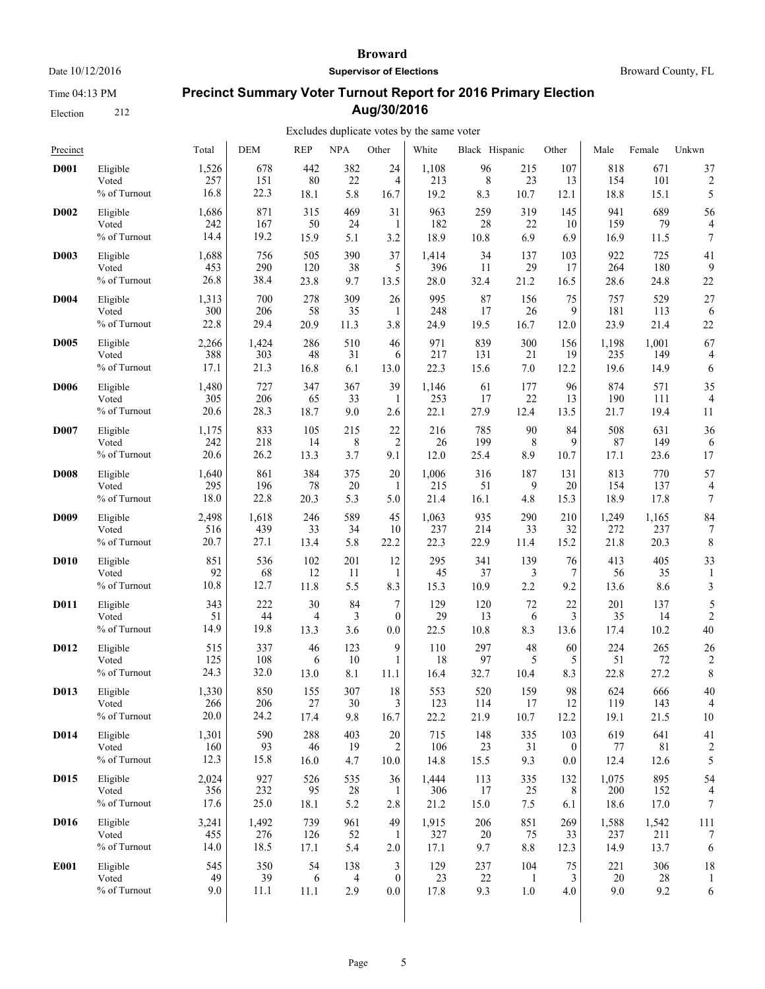Time 04:13 PM

Election 212

#### **Broward**

**Supervisor of Elections**

Broward County, FL

# **Precinct Summary Voter Turnout Report for 2016 Primary Election Aug/30/2016**

| Precinct         |                                   | Total                | <b>DEM</b>         | <b>REP</b>        | <b>NPA</b>       | Other          | White                | Black Hispanic    |                 | Other             | Male               | Female             | Unkwn            |
|------------------|-----------------------------------|----------------------|--------------------|-------------------|------------------|----------------|----------------------|-------------------|-----------------|-------------------|--------------------|--------------------|------------------|
| <b>D001</b>      | Eligible                          | 1,526                | 678                | 442               | 382              | 24             | 1,108                | 96                | 215             | 107               | 818                | 671                | 37               |
|                  | Voted                             | 257                  | 151                | 80                | 22               | $\overline{4}$ | 213                  | 8                 | 23              | 13                | 154                | 101                | $\overline{c}$   |
|                  | % of Turnout                      | 16.8                 | 22.3               | 18.1              | 5.8              | 16.7           | 19.2                 | 8.3               | 10.7            | 12.1              | 18.8               | 15.1               | 5                |
| D <sub>002</sub> | Eligible                          | 1,686                | 871                | 315               | 469              | 31             | 963                  | 259               | 319             | 145               | 941                | 689                | 56               |
|                  | Voted                             | 242                  | 167                | 50                | 24               | 1              | 182                  | 28                | 22              | 10                | 159                | 79                 | 4                |
|                  | % of Turnout                      | 14.4                 | 19.2               | 15.9              | 5.1              | 3.2            | 18.9                 | 10.8              | 6.9             | 6.9               | 16.9               | 11.5               | $\boldsymbol{7}$ |
| <b>D003</b>      | Eligible                          | 1,688                | 756                | 505               | 390              | 37             | 1,414                | 34                | 137             | 103               | 922                | 725                | 41               |
|                  | Voted                             | 453                  | 290                | 120               | 38               | 5              | 396                  | 11                | 29              | 17                | 264                | 180                | 9                |
|                  | % of Turnout                      | 26.8                 | 38.4               | 23.8              | 9.7              | 13.5           | 28.0                 | 32.4              | 21.2            | 16.5              | 28.6               | 24.8               | 22               |
| <b>D004</b>      | Eligible                          | 1,313                | 700                | 278               | 309              | 26             | 995                  | 87                | 156             | 75                | 757                | 529                | 27               |
|                  | Voted                             | 300                  | 206                | 58                | 35               | 1              | 248                  | 17                | 26              | 9                 | 181                | 113                | 6                |
|                  | % of Turnout                      | 22.8                 | 29.4               | 20.9              | 11.3             | 3.8            | 24.9                 | 19.5              | 16.7            | 12.0              | 23.9               | 21.4               | 22               |
| <b>D005</b>      | Eligible                          | 2,266                | 1,424              | 286               | 510              | 46             | 971                  | 839               | 300             | 156               | 1,198              | 1,001              | 67               |
|                  | Voted                             | 388                  | 303                | 48                | 31               | 6              | 217                  | 131               | 21              | 19                | 235                | 149                | 4                |
|                  | % of Turnout                      | 17.1                 | 21.3               | 16.8              | 6.1              | 13.0           | 22.3                 | 15.6              | 7.0             | 12.2              | 19.6               | 14.9               | 6                |
| <b>D006</b>      | Eligible                          | 1,480                | 727                | 347               | 367              | 39             | 1,146                | 61                | 177             | 96                | 874                | 571                | 35               |
|                  | Voted                             | 305                  | 206                | 65                | 33               | 1              | 253                  | 17                | 22              | 13                | 190                | 111                | $\overline{4}$   |
|                  | % of Turnout                      | 20.6                 | 28.3               | 18.7              | 9.0              | 2.6            | 22.1                 | 27.9              | 12.4            | 13.5              | 21.7               | 19.4               | 11               |
| <b>D007</b>      | Eligible                          | 1,175                | 833                | 105               | 215              | 22             | 216                  | 785               | 90              | 84                | 508                | 631                | 36               |
|                  | Voted                             | 242                  | 218                | 14                | 8                | $\overline{2}$ | 26                   | 199               | 8               | 9                 | 87                 | 149                | 6                |
|                  | % of Turnout                      | 20.6                 | 26.2               | 13.3              | 3.7              | 9.1            | 12.0                 | 25.4              | 8.9             | 10.7              | 17.1               | 23.6               | 17               |
| <b>D008</b>      | Eligible<br>Voted<br>% of Turnout | 1,640<br>295<br>18.0 | 861<br>196<br>22.8 | 384<br>78<br>20.3 | 375<br>20<br>5.3 | 20<br>5.0      | 1,006<br>215<br>21.4 | 316<br>51<br>16.1 | 187<br>9<br>4.8 | 131<br>20<br>15.3 | 813<br>154<br>18.9 | 770<br>137<br>17.8 | 57<br>4<br>7     |
| <b>D009</b>      | Eligible                          | 2,498                | 1,618              | 246               | 589              | 45             | 1,063                | 935               | 290             | 210               | 1,249              | 1,165              | 84               |
|                  | Voted                             | 516                  | 439                | 33                | 34               | 10             | 237                  | 214               | 33              | 32                | 272                | 237                | 7                |
|                  | % of Turnout                      | 20.7                 | 27.1               | 13.4              | 5.8              | 22.2           | 22.3                 | 22.9              | 11.4            | 15.2              | 21.8               | 20.3               | 8                |
| <b>D010</b>      | Eligible                          | 851                  | 536                | 102               | 201              | 12             | 295                  | 341               | 139             | 76                | 413                | 405                | 33               |
|                  | Voted                             | 92                   | 68                 | 12                | 11               | -1             | 45                   | 37                | 3               | 7                 | 56                 | 35                 | 1                |
|                  | % of Turnout                      | 10.8                 | 12.7               | 11.8              | 5.5              | 8.3            | 15.3                 | 10.9              | 2.2             | 9.2               | 13.6               | 8.6                | 3                |
| <b>D011</b>      | Eligible                          | 343                  | 222                | 30                | 84               | 7              | 129                  | 120               | 72              | 22                | 201                | 137                | 5                |
|                  | Voted                             | 51                   | 44                 | 4                 | 3                | $\mathbf{0}$   | 29                   | 13                | 6               | 3                 | 35                 | 14                 | $\overline{c}$   |
|                  | % of Turnout                      | 14.9                 | 19.8               | 13.3              | 3.6              | 0.0            | 22.5                 | 10.8              | 8.3             | 13.6              | 17.4               | 10.2               | 40               |
| D012             | Eligible                          | 515                  | 337                | 46                | 123              | 9              | 110                  | 297               | 48              | 60                | 224                | 265                | 26               |
|                  | Voted                             | 125                  | 108                | 6                 | 10               | 1              | 18                   | 97                | 5               | 5                 | 51                 | 72                 | $\overline{c}$   |
|                  | % of Turnout                      | 24.3                 | 32.0               | 13.0              | 8.1              | 11.1           | 16.4                 | 32.7              | 10.4            | 8.3               | 22.8               | 27.2               | 8                |
| D013             | Eligible                          | 1,330                | 850                | 155               | 307              | 18             | 553                  | 520               | 159             | 98                | 624                | 666                | 40               |
|                  | Voted                             | 266                  | 206                | 27                | 30               | 3              | 123                  | 114               | 17              | 12                | 119                | 143                | 4                |
|                  | $\%$ of Turnout                   | 20.0                 | 24.2               | 17.4              | 9.8              | 16.7           | 22.2                 | 21.9              | 10.7            | 12.2              | 19.1               | 21.5               | 10               |
| <b>D014</b>      | Eligible                          | 1,301                | 590                | 288               | 403              | 20             | 715                  | 148               | 335             | 103               | 619                | 641                | 41               |
|                  | Voted                             | 160                  | 93                 | 46                | 19               | 2              | 106                  | 23                | 31              | $\theta$          | 77                 | 81                 | 2                |
|                  | % of Turnout                      | 12.3                 | 15.8               | 16.0              | 4.7              | 10.0           | 14.8                 | 15.5              | 9.3             | 0.0               | 12.4               | 12.6               | 5                |
| D015             | Eligible                          | 2,024                | 927                | 526               | 535              | 36             | 1,444                | 113               | 335             | 132               | 1,075              | 895                | 54               |
|                  | Voted                             | 356                  | 232                | 95                | 28               | -1             | 306                  | 17                | 25              | 8                 | 200                | 152                | 4                |
|                  | % of Turnout                      | 17.6                 | 25.0               | 18.1              | 5.2              | 2.8            | 21.2                 | 15.0              | 7.5             | 6.1               | 18.6               | 17.0               | $\boldsymbol{7}$ |
| D016             | Eligible                          | 3,241                | 1,492              | 739               | 961              | 49             | 1,915                | 206               | 851             | 269               | 1,588              | 1,542              | 111              |
|                  | Voted                             | 455                  | 276                | 126               | 52               | 1              | 327                  | 20                | 75              | 33                | 237                | 211                | $\overline{7}$   |
|                  | % of Turnout                      | 14.0                 | 18.5               | 17.1              | 5.4              | 2.0            | 17.1                 | 9.7               | $8.8\,$         | 12.3              | 14.9               | 13.7               | 6                |
| E001             | Eligible                          | 545                  | 350                | 54                | 138              | 3              | 129                  | 237               | 104             | 75                | 221                | 306                | 18               |
|                  | Voted                             | 49                   | 39                 | 6                 | 4                | $\mathbf{0}$   | 23                   | 22                | -1              | 3                 | 20                 | $28\,$             | 1                |
|                  | % of Turnout                      | 9.0                  | 11.1               | 11.1              | 2.9              | 0.0            | 17.8                 | 9.3               | $1.0\,$         | 4.0               | 9.0                | 9.2                | 6                |
|                  |                                   |                      |                    |                   |                  |                |                      |                   |                 |                   |                    |                    |                  |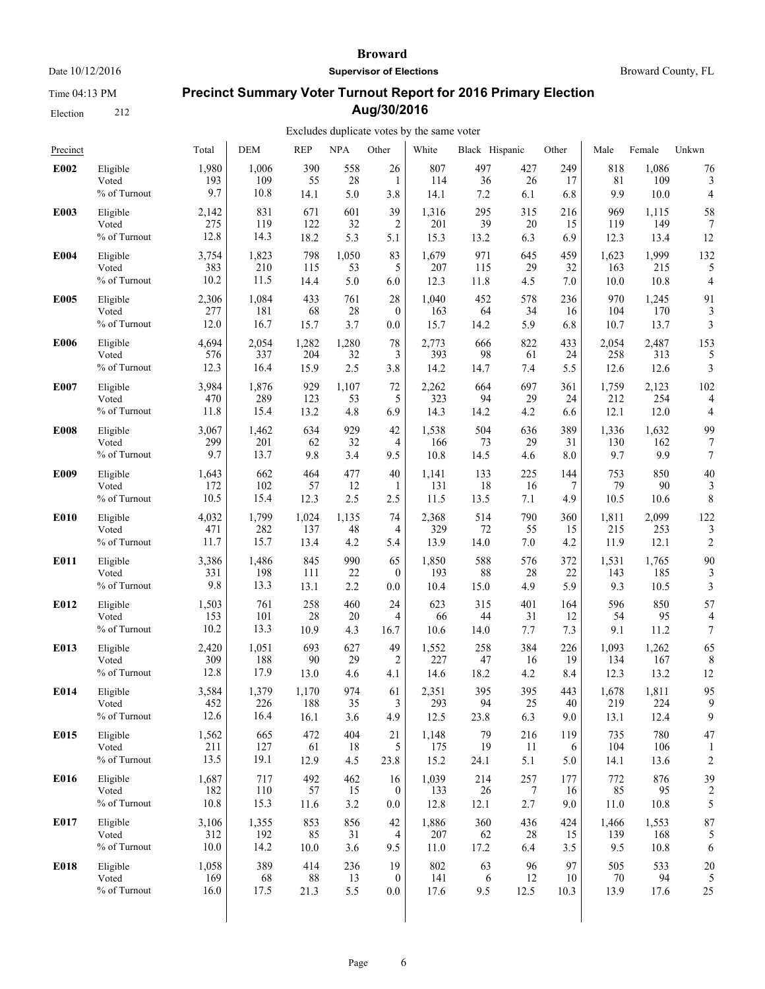Time 04:13 PM

Election 212

#### **Broward**

**Supervisor of Elections**

Broward County, FL

# **Precinct Summary Voter Turnout Report for 2016 Primary Election Aug/30/2016**

| Precinct    |                                   | Total                | <b>DEM</b>         | <b>REP</b>        | <b>NPA</b>       | Other            | White                | Black Hispanic   |                  | Other           | Male               | Female             | Unkwn                |
|-------------|-----------------------------------|----------------------|--------------------|-------------------|------------------|------------------|----------------------|------------------|------------------|-----------------|--------------------|--------------------|----------------------|
| E002        | Eligible                          | 1,980                | 1,006              | 390               | 558              | 26               | 807                  | 497              | 427              | 249             | 818                | 1,086              | 76                   |
|             | Voted                             | 193                  | 109                | 55                | 28               | 1                | 114                  | 36               | 26               | 17              | 81                 | 109                | 3                    |
|             | % of Turnout                      | 9.7                  | 10.8               | 14.1              | 5.0              | 3.8              | 14.1                 | 7.2              | 6.1              | 6.8             | 9.9                | 10.0               | 4                    |
| E003        | Eligible                          | 2,142                | 831                | 671               | 601              | 39               | 1,316                | 295              | 315              | 216             | 969                | 1,115              | 58                   |
|             | Voted                             | 275                  | 119                | 122               | 32               | $\overline{2}$   | 201                  | 39               | 20               | 15              | 119                | 149                | 7                    |
|             | % of Turnout                      | 12.8                 | 14.3               | 18.2              | 5.3              | 5.1              | 15.3                 | 13.2             | 6.3              | 6.9             | 12.3               | 13.4               | 12                   |
| E004        | Eligible                          | 3,754                | 1,823              | 798               | 1,050            | 83               | 1,679                | 971              | 645              | 459             | 1,623              | 1,999              | 132                  |
|             | Voted                             | 383                  | 210                | 115               | 53               | 5                | 207                  | 115              | 29               | 32              | 163                | 215                | 5                    |
|             | % of Turnout                      | 10.2                 | 11.5               | 14.4              | 5.0              | 6.0              | 12.3                 | 11.8             | 4.5              | 7.0             | 10.0               | 10.8               | 4                    |
| E005        | Eligible                          | 2,306                | 1,084              | 433               | 761              | 28               | 1,040                | 452              | 578              | 236             | 970                | 1,245              | 91                   |
|             | Voted                             | 277                  | 181                | 68                | 28               | $\theta$         | 163                  | 64               | 34               | 16              | 104                | 170                | 3                    |
|             | % of Turnout                      | 12.0                 | 16.7               | 15.7              | 3.7              | 0.0              | 15.7                 | 14.2             | 5.9              | 6.8             | 10.7               | 13.7               | 3                    |
| <b>E006</b> | Eligible                          | 4,694                | 2,054              | 1,282             | 1,280            | 78               | 2,773                | 666              | 822              | 433             | 2,054              | 2,487              | 153                  |
|             | Voted                             | 576                  | 337                | 204               | 32               | 3                | 393                  | 98               | 61               | 24              | 258                | 313                | 5                    |
|             | % of Turnout                      | 12.3                 | 16.4               | 15.9              | 2.5              | 3.8              | 14.2                 | 14.7             | 7.4              | 5.5             | 12.6               | 12.6               | 3                    |
| E007        | Eligible                          | 3,984                | 1,876              | 929               | 1,107            | 72               | 2,262                | 664              | 697              | 361             | 1,759              | 2,123              | 102                  |
|             | Voted                             | 470                  | 289                | 123               | 53               | 5                | 323                  | 94               | 29               | 24              | 212                | 254                | 4                    |
|             | % of Turnout                      | 11.8                 | 15.4               | 13.2              | 4.8              | 6.9              | 14.3                 | 14.2             | 4.2              | 6.6             | 12.1               | 12.0               | 4                    |
| E008        | Eligible                          | 3,067                | 1,462              | 634               | 929              | 42               | 1,538                | 504              | 636              | 389             | 1,336              | 1,632              | 99                   |
|             | Voted                             | 299                  | 201                | 62                | 32               | 4                | 166                  | 73               | 29               | 31              | 130                | 162                | 7                    |
|             | % of Turnout                      | 9.7                  | 13.7               | 9.8               | 3.4              | 9.5              | 10.8                 | 14.5             | 4.6              | 8.0             | 9.7                | 9.9                | 7                    |
| E009        | Eligible                          | 1,643                | 662                | 464               | 477              | 40               | 1,141                | 133              | 225              | 144             | 753                | 850                | 40                   |
|             | Voted                             | 172                  | 102                | 57                | 12               | 1                | 131                  | 18               | 16               | 7               | 79                 | 90                 | 3                    |
|             | % of Turnout                      | 10.5                 | 15.4               | 12.3              | 2.5              | 2.5              | 11.5                 | 13.5             | 7.1              | 4.9             | 10.5               | 10.6               | 8                    |
| E010        | Eligible                          | 4,032                | 1,799              | 1,024             | 1,135            | 74               | 2,368                | 514              | 790              | 360             | 1,811              | 2,099              | 122                  |
|             | Voted                             | 471                  | 282                | 137               | 48               | 4                | 329                  | 72               | 55               | 15              | 215                | 253                | 3                    |
|             | % of Turnout                      | 11.7                 | 15.7               | 13.4              | 4.2              | 5.4              | 13.9                 | 14.0             | 7.0              | 4.2             | 11.9               | 12.1               | $\overline{c}$       |
| E011        | Eligible                          | 3,386                | 1,486              | 845               | 990              | 65               | 1,850                | 588              | 576              | 372             | 1,531              | 1,765              | 90                   |
|             | Voted                             | 331                  | 198                | 111               | 22               | $\boldsymbol{0}$ | 193                  | 88               | 28               | 22              | 143                | 185                | 3                    |
|             | % of Turnout                      | 9.8                  | 13.3               | 13.1              | 2.2              | 0.0              | 10.4                 | 15.0             | 4.9              | 5.9             | 9.3                | 10.5               | 3                    |
| E012        | Eligible                          | 1,503                | 761                | 258               | 460              | 24               | 623                  | 315              | 401              | 164             | 596                | 850                | 57                   |
|             | Voted                             | 153                  | 101                | 28                | 20               | 4                | 66                   | 44               | 31               | 12              | 54                 | 95                 | 4                    |
|             | % of Turnout                      | 10.2                 | 13.3               | 10.9              | 4.3              | 16.7             | 10.6                 | 14.0             | 7.7              | 7.3             | 9.1                | 11.2               | 7                    |
| E013        | Eligible                          | 2,420                | 1,051              | 693               | 627              | 49               | 1,552                | 258              | 384              | 226             | 1,093              | 1,262              | 65                   |
|             | Voted                             | 309                  | 188                | 90                | 29               | 2                | 227                  | 47               | 16               | 19              | 134                | 167                | 8                    |
|             | % of Turnout                      | 12.8                 | 17.9               | 13.0              | 4.6              | 4.1              | 14.6                 | 18.2             | 4.2              | 8.4             | 12.3               | 13.2               | 12                   |
| E014        | Eligible                          | 3,584                | 1,379              | 1,170             | 974              | 61               | 2,351                | 395              | 395              | 443             | 1,678              | 1,811              | 95                   |
|             | Voted                             | 452                  | 226                | 188               | 35               | 3                | 293                  | 94               | 25               | 40              | 219                | 224                | 9                    |
|             | % of Turnout                      | 12.6                 | 16.4               | 16.1              | 3.6              | 4.9              | 12.5                 | 23.8             | 6.3              | 9.0             | 13.1               | 12.4               | 9                    |
| E015        | Eligible<br>Voted<br>% of Turnout | 1,562<br>211<br>13.5 | 665<br>127<br>19.1 | 472<br>61<br>12.9 | 404<br>18<br>4.5 | 21<br>5<br>23.8  | 1,148<br>175<br>15.2 | 79<br>19<br>24.1 | 216<br>11<br>5.1 | 119<br>6<br>5.0 | 735<br>104<br>14.1 | 780<br>106<br>13.6 | 47<br>$\overline{c}$ |
| E016        | Eligible                          | 1,687                | 717                | 492               | 462              | 16               | 1,039                | 214              | 257              | 177             | 772                | 876                | 39                   |
|             | Voted                             | 182                  | 110                | 57                | 15               | $\boldsymbol{0}$ | 133                  | 26               | 7                | 16              | 85                 | 95                 | 2                    |
|             | % of Turnout                      | 10.8                 | 15.3               | 11.6              | 3.2              | 0.0              | 12.8                 | 12.1             | 2.7              | 9.0             | 11.0               | 10.8               | 5                    |
| E017        | Eligible                          | 3,106                | 1,355              | 853               | 856              | 42               | 1,886                | 360              | 436              | 424             | 1,466              | 1,553              | 87                   |
|             | Voted                             | 312                  | 192                | 85                | 31               | 4                | 207                  | 62               | 28               | 15              | 139                | 168                | 5                    |
|             | % of Turnout                      | 10.0                 | 14.2               | 10.0              | 3.6              | 9.5              | 11.0                 | 17.2             | 6.4              | 3.5             | 9.5                | 10.8               | 6                    |
| E018        | Eligible                          | 1,058                | 389                | 414               | 236              | 19               | 802                  | 63               | 96               | 97              | 505                | 533                | 20                   |
|             | Voted                             | 169                  | 68                 | 88                | 13               | $\theta$         | 141                  | 6                | 12               | 10              | 70                 | 94                 | 5                    |
|             | % of Turnout                      | 16.0                 | 17.5               | 21.3              | 5.5              | 0.0              | 17.6                 | 9.5              | 12.5             | 10.3            | 13.9               | 17.6               | 25                   |
|             |                                   |                      |                    |                   |                  |                  |                      |                  |                  |                 |                    |                    |                      |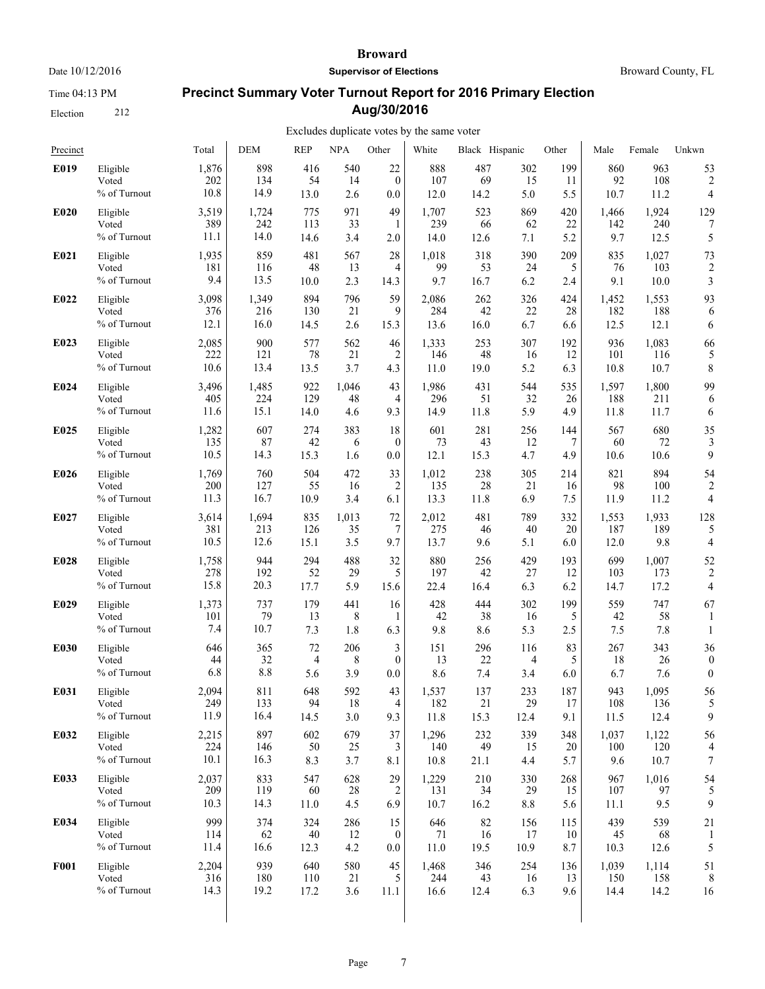Time 04:13 PM

Election 212

#### **Broward**

**Supervisor of Elections**

Broward County, FL

# **Precinct Summary Voter Turnout Report for 2016 Primary Election Aug/30/2016**

| Precinct    |                                      | Total                | <b>DEM</b>         | <b>REP</b>        | <b>NPA</b>       | Other                       | White                | Black Hispanic    |                   | Other            | Male               | Female               | Unkwn            |
|-------------|--------------------------------------|----------------------|--------------------|-------------------|------------------|-----------------------------|----------------------|-------------------|-------------------|------------------|--------------------|----------------------|------------------|
| E019        | Eligible                             | 1,876                | 898                | 416               | 540              | $22\,$                      | 888                  | 487               | 302               | 199              | 860                | 963                  | 53               |
|             | Voted                                | 202                  | 134                | 54                | 14               | $\mathbf{0}$                | 107                  | 69                | 15                | 11               | 92                 | 108                  | 2                |
|             | % of Turnout                         | 10.8                 | 14.9               | 13.0              | 2.6              | 0.0                         | 12.0                 | 14.2              | 5.0               | 5.5              | 10.7               | 11.2                 | 4                |
| E020        | Eligible                             | 3,519                | 1,724              | 775               | 971              | 49                          | 1,707                | 523               | 869               | 420              | 1,466              | 1,924                | 129              |
|             | Voted                                | 389                  | 242                | 113               | 33               | 1                           | 239                  | 66                | 62                | 22               | 142                | 240                  | 7                |
|             | % of Turnout                         | 11.1                 | 14.0               | 14.6              | 3.4              | 2.0                         | 14.0                 | 12.6              | 7.1               | 5.2              | 9.7                | 12.5                 | 5                |
| E021        | Eligible                             | 1,935                | 859                | 481               | 567              | 28                          | 1,018                | 318               | 390               | 209              | 835                | 1,027                | 73               |
|             | Voted                                | 181                  | 116                | 48                | 13               | 4                           | 99                   | 53                | 24                | 5                | 76                 | 103                  | 2                |
|             | % of Turnout                         | 9.4                  | 13.5               | 10.0              | 2.3              | 14.3                        | 9.7                  | 16.7              | 6.2               | 2.4              | 9.1                | 10.0                 | 3                |
| E022        | Eligible                             | 3,098                | 1,349              | 894               | 796              | 59                          | 2,086                | 262               | 326               | 424              | 1,452              | 1,553                | 93               |
|             | Voted                                | 376                  | 216                | 130               | 21               | 9                           | 284                  | 42                | 22                | 28               | 182                | 188                  | 6                |
|             | % of Turnout                         | 12.1                 | 16.0               | 14.5              | 2.6              | 15.3                        | 13.6                 | 16.0              | 6.7               | 6.6              | 12.5               | 12.1                 | 6                |
| E023        | Eligible                             | 2,085                | 900                | 577               | 562              | 46                          | 1,333                | 253               | 307               | 192              | 936                | 1,083                | 66               |
|             | Voted                                | 222                  | 121                | 78                | 21               | $\overline{2}$              | 146                  | 48                | 16                | 12               | 101                | 116                  | 5                |
|             | % of Turnout                         | 10.6                 | 13.4               | 13.5              | 3.7              | 4.3                         | 11.0                 | 19.0              | 5.2               | 6.3              | 10.8               | 10.7                 | 8                |
| E024        | Eligible                             | 3,496                | 1,485              | 922               | 1,046            | 43                          | 1,986                | 431               | 544               | 535              | 1,597              | 1,800                | 99               |
|             | Voted                                | 405                  | 224                | 129               | 48               | $\overline{4}$              | 296                  | 51                | 32                | 26               | 188                | 211                  | 6                |
|             | % of Turnout                         | 11.6                 | 15.1               | 14.0              | 4.6              | 9.3                         | 14.9                 | 11.8              | 5.9               | 4.9              | 11.8               | 11.7                 | 6                |
| E025        | Eligible                             | 1,282                | 607                | 274               | 383              | 18                          | 601                  | 281               | 256               | 144              | 567                | 680                  | 35               |
|             | Voted                                | 135                  | 87                 | 42                | 6                | $\overline{0}$              | 73                   | 43                | 12                | 7                | 60                 | 72                   | 3                |
|             | % of Turnout                         | 10.5                 | 14.3               | 15.3              | 1.6              | 0.0                         | 12.1                 | 15.3              | 4.7               | 4.9              | 10.6               | 10.6                 | 9                |
| E026        | Eligible                             | 1,769                | 760                | 504               | 472              | 33                          | 1,012                | 238               | 305               | 214              | 821                | 894                  | 54               |
|             | Voted                                | 200                  | 127                | 55                | 16               | $\overline{2}$              | 135                  | 28                | 21                | 16               | 98                 | 100                  | 2                |
|             | % of Turnout                         | 11.3                 | 16.7               | 10.9              | 3.4              | 6.1                         | 13.3                 | 11.8              | 6.9               | 7.5              | 11.9               | 11.2                 | 4                |
| E027        | Eligible                             | 3,614                | 1,694              | 835               | 1,013            | 72                          | 2,012                | 481               | 789               | 332              | 1,553              | 1,933                | 128              |
|             | Voted                                | 381                  | 213                | 126               | 35               | 7                           | 275                  | 46                | 40                | 20               | 187                | 189                  | 5                |
|             | % of Turnout                         | 10.5                 | 12.6               | 15.1              | 3.5              | 9.7                         | 13.7                 | 9.6               | 5.1               | 6.0              | 12.0               | 9.8                  | 4                |
| E028        | Eligible                             | 1,758                | 944                | 294               | 488              | 32                          | 880                  | 256               | 429               | 193              | 699                | 1,007                | 52               |
|             | Voted                                | 278                  | 192                | 52                | 29               | 5                           | 197                  | 42                | 27                | 12               | 103                | 173                  | 2                |
|             | % of Turnout                         | 15.8                 | 20.3               | 17.7              | 5.9              | 15.6                        | 22.4                 | 16.4              | 6.3               | 6.2              | 14.7               | 17.2                 | 4                |
| E029        | Eligible                             | 1,373                | 737                | 179               | 441              | 16                          | 428                  | 444               | 302               | 199              | 559                | 747                  | 67               |
|             | Voted                                | 101                  | 79                 | 13                | 8                | 1                           | 42                   | 38                | 16                | 5                | 42                 | 58                   | 1                |
|             | % of Turnout                         | 7.4                  | 10.7               | 7.3               | 1.8              | 6.3                         | 9.8                  | 8.6               | 5.3               | 2.5              | 7.5                | 7.8                  | 1                |
| E030        | Eligible                             | 646                  | 365                | 72                | 206              | 3                           | 151                  | 296               | 116               | 83               | 267                | 343                  | 36               |
|             | Voted                                | 44                   | 32                 | 4                 | 8                | $\theta$                    | 13                   | 22                | 4                 | 5                | 18                 | 26                   | $\boldsymbol{0}$ |
|             | % of Turnout                         | 6.8                  | 8.8                | 5.6               | 3.9              | 0.0                         | 8.6                  | 7.4               | 3.4               | 6.0              | 6.7                | 7.6                  | $\boldsymbol{0}$ |
| E031        | Eligible<br>Voted<br>$\%$ of Turnout | 2,094<br>249<br>11.9 | 811<br>133<br>16.4 | 648<br>94<br>14.5 | 592<br>18<br>3.0 | 43<br>$\overline{4}$<br>9.3 | 1,537<br>182<br>11.8 | 137<br>21<br>15.3 | 233<br>29<br>12.4 | 187<br>17<br>9.1 | 943<br>108<br>11.5 | 1,095<br>136<br>12.4 | 56<br>9          |
| E032        | Eligible                             | 2,215                | 897                | 602               | 679              | 37                          | 1,296                | 232               | 339               | 348              | 1,037              | 1,122                | 56               |
|             | Voted                                | 224                  | 146                | 50                | 25               | 3                           | 140                  | 49                | 15                | 20               | 100                | 120                  | 4                |
|             | % of Turnout                         | 10.1                 | 16.3               | 8.3               | 3.7              | 8.1                         | 10.8                 | 21.1              | 4.4               | 5.7              | 9.6                | 10.7                 | $\sqrt{ }$       |
| E033        | Eligible                             | 2,037                | 833                | 547               | 628              | 29                          | 1,229                | 210               | 330               | 268              | 967                | 1,016                | 54               |
|             | Voted                                | 209                  | 119                | 60                | 28               | $\overline{2}$              | 131                  | 34                | 29                | 15               | 107                | 97                   | 5                |
|             | % of Turnout                         | 10.3                 | 14.3               | 11.0              | 4.5              | 6.9                         | 10.7                 | 16.2              | 8.8               | 5.6              | 11.1               | 9.5                  | 9                |
| E034        | Eligible                             | 999                  | 374                | 324               | 286              | 15                          | 646                  | 82                | 156               | 115              | 439                | 539                  | 21               |
|             | Voted                                | 114                  | 62                 | $40\,$            | 12               | $\boldsymbol{0}$            | 71                   | 16                | 17                | 10               | 45                 | 68                   | 1                |
|             | % of Turnout                         | 11.4                 | 16.6               | 12.3              | 4.2              | $0.0\,$                     | 11.0                 | 19.5              | 10.9              | 8.7              | 10.3               | 12.6                 | 5                |
| <b>F001</b> | Eligible                             | 2,204                | 939                | 640               | 580              | 45                          | 1,468                | 346               | 254               | 136              | 1,039              | 1,114                | 51               |
|             | Voted                                | 316                  | 180                | 110               | 21               | 5                           | 244                  | 43                | 16                | 13               | 150                | 158                  | 8                |
|             | % of Turnout                         | 14.3                 | 19.2               | 17.2              | 3.6              | 11.1                        | 16.6                 | 12.4              | 6.3               | 9.6              | 14.4               | 14.2                 | 16               |
|             |                                      |                      |                    |                   |                  |                             |                      |                   |                   |                  |                    |                      |                  |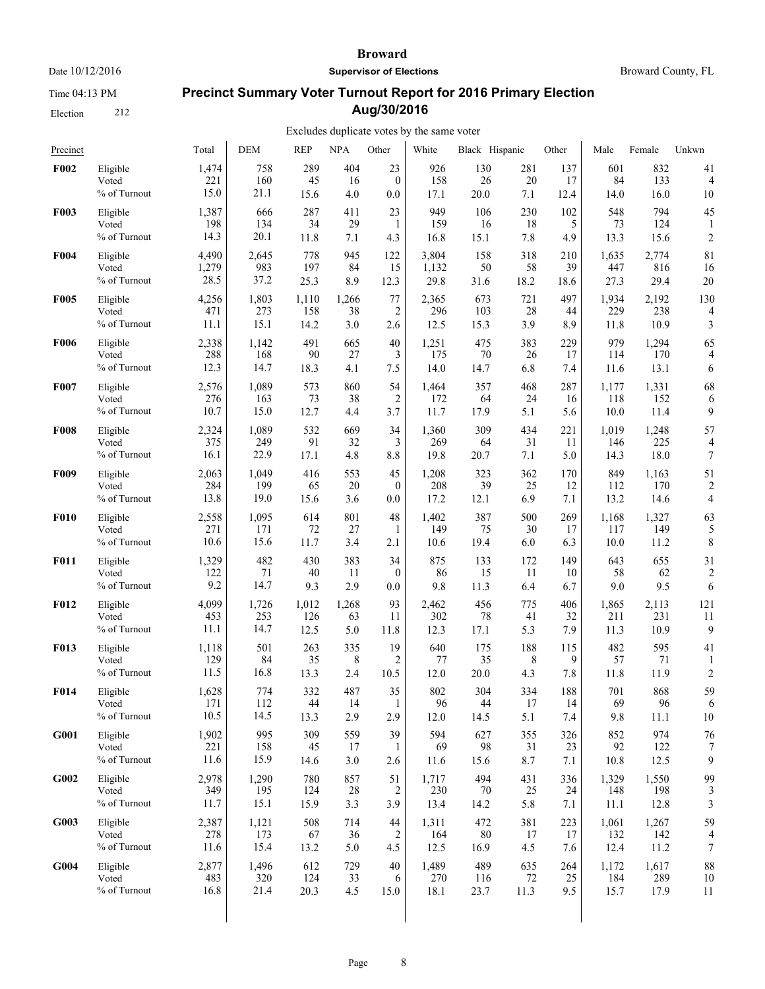Time 04:13 PM

Election 212

#### **Broward**

**Supervisor of Elections**

Broward County, FL

# **Precinct Summary Voter Turnout Report for 2016 Primary Election Aug/30/2016**

| Precinct    |                                   | Total                | <b>DEM</b>         | <b>REP</b>        | <b>NPA</b>       | Other          | White             | Black Hispanic    |                  | Other            | Male              | Female             | Unkwn                   |
|-------------|-----------------------------------|----------------------|--------------------|-------------------|------------------|----------------|-------------------|-------------------|------------------|------------------|-------------------|--------------------|-------------------------|
| F002        | Eligible                          | 1,474                | 758                | 289               | 404              | 23             | 926               | 130               | 281              | 137              | 601               | 832                | 41                      |
|             | Voted                             | 221                  | 160                | 45                | 16               | $\mathbf{0}$   | 158               | 26                | 20               | 17               | 84                | 133                | $\overline{4}$          |
|             | % of Turnout                      | 15.0                 | 21.1               | 15.6              | 4.0              | 0.0            | 17.1              | 20.0              | 7.1              | 12.4             | 14.0              | 16.0               | 10                      |
| F003        | Eligible                          | 1,387                | 666                | 287               | 411              | 23             | 949               | 106               | 230              | 102              | 548               | 794                | 45                      |
|             | Voted                             | 198                  | 134                | 34                | 29               | 1              | 159               | 16                | 18               | 5                | 73                | 124                | 1                       |
|             | % of Turnout                      | 14.3                 | 20.1               | 11.8              | 7.1              | 4.3            | 16.8              | 15.1              | 7.8              | 4.9              | 13.3              | 15.6               | $\overline{c}$          |
| F004        | Eligible                          | 4,490                | 2,645              | 778               | 945              | 122            | 3,804             | 158               | 318              | 210              | 1,635             | 2,774              | 81                      |
|             | Voted                             | 1,279                | 983                | 197               | 84               | 15             | 1,132             | 50                | 58               | 39               | 447               | 816                | 16                      |
|             | % of Turnout                      | 28.5                 | 37.2               | 25.3              | 8.9              | 12.3           | 29.8              | 31.6              | 18.2             | 18.6             | 27.3              | 29.4               | 20                      |
| <b>F005</b> | Eligible                          | 4,256                | 1,803              | 1,110             | 1,266            | 77             | 2,365             | 673               | 721              | 497              | 1,934             | 2,192              | 130                     |
|             | Voted                             | 471                  | 273                | 158               | 38               | 2              | 296               | 103               | 28               | 44               | 229               | 238                | 4                       |
|             | % of Turnout                      | 11.1                 | 15.1               | 14.2              | 3.0              | 2.6            | 12.5              | 15.3              | 3.9              | 8.9              | 11.8              | 10.9               | 3                       |
| <b>F006</b> | Eligible                          | 2,338                | 1,142              | 491               | 665              | 40             | 1,251             | 475               | 383              | 229              | 979               | 1,294              | 65                      |
|             | Voted                             | 288                  | 168                | 90                | 27               | 3              | 175               | 70                | 26               | 17               | 114               | 170                | 4                       |
|             | % of Turnout                      | 12.3                 | 14.7               | 18.3              | 4.1              | 7.5            | 14.0              | 14.7              | 6.8              | 7.4              | 11.6              | 13.1               | 6                       |
| F007        | Eligible                          | 2,576                | 1,089              | 573               | 860              | 54             | 1,464             | 357               | 468              | 287              | 1,177             | 1,331              | 68                      |
|             | Voted                             | 276                  | 163                | 73                | 38               | $\overline{2}$ | 172               | 64                | 24               | 16               | 118               | 152                | 6                       |
|             | % of Turnout                      | 10.7                 | 15.0               | 12.7              | 4.4              | 3.7            | 11.7              | 17.9              | 5.1              | 5.6              | 10.0              | 11.4               | 9                       |
| <b>F008</b> | Eligible                          | 2,324                | 1,089              | 532               | 669              | 34             | 1,360             | 309               | 434              | 221              | 1,019             | 1,248              | 57                      |
|             | Voted                             | 375                  | 249                | 91                | 32               | 3              | 269               | 64                | 31               | 11               | 146               | 225                | 4                       |
|             | % of Turnout                      | 16.1                 | 22.9               | 17.1              | 4.8              | 8.8            | 19.8              | 20.7              | 7.1              | 5.0              | 14.3              | 18.0               | 7                       |
| F009        | Eligible                          | 2,063                | 1,049              | 416               | 553              | 45             | 1,208             | 323               | 362              | 170              | 849               | 1,163              | 51                      |
|             | Voted                             | 284                  | 199                | 65                | 20               | $\mathbf{0}$   | 208               | 39                | 25               | 12               | 112               | 170                | $\overline{\mathbf{c}}$ |
|             | % of Turnout                      | 13.8                 | 19.0               | 15.6              | 3.6              | 0.0            | 17.2              | 12.1              | 6.9              | 7.1              | 13.2              | 14.6               | 4                       |
| <b>F010</b> | Eligible                          | 2,558                | 1,095              | 614               | 801              | 48             | 1,402             | 387               | 500              | 269              | 1,168             | 1,327              | 63                      |
|             | Voted                             | 271                  | 171                | 72                | 27               | 1              | 149               | 75                | 30               | 17               | 117               | 149                | 5                       |
|             | % of Turnout                      | 10.6                 | 15.6               | 11.7              | 3.4              | 2.1            | 10.6              | 19.4              | 6.0              | 6.3              | 10.0              | 11.2               | 8                       |
| <b>F011</b> | Eligible                          | 1,329                | 482                | 430               | 383              | 34             | 875               | 133               | 172              | 149              | 643               | 655                | 31                      |
|             | Voted                             | 122                  | 71                 | 40                | 11               | $\mathbf{0}$   | 86                | 15                | 11               | 10               | 58                | 62                 | $\overline{c}$          |
|             | % of Turnout                      | 9.2                  | 14.7               | 9.3               | 2.9              | 0.0            | 9.8               | 11.3              | 6.4              | 6.7              | 9.0               | 9.5                | 6                       |
| <b>F012</b> | Eligible                          | 4,099                | 1,726              | 1,012             | 1,268            | 93             | 2,462             | 456               | 775              | 406              | 1,865             | 2,113              | 121                     |
|             | Voted                             | 453                  | 253                | 126               | 63               | 11             | 302               | 78                | 41               | 32               | 211               | 231                | 11                      |
|             | $\%$ of Turnout                   | 11.1                 | 14.7               | 12.5              | 5.0              | 11.8           | 12.3              | 17.1              | 5.3              | 7.9              | 11.3              | 10.9               | 9                       |
| F013        | Eligible                          | 1,118                | 501                | 263               | 335              | 19             | 640               | 175               | 188              | 115              | 482               | 595                | 41                      |
|             | Voted                             | 129                  | 84                 | 35                | 8                | 2              | 77                | 35                | 8                | 9                | 57                | 71                 | 1                       |
|             | % of Turnout                      | 11.5                 | 16.8               | 13.3              | 2.4              | 10.5           | 12.0              | 20.0              | 4.3              | 7.8              | 11.8              | 11.9               | $\overline{c}$          |
| <b>F014</b> | Eligible                          | 1,628                | 774                | 332               | 487              | 35             | 802               | 304               | 334              | 188              | 701               | 868                | 59                      |
|             | Voted                             | 171                  | 112                | 44                | 14               | $\mathbf{1}$   | 96                | 44                | 17               | 14               | 69                | 96                 | 6                       |
|             | % of Turnout                      | 10.5                 | 14.5               | 13.3              | 2.9              | 2.9            | 12.0              | 14.5              | 5.1              | 7.4              | 9.8               | 11.1               | 10                      |
| G001        | Eligible<br>Voted<br>% of Turnout | 1,902<br>221<br>11.6 | 995<br>158<br>15.9 | 309<br>45<br>14.6 | 559<br>17<br>3.0 | 39<br>1<br>2.6 | 594<br>69<br>11.6 | 627<br>98<br>15.6 | 355<br>31<br>8.7 | 326<br>23<br>7.1 | 852<br>92<br>10.8 | 974<br>122<br>12.5 | 76<br>9                 |
| G002        | Eligible                          | 2,978                | 1,290              | 780               | 857              | 51             | 1,717             | 494               | 431              | 336              | 1,329             | 1,550              | 99                      |
|             | Voted                             | 349                  | 195                | 124               | 28               | 2              | 230               | 70                | 25               | 24               | 148               | 198                | 3                       |
|             | % of Turnout                      | 11.7                 | 15.1               | 15.9              | 3.3              | 3.9            | 13.4              | 14.2              | 5.8              | 7.1              | 11.1              | 12.8               | 3                       |
| G003        | Eligible                          | 2,387                | 1,121              | 508               | 714              | 44             | 1,311             | 472               | 381              | 223              | 1,061             | 1,267              | 59                      |
|             | Voted                             | 278                  | 173                | 67                | 36               | $\overline{c}$ | 164               | 80                | 17               | 17               | 132               | 142                | 4                       |
|             | % of Turnout                      | 11.6                 | 15.4               | 13.2              | 5.0              | 4.5            | 12.5              | 16.9              | 4.5              | 7.6              | 12.4              | 11.2               | $\boldsymbol{7}$        |
| G004        | Eligible                          | 2,877                | 1,496              | 612               | 729              | 40             | 1,489             | 489               | 635              | 264              | 1,172             | 1,617              | 88                      |
|             | Voted                             | 483                  | 320                | 124               | 33               | 6              | 270               | 116               | 72               | 25               | 184               | 289                | 10                      |
|             | % of Turnout                      | 16.8                 | 21.4               | 20.3              | 4.5              | 15.0           | 18.1              | 23.7              | 11.3             | 9.5              | 15.7              | 17.9               | 11                      |
|             |                                   |                      |                    |                   |                  |                |                   |                   |                  |                  |                   |                    |                         |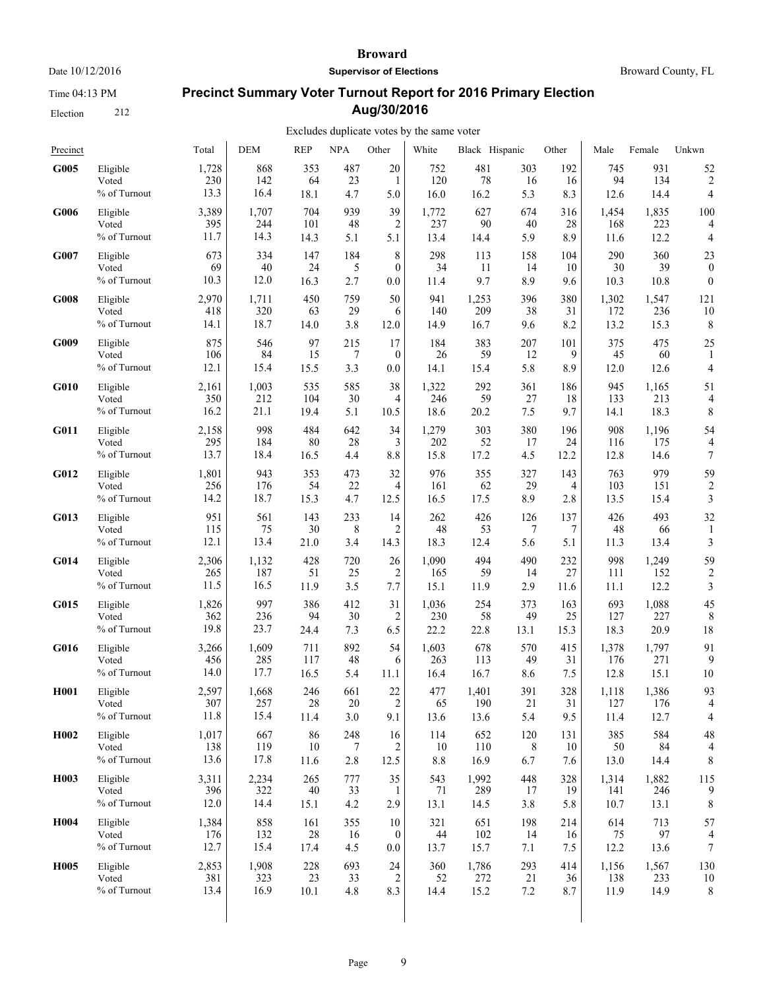Time 04:13 PM

Election 212

#### **Broward**

**Supervisor of Elections**

Broward County, FL

# **Precinct Summary Voter Turnout Report for 2016 Primary Election Aug/30/2016**

| Precinct          |              | Total | <b>DEM</b> | <b>REP</b> | <b>NPA</b> | Other            | White | Black Hispanic |         | Other | Male  | Female | Unkwn                   |
|-------------------|--------------|-------|------------|------------|------------|------------------|-------|----------------|---------|-------|-------|--------|-------------------------|
| G005              | Eligible     | 1,728 | 868        | 353        | 487        | 20               | 752   | 481            | 303     | 192   | 745   | 931    | 52                      |
|                   | Voted        | 230   | 142        | 64         | 23         | 1                | 120   | 78             | 16      | 16    | 94    | 134    | $\overline{\mathbf{c}}$ |
|                   | % of Turnout | 13.3  | 16.4       | 18.1       | 4.7        | 5.0              | 16.0  | 16.2           | 5.3     | 8.3   | 12.6  | 14.4   | 4                       |
| G006              | Eligible     | 3,389 | 1,707      | 704        | 939        | 39               | 1,772 | 627            | 674     | 316   | 1,454 | 1,835  | 100                     |
|                   | Voted        | 395   | 244        | 101        | 48         | 2                | 237   | 90             | 40      | 28    | 168   | 223    | 4                       |
|                   | % of Turnout | 11.7  | 14.3       | 14.3       | 5.1        | 5.1              | 13.4  | 14.4           | 5.9     | 8.9   | 11.6  | 12.2   | 4                       |
| G007              | Eligible     | 673   | 334        | 147        | 184        | 8                | 298   | 113            | 158     | 104   | 290   | 360    | 23                      |
|                   | Voted        | 69    | 40         | 24         | 5          | $\theta$         | 34    | 11             | 14      | 10    | 30    | 39     | $\boldsymbol{0}$        |
|                   | % of Turnout | 10.3  | 12.0       | 16.3       | 2.7        | 0.0              | 11.4  | 9.7            | 8.9     | 9.6   | 10.3  | 10.8   | $\boldsymbol{0}$        |
| G008              | Eligible     | 2,970 | 1,711      | 450        | 759        | 50               | 941   | 1,253          | 396     | 380   | 1,302 | 1,547  | 121                     |
|                   | Voted        | 418   | 320        | 63         | 29         | 6                | 140   | 209            | 38      | 31    | 172   | 236    | 10                      |
|                   | % of Turnout | 14.1  | 18.7       | 14.0       | 3.8        | 12.0             | 14.9  | 16.7           | 9.6     | 8.2   | 13.2  | 15.3   | 8                       |
| G009              | Eligible     | 875   | 546        | 97         | 215        | 17               | 184   | 383            | 207     | 101   | 375   | 475    | 25                      |
|                   | Voted        | 106   | 84         | 15         | 7          | $\boldsymbol{0}$ | 26    | 59             | 12      | 9     | 45    | 60     | 1                       |
|                   | % of Turnout | 12.1  | 15.4       | 15.5       | 3.3        | 0.0              | 14.1  | 15.4           | 5.8     | 8.9   | 12.0  | 12.6   | 4                       |
| G010              | Eligible     | 2,161 | 1,003      | 535        | 585        | 38               | 1,322 | 292            | 361     | 186   | 945   | 1,165  | 51                      |
|                   | Voted        | 350   | 212        | 104        | 30         | 4                | 246   | 59             | 27      | 18    | 133   | 213    | 4                       |
|                   | % of Turnout | 16.2  | 21.1       | 19.4       | 5.1        | 10.5             | 18.6  | 20.2           | 7.5     | 9.7   | 14.1  | 18.3   | 8                       |
| G011              | Eligible     | 2,158 | 998        | 484        | 642        | 34               | 1,279 | 303            | 380     | 196   | 908   | 1,196  | 54                      |
|                   | Voted        | 295   | 184        | 80         | 28         | 3                | 202   | 52             | 17      | 24    | 116   | 175    | 4                       |
|                   | % of Turnout | 13.7  | 18.4       | 16.5       | 4.4        | 8.8              | 15.8  | 17.2           | 4.5     | 12.2  | 12.8  | 14.6   | 7                       |
| G012              | Eligible     | 1,801 | 943        | 353        | 473        | 32               | 976   | 355            | 327     | 143   | 763   | 979    | 59                      |
|                   | Voted        | 256   | 176        | 54         | 22         | 4                | 161   | 62             | 29      | 4     | 103   | 151    | 2                       |
|                   | % of Turnout | 14.2  | 18.7       | 15.3       | 4.7        | 12.5             | 16.5  | 17.5           | 8.9     | 2.8   | 13.5  | 15.4   | 3                       |
| G013              | Eligible     | 951   | 561        | 143        | 233        | 14               | 262   | 426            | 126     | 137   | 426   | 493    | 32                      |
|                   | Voted        | 115   | 75         | 30         | 8          | 2                | 48    | 53             | 7       | 7     | 48    | 66     | 1                       |
|                   | % of Turnout | 12.1  | 13.4       | 21.0       | 3.4        | 14.3             | 18.3  | 12.4           | 5.6     | 5.1   | 11.3  | 13.4   | 3                       |
| G014              | Eligible     | 2,306 | 1,132      | 428        | 720        | 26               | 1,090 | 494            | 490     | 232   | 998   | 1,249  | 59                      |
|                   | Voted        | 265   | 187        | 51         | 25         | $\overline{2}$   | 165   | 59             | 14      | 27    | 111   | 152    | $\overline{2}$          |
|                   | % of Turnout | 11.5  | 16.5       | 11.9       | 3.5        | 7.7              | 15.1  | 11.9           | 2.9     | 11.6  | 11.1  | 12.2   | 3                       |
| G015              | Eligible     | 1,826 | 997        | 386        | 412        | 31               | 1,036 | 254            | 373     | 163   | 693   | 1,088  | 45                      |
|                   | Voted        | 362   | 236        | 94         | 30         | 2                | 230   | 58             | 49      | 25    | 127   | 227    | 8                       |
|                   | % of Turnout | 19.8  | 23.7       | 24.4       | 7.3        | 6.5              | 22.2  | 22.8           | 13.1    | 15.3  | 18.3  | 20.9   | 18                      |
| G016              | Eligible     | 3,266 | 1,609      | 711        | 892        | 54               | 1,603 | 678            | 570     | 415   | 1,378 | 1,797  | 91                      |
|                   | Voted        | 456   | 285        | 117        | 48         | 6                | 263   | 113            | 49      | 31    | 176   | 271    | 9                       |
|                   | % of Turnout | 14.0  | 17.7       | 16.5       | 5.4        | 11.1             | 16.4  | 16.7           | 8.6     | 7.5   | 12.8  | 15.1   | 10                      |
| <b>H001</b>       | Eligible     | 2,597 | 1,668      | 246        | 661        | 22               | 477   | 1,401          | 391     | 328   | 1,118 | 1,386  | 93                      |
|                   | Voted        | 307   | 257        | 28         | 20         | $\overline{2}$   | 65    | 190            | 21      | 31    | 127   | 176    | 4                       |
|                   | % of Turnout | 11.8  | 15.4       | 11.4       | 3.0        | 9.1              | 13.6  | 13.6           | 5.4     | 9.5   | 11.4  | 12.7   | 4                       |
| H <sub>0</sub> 02 | Eligible     | 1,017 | 667        | 86         | 248        | 16               | 114   | 652            | 120     | 131   | 385   | 584    | 48                      |
|                   | Voted        | 138   | 119        | 10         | 7          | 2                | 10    | 110            | 8       | 10    | 50    | 84     | 4                       |
|                   | % of Turnout | 13.6  | 17.8       | 11.6       | $2.8\,$    | 12.5             | 8.8   | 16.9           | 6.7     | 7.6   | 13.0  | 14.4   | 8                       |
| H <sub>0</sub> 03 | Eligible     | 3,311 | 2,234      | 265        | 777        | 35               | 543   | 1,992          | 448     | 328   | 1,314 | 1,882  | 115                     |
|                   | Voted        | 396   | 322        | $40\,$     | 33         | -1               | 71    | 289            | 17      | 19    | 141   | 246    | 9                       |
|                   | % of Turnout | 12.0  | 14.4       | 15.1       | 4.2        | 2.9              | 13.1  | 14.5           | 3.8     | 5.8   | 10.7  | 13.1   | 8                       |
| H004              | Eligible     | 1,384 | 858        | 161        | 355        | 10               | 321   | 651            | 198     | 214   | 614   | 713    | 57                      |
|                   | Voted        | 176   | 132        | 28         | 16         | $\boldsymbol{0}$ | 44    | 102            | 14      | 16    | 75    | 97     | 4                       |
|                   | % of Turnout | 12.7  | 15.4       | 17.4       | 4.5        | 0.0              | 13.7  | 15.7           | 7.1     | 7.5   | 12.2  | 13.6   | 7                       |
| H <sub>005</sub>  | Eligible     | 2,853 | 1,908      | 228        | 693        | 24               | 360   | 1,786          | 293     | 414   | 1,156 | 1,567  | 130                     |
|                   | Voted        | 381   | 323        | 23         | 33         | $\overline{2}$   | 52    | 272            | 21      | 36    | 138   | 233    | 10                      |
|                   | % of Turnout | 13.4  | 16.9       | 10.1       | 4.8        | 8.3              | 14.4  | 15.2           | $7.2\,$ | 8.7   | 11.9  | 14.9   | 8                       |
|                   |              |       |            |            |            |                  |       |                |         |       |       |        |                         |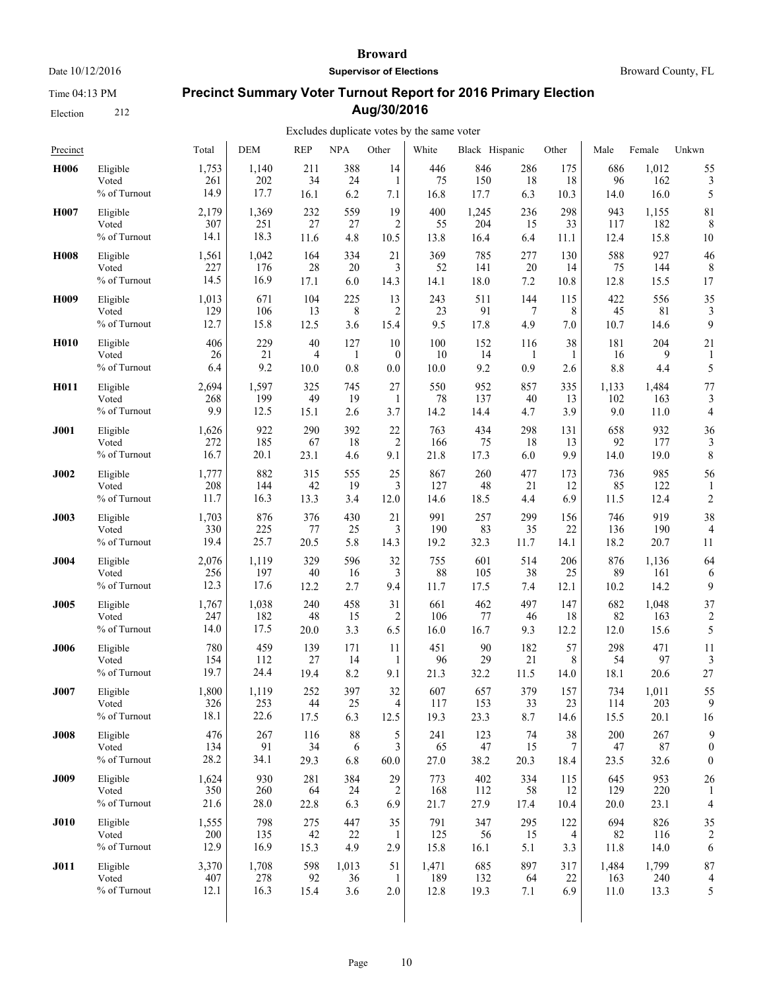Time 04:13 PM

Election 212

#### **Broward**

**Supervisor of Elections**

# **Precinct Summary Voter Turnout Report for 2016 Primary Election Aug/30/2016**

# Excludes duplicate votes by the same voter

| Precinct         |                                   | Total                | <b>DEM</b>         | <b>REP</b>        | <b>NPA</b>       | Other            | White              | Black Hispanic     |                   | Other             | Male               | Female             | Unkwn                    |
|------------------|-----------------------------------|----------------------|--------------------|-------------------|------------------|------------------|--------------------|--------------------|-------------------|-------------------|--------------------|--------------------|--------------------------|
| H006             | Eligible                          | 1,753                | 1,140              | 211               | 388              | 14               | 446                | 846                | 286               | 175               | 686                | 1,012              | 55                       |
|                  | Voted                             | 261                  | 202                | 34                | 24               | $\mathbf{1}$     | 75                 | 150                | 18                | 18                | 96                 | 162                | 3                        |
|                  | % of Turnout                      | 14.9                 | 17.7               | 16.1              | 6.2              | 7.1              | 16.8               | 17.7               | 6.3               | 10.3              | 14.0               | 16.0               | 5                        |
| H007             | Eligible                          | 2,179                | 1,369              | 232               | 559              | 19               | 400                | 1,245              | 236               | 298               | 943                | 1,155              | 81                       |
|                  | Voted                             | 307                  | 251                | 27                | 27               | $\overline{2}$   | 55                 | 204                | 15                | 33                | 117                | 182                | 8                        |
|                  | % of Turnout                      | 14.1                 | 18.3               | 11.6              | 4.8              | 10.5             | 13.8               | 16.4               | 6.4               | 11.1              | 12.4               | 15.8               | 10                       |
| <b>H008</b>      | Eligible                          | 1,561                | 1,042              | 164               | 334              | 21               | 369                | 785                | 277               | 130               | 588                | 927                | 46                       |
|                  | Voted                             | 227                  | 176                | 28                | 20               | 3                | 52                 | 141                | 20                | 14                | 75                 | 144                | 8                        |
|                  | % of Turnout                      | 14.5                 | 16.9               | 17.1              | 6.0              | 14.3             | 14.1               | 18.0               | 7.2               | 10.8              | 12.8               | 15.5               | 17                       |
| H <sub>009</sub> | Eligible                          | 1,013                | 671                | 104               | 225              | 13               | 243                | 511                | 144               | 115               | 422                | 556                | 35                       |
|                  | Voted                             | 129                  | 106                | 13                | 8                | 2                | 23                 | 91                 | 7                 | 8                 | 45                 | $81\,$             | 3                        |
|                  | % of Turnout                      | 12.7                 | 15.8               | 12.5              | 3.6              | 15.4             | 9.5                | 17.8               | 4.9               | 7.0               | 10.7               | 14.6               | 9                        |
| <b>H010</b>      | Eligible                          | 406                  | 229                | 40                | 127              | 10               | 100                | 152                | 116               | 38                | 181                | 204                | 21                       |
|                  | Voted                             | 26                   | 21                 | 4                 | $\mathbf{1}$     | $\boldsymbol{0}$ | 10                 | 14                 | $\mathbf{1}$      | 1                 | 16                 | 9                  | 1                        |
|                  | % of Turnout                      | 6.4                  | 9.2                | 10.0              | 0.8              | 0.0              | 10.0               | 9.2                | 0.9               | 2.6               | 8.8                | 4.4                | 5                        |
| H011             | Eligible                          | 2,694                | 1,597              | 325               | 745              | 27               | 550                | 952                | 857               | 335               | 1,133              | 1,484              | 77                       |
|                  | Voted                             | 268                  | 199                | 49                | 19               | 1                | 78                 | 137                | 40                | 13                | 102                | 163                | 3                        |
|                  | % of Turnout                      | 9.9                  | 12.5               | 15.1              | 2.6              | 3.7              | 14.2               | 14.4               | 4.7               | 3.9               | 9.0                | 11.0               | $\overline{4}$           |
| J001             | Eligible                          | 1,626                | 922                | 290               | 392              | $22\,$           | 763                | 434                | 298               | 131               | 658                | 932                | 36                       |
|                  | Voted                             | 272                  | 185                | 67                | 18               | $\overline{2}$   | 166                | 75                 | 18                | 13                | 92                 | 177                | 3                        |
|                  | % of Turnout                      | 16.7                 | 20.1               | 23.1              | 4.6              | 9.1              | 21.8               | 17.3               | 6.0               | 9.9               | 14.0               | 19.0               | 8                        |
| J002             | Eligible<br>Voted<br>% of Turnout | 1,777<br>208<br>11.7 | 882<br>144<br>16.3 | 315<br>42<br>13.3 | 555<br>19<br>3.4 | 25<br>3<br>12.0  | 867<br>127<br>14.6 | 260<br>48<br>18.5  | 477<br>21<br>4.4  | 173<br>12<br>6.9  | 736<br>85<br>11.5  | 985<br>122<br>12.4 | 56<br>$\overline{c}$     |
| J003             | Eligible                          | 1,703                | 876                | 376               | 430              | 21               | 991                | 257                | 299               | 156               | 746                | 919                | 38                       |
|                  | Voted                             | 330                  | 225                | 77                | 25               | 3                | 190                | 83                 | 35                | 22                | 136                | 190                | $\overline{4}$           |
|                  | % of Turnout                      | 19.4                 | 25.7               | 20.5              | 5.8              | 14.3             | 19.2               | 32.3               | 11.7              | 14.1              | 18.2               | 20.7               | 11                       |
| J004             | Eligible                          | 2,076                | 1,119              | 329               | 596              | 32               | 755                | 601                | 514               | 206               | 876                | 1,136              | 64                       |
|                  | Voted                             | 256                  | 197                | 40                | 16               | 3                | 88                 | 105                | 38                | 25                | 89                 | 161                | 6                        |
|                  | % of Turnout                      | 12.3                 | 17.6               | 12.2              | 2.7              | 9.4              | 11.7               | 17.5               | 7.4               | 12.1              | 10.2               | 14.2               | 9                        |
| <b>J005</b>      | Eligible                          | 1,767                | 1,038              | 240               | 458              | 31               | 661                | 462                | 497               | 147               | 682                | 1,048              | 37                       |
|                  | Voted                             | 247                  | 182                | 48                | 15               | 2                | 106                | 77                 | 46                | 18                | 82                 | 163                | $\overline{c}$           |
|                  | % of Turnout                      | 14.0                 | 17.5               | 20.0              | 3.3              | 6.5              | 16.0               | 16.7               | 9.3               | 12.2              | 12.0               | 15.6               | 5                        |
| <b>J006</b>      | Eligible                          | 780                  | 459                | 139               | 171              | 11               | 451                | 90                 | 182               | 57                | 298                | 471                | 11                       |
|                  | Voted                             | 154                  | 112                | 27                | 14               | 1                | 96                 | 29                 | 21                | 8                 | 54                 | 97                 | 3                        |
|                  | % of Turnout                      | 19.7                 | 24.4               | 19.4              | 8.2              | 9.1              | 21.3               | 32.2               | 11.5              | 14.0              | 18.1               | 20.6               | 27                       |
| <b>J007</b>      | Eligible                          | 1,800                | 1,119              | 252               | 397              | 32               | 607                | 657                | 379               | 157               | 734                | 1,011              | 55                       |
|                  | Voted                             | 326                  | 253                | 44                | 25               | 4                | 117                | 153                | 33                | 23                | 114                | 203                | 9                        |
|                  | % of Turnout                      | 18.1                 | 22.6               | 17.5              | 6.3              | 12.5             | 19.3               | 23.3               | 8.7               | 14.6              | 15.5               | 20.1               | 16                       |
| <b>J008</b>      | Eligible                          | 476                  | 267                | 116               | 88               | 5                | 241                | 123                | 74                | 38                | 200                | 267                | 9                        |
|                  | Voted                             | 134                  | 91                 | 34                | 6                | 3                | 65                 | 47                 | 15                | 7                 | 47                 | 87                 | $\boldsymbol{0}$         |
|                  | % of Turnout                      | 28.2                 | 34.1               | 29.3              | 6.8              | 60.0             | 27.0               | 38.2               | 20.3              | 18.4              | 23.5               | 32.6               | $\mathbf{0}$             |
| <b>J009</b>      | Eligible<br>Voted<br>% of Turnout | 1,624<br>350<br>21.6 | 930<br>260<br>28.0 | 281<br>64<br>22.8 | 384<br>24<br>6.3 | 29<br>2<br>6.9   | 773<br>168<br>21.7 | 402<br>112<br>27.9 | 334<br>58<br>17.4 | 115<br>12<br>10.4 | 645<br>129<br>20.0 | 953<br>220<br>23.1 | 26<br>$\overline{4}$     |
| <b>J010</b>      | Eligible                          | 1,555                | 798                | 275               | 447              | 35               | 791                | 347                | 295               | 122               | 694                | 826                | 35                       |
|                  | Voted                             | 200                  | 135                | 42                | 22               | $\mathbf{1}$     | 125                | 56                 | 15                | 4                 | 82                 | 116                | $\overline{2}$           |
|                  | % of Turnout                      | 12.9                 | 16.9               | 15.3              | 4.9              | 2.9              | 15.8               | 16.1               | 5.1               | 3.3               | 11.8               | 14.0               | 6                        |
| <b>J011</b>      | Eligible                          | 3,370                | 1,708              | 598               | 1,013            | 51               | 1,471              | 685                | 897               | 317               | 1,484              | 1,799              | 87                       |
|                  | Voted                             | 407                  | 278                | 92                | 36               | $\mathbf{1}$     | 189                | 132                | 64                | 22                | 163                | 240                | $\overline{\mathcal{L}}$ |
|                  | % of Turnout                      | 12.1                 | 16.3               | 15.4              | 3.6              | 2.0              | 12.8               | 19.3               | 7.1               | 6.9               | 11.0               | 13.3               | 5                        |
|                  |                                   |                      |                    |                   |                  |                  |                    |                    |                   |                   |                    |                    |                          |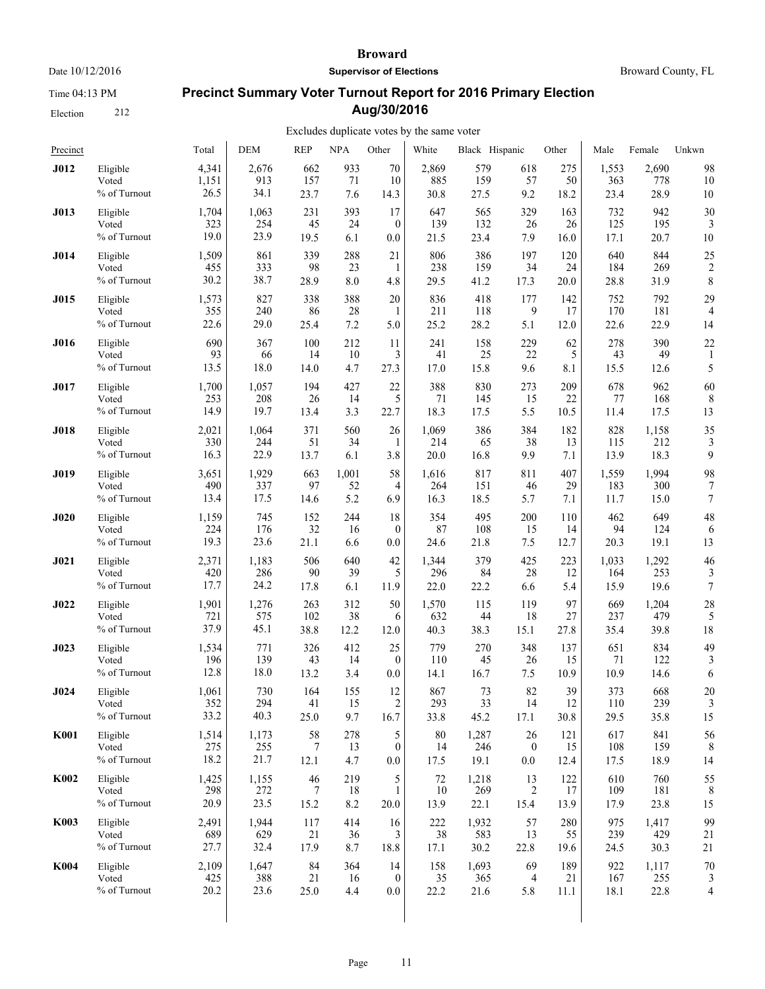Time 04:13 PM

Election 212

#### **Broward**

**Supervisor of Elections**

Broward County, FL

# **Precinct Summary Voter Turnout Report for 2016 Primary Election Aug/30/2016**

| Precinct    |              | Total | <b>DEM</b> | <b>REP</b> | <b>NPA</b> | Other            | White | Black Hispanic |                  | Other | Male  | Female | Unkwn          |
|-------------|--------------|-------|------------|------------|------------|------------------|-------|----------------|------------------|-------|-------|--------|----------------|
| <b>J012</b> | Eligible     | 4,341 | 2,676      | 662        | 933        | 70               | 2.869 | 579            | 618              | 275   | 1,553 | 2,690  | 98             |
|             | Voted        | 1,151 | 913        | 157        | 71         | 10               | 885   | 159            | 57               | 50    | 363   | 778    | 10             |
|             | % of Turnout | 26.5  | 34.1       | 23.7       | 7.6        | 14.3             | 30.8  | 27.5           | 9.2              | 18.2  | 23.4  | 28.9   | 10             |
| J013        | Eligible     | 1,704 | 1,063      | 231        | 393        | 17               | 647   | 565            | 329              | 163   | 732   | 942    | 30             |
|             | Voted        | 323   | 254        | 45         | 24         | $\theta$         | 139   | 132            | 26               | 26    | 125   | 195    | 3              |
|             | % of Turnout | 19.0  | 23.9       | 19.5       | 6.1        | 0.0              | 21.5  | 23.4           | 7.9              | 16.0  | 17.1  | 20.7   | 10             |
| J014        | Eligible     | 1,509 | 861        | 339        | 288        | 21               | 806   | 386            | 197              | 120   | 640   | 844    | 25             |
|             | Voted        | 455   | 333        | 98         | 23         | 1                | 238   | 159            | 34               | 24    | 184   | 269    | $\overline{c}$ |
|             | % of Turnout | 30.2  | 38.7       | 28.9       | 8.0        | 4.8              | 29.5  | 41.2           | 17.3             | 20.0  | 28.8  | 31.9   | 8              |
| <b>J015</b> | Eligible     | 1,573 | 827        | 338        | 388        | 20               | 836   | 418            | 177              | 142   | 752   | 792    | 29             |
|             | Voted        | 355   | 240        | 86         | 28         | 1                | 211   | 118            | 9                | 17    | 170   | 181    | $\overline{4}$ |
|             | % of Turnout | 22.6  | 29.0       | 25.4       | 7.2        | 5.0              | 25.2  | 28.2           | 5.1              | 12.0  | 22.6  | 22.9   | 14             |
| J016        | Eligible     | 690   | 367        | 100        | 212        | 11               | 241   | 158            | 229              | 62    | 278   | 390    | 22             |
|             | Voted        | 93    | 66         | 14         | 10         | 3                | 41    | 25             | 22               | 5     | 43    | 49     | 1              |
|             | % of Turnout | 13.5  | 18.0       | 14.0       | 4.7        | 27.3             | 17.0  | 15.8           | 9.6              | 8.1   | 15.5  | 12.6   | 5              |
| J017        | Eligible     | 1,700 | 1,057      | 194        | 427        | 22               | 388   | 830            | 273              | 209   | 678   | 962    | 60             |
|             | Voted        | 253   | 208        | 26         | 14         | 5                | 71    | 145            | 15               | 22    | 77    | 168    | 8              |
|             | % of Turnout | 14.9  | 19.7       | 13.4       | 3.3        | 22.7             | 18.3  | 17.5           | 5.5              | 10.5  | 11.4  | 17.5   | 13             |
| <b>J018</b> | Eligible     | 2,021 | 1,064      | 371        | 560        | 26               | 1,069 | 386            | 384              | 182   | 828   | 1,158  | 35             |
|             | Voted        | 330   | 244        | 51         | 34         | 1                | 214   | 65             | 38               | 13    | 115   | 212    | 3              |
|             | % of Turnout | 16.3  | 22.9       | 13.7       | 6.1        | 3.8              | 20.0  | 16.8           | 9.9              | 7.1   | 13.9  | 18.3   | 9              |
| J019        | Eligible     | 3,651 | 1,929      | 663        | 1,001      | 58               | 1,616 | 817            | 811              | 407   | 1,559 | 1,994  | 98             |
|             | Voted        | 490   | 337        | 97         | 52         | 4                | 264   | 151            | 46               | 29    | 183   | 300    | 7              |
|             | % of Turnout | 13.4  | 17.5       | 14.6       | 5.2        | 6.9              | 16.3  | 18.5           | 5.7              | 7.1   | 11.7  | 15.0   | $\overline{7}$ |
| <b>J020</b> | Eligible     | 1,159 | 745        | 152        | 244        | 18               | 354   | 495            | 200              | 110   | 462   | 649    | 48             |
|             | Voted        | 224   | 176        | 32         | 16         | $\theta$         | 87    | 108            | 15               | 14    | 94    | 124    | 6              |
|             | % of Turnout | 19.3  | 23.6       | 21.1       | 6.6        | 0.0              | 24.6  | 21.8           | 7.5              | 12.7  | 20.3  | 19.1   | 13             |
| J021        | Eligible     | 2,371 | 1,183      | 506        | 640        | 42               | 1,344 | 379            | 425              | 223   | 1,033 | 1,292  | 46             |
|             | Voted        | 420   | 286        | 90         | 39         | 5                | 296   | 84             | 28               | 12    | 164   | 253    | 3              |
|             | % of Turnout | 17.7  | 24.2       | 17.8       | 6.1        | 11.9             | 22.0  | 22.2           | 6.6              | 5.4   | 15.9  | 19.6   | 7              |
| J022        | Eligible     | 1,901 | 1,276      | 263        | 312        | 50               | 1,570 | 115            | 119              | 97    | 669   | 1,204  | 28             |
|             | Voted        | 721   | 575        | 102        | 38         | 6                | 632   | 44             | 18               | 27    | 237   | 479    | 5              |
|             | % of Turnout | 37.9  | 45.1       | 38.8       | 12.2       | 12.0             | 40.3  | 38.3           | 15.1             | 27.8  | 35.4  | 39.8   | 18             |
| <b>J023</b> | Eligible     | 1,534 | 771        | 326        | 412        | 25               | 779   | 270            | 348              | 137   | 651   | 834    | 49             |
|             | Voted        | 196   | 139        | 43         | 14         | $\theta$         | 110   | 45             | 26               | 15    | 71    | 122    | 3              |
|             | % of Turnout | 12.8  | 18.0       | 13.2       | 3.4        | 0.0              | 14.1  | 16.7           | 7.5              | 10.9  | 10.9  | 14.6   | 6              |
| J024        | Eligible     | 1,061 | 730        | 164        | 155        | 12               | 867   | 73             | 82               | 39    | 373   | 668    | 20             |
|             | Voted        | 352   | 294        | 41         | 15         | $\overline{2}$   | 293   | 33             | 14               | 12    | 110   | 239    | 3              |
|             | % of Turnout | 33.2  | 40.3       | 25.0       | 9.7        | 16.7             | 33.8  | 45.2           | 17.1             | 30.8  | 29.5  | 35.8   | 15             |
| <b>K001</b> | Eligible     | 1,514 | 1,173      | 58         | 278        | 5                | 80    | 1,287          | $26\,$           | 121   | 617   | 841    | 56             |
|             | Voted        | 275   | 255        | 7          | 13         | $\boldsymbol{0}$ | 14    | 246            | $\boldsymbol{0}$ | 15    | 108   | 159    | 8              |
|             | % of Turnout | 18.2  | 21.7       | 12.1       | 4.7        | $0.0\,$          | 17.5  | 19.1           | $0.0\,$          | 12.4  | 17.5  | 18.9   | 14             |
| K002        | Eligible     | 1,425 | 1,155      | 46         | 219        | 5                | 72    | 1,218          | 13               | 122   | 610   | 760    | 55             |
|             | Voted        | 298   | 272        | $\tau$     | 18         | 1                | 10    | 269            | 2                | 17    | 109   | 181    | 8              |
|             | % of Turnout | 20.9  | 23.5       | 15.2       | 8.2        | 20.0             | 13.9  | 22.1           | 15.4             | 13.9  | 17.9  | 23.8   | 15             |
| <b>K003</b> | Eligible     | 2,491 | 1,944      | 117        | 414        | 16               | 222   | 1,932          | 57               | 280   | 975   | 1,417  | 99             |
|             | Voted        | 689   | 629        | 21         | 36         | 3                | 38    | 583            | 13               | 55    | 239   | 429    | 21             |
|             | % of Turnout | 27.7  | 32.4       | 17.9       | 8.7        | 18.8             | 17.1  | 30.2           | 22.8             | 19.6  | 24.5  | 30.3   | 21             |
| <b>K004</b> | Eligible     | 2,109 | 1,647      | 84         | 364        | 14               | 158   | 1,693          | 69               | 189   | 922   | 1,117  | 70             |
|             | Voted        | 425   | 388        | 21         | 16         | $\mathbf{0}$     | 35    | 365            | 4                | 21    | 167   | 255    | 3              |
|             | % of Turnout | 20.2  | 23.6       | 25.0       | 4.4        | $0.0\,$          | 22.2  | 21.6           | 5.8              | 11.1  | 18.1  | 22.8   | $\overline{4}$ |
|             |              |       |            |            |            |                  |       |                |                  |       |       |        |                |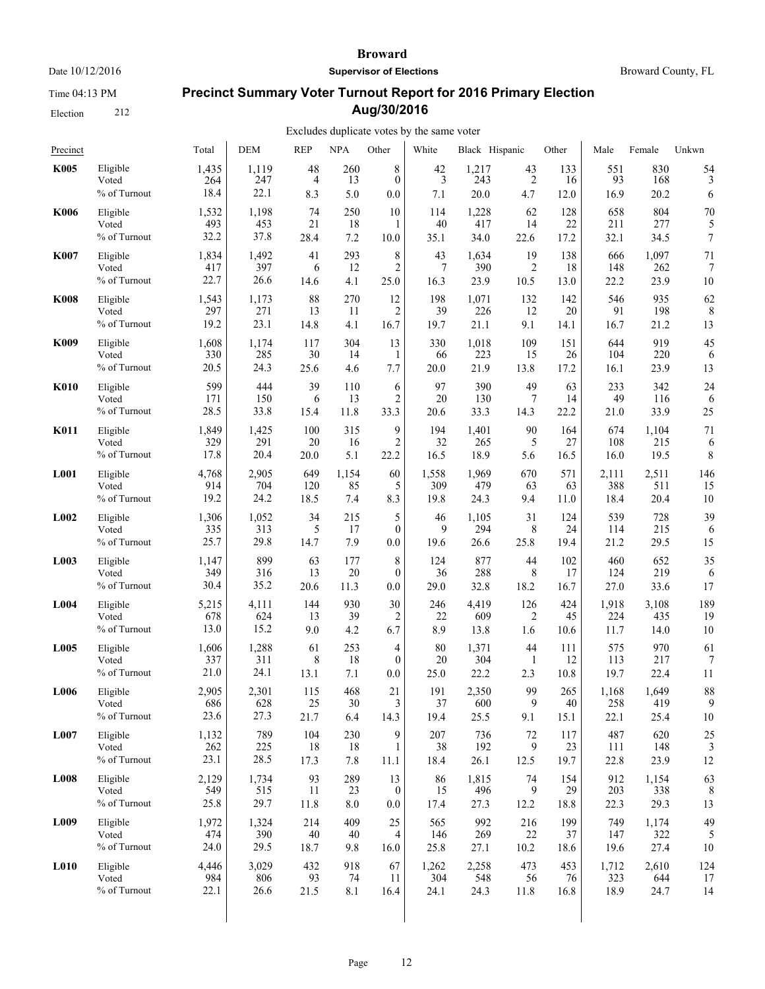Time 04:13 PM

Election 212

#### **Broward**

**Supervisor of Elections**

Broward County, FL

# **Precinct Summary Voter Turnout Report for 2016 Primary Election Aug/30/2016**

| Precinct    |                                   | Total                | <b>DEM</b>           | <b>REP</b>     | <b>NPA</b>       | Other                    | White                 | Black Hispanic       |                                               | Other             | Male              | Female             | Unkwn            |
|-------------|-----------------------------------|----------------------|----------------------|----------------|------------------|--------------------------|-----------------------|----------------------|-----------------------------------------------|-------------------|-------------------|--------------------|------------------|
| <b>K005</b> | Eligible<br>Voted<br>% of Turnout | 1,435<br>264<br>18.4 | 1,119<br>247<br>22.1 | 48<br>4<br>8.3 | 260<br>13<br>5.0 | 8<br>$\mathbf{0}$<br>0.0 | $\frac{42}{3}$<br>7.1 | 1,217<br>243<br>20.0 | $\begin{array}{c} 43 \\ 2 \end{array}$<br>4.7 | 133<br>16<br>12.0 | 551<br>93<br>16.9 | 830<br>168<br>20.2 | 54<br>3<br>6     |
| <b>K006</b> | Eligible                          | 1,532                | 1,198                | 74             | 250              | 10                       | 114                   | 1,228                | 62                                            | 128               | 658               | 804                | 70               |
|             | Voted                             | 493                  | 453                  | 21             | 18               | 1                        | 40                    | 417                  | 14                                            | 22                | 211               | 277                | 5                |
|             | % of Turnout                      | 32.2                 | 37.8                 | 28.4           | 7.2              | 10.0                     | 35.1                  | 34.0                 | 22.6                                          | 17.2              | 32.1              | 34.5               | $\boldsymbol{7}$ |
| <b>K007</b> | Eligible                          | 1,834                | 1,492                | 41             | 293              | 8                        | 43                    | 1,634                | 19                                            | 138               | 666               | 1,097              | 71               |
|             | Voted                             | 417                  | 397                  | 6              | 12               | $\overline{2}$           | 7                     | 390                  | $\overline{2}$                                | 18                | 148               | 262                | 7                |
|             | % of Turnout                      | 22.7                 | 26.6                 | 14.6           | 4.1              | 25.0                     | 16.3                  | 23.9                 | 10.5                                          | 13.0              | 22.2              | 23.9               | 10               |
| <b>K008</b> | Eligible                          | 1,543                | 1,173                | 88             | 270              | 12                       | 198                   | 1,071                | 132                                           | 142               | 546               | 935                | 62               |
|             | Voted                             | 297                  | 271                  | 13             | 11               | 2                        | 39                    | 226                  | 12                                            | 20                | 91                | 198                | 8                |
|             | % of Turnout                      | 19.2                 | 23.1                 | 14.8           | 4.1              | 16.7                     | 19.7                  | 21.1                 | 9.1                                           | 14.1              | 16.7              | 21.2               | 13               |
| K009        | Eligible                          | 1,608                | 1,174                | 117            | 304              | 13                       | 330                   | 1,018                | 109                                           | 151               | 644               | 919                | 45               |
|             | Voted                             | 330                  | 285                  | 30             | 14               | 1                        | 66                    | 223                  | 15                                            | 26                | 104               | 220                | 6                |
|             | % of Turnout                      | 20.5                 | 24.3                 | 25.6           | 4.6              | 7.7                      | 20.0                  | 21.9                 | 13.8                                          | 17.2              | 16.1              | 23.9               | 13               |
| <b>K010</b> | Eligible                          | 599                  | 444                  | 39             | 110              | 6                        | 97                    | 390                  | 49                                            | 63                | 233               | 342                | 24               |
|             | Voted                             | 171                  | 150                  | 6              | 13               | $\overline{2}$           | 20                    | 130                  | 7                                             | 14                | 49                | 116                | 6                |
|             | % of Turnout                      | 28.5                 | 33.8                 | 15.4           | 11.8             | 33.3                     | 20.6                  | 33.3                 | 14.3                                          | 22.2              | 21.0              | 33.9               | 25               |
| <b>K011</b> | Eligible                          | 1,849                | 1,425                | 100            | 315              | 9                        | 194                   | 1,401                | 90                                            | 164               | 674               | 1,104              | 71               |
|             | Voted                             | 329                  | 291                  | 20             | 16               | $\overline{2}$           | 32                    | 265                  | 5                                             | 27                | 108               | 215                | 6                |
|             | % of Turnout                      | 17.8                 | 20.4                 | 20.0           | 5.1              | 22.2                     | 16.5                  | 18.9                 | 5.6                                           | 16.5              | 16.0              | 19.5               | 8                |
| L001        | Eligible                          | 4,768                | 2,905                | 649            | 1,154            | 60                       | 1,558                 | 1,969                | 670                                           | 571               | 2,111             | 2,511              | 146              |
|             | Voted                             | 914                  | 704                  | 120            | 85               | 5                        | 309                   | 479                  | 63                                            | 63                | 388               | 511                | 15               |
|             | % of Turnout                      | 19.2                 | 24.2                 | 18.5           | 7.4              | 8.3                      | 19.8                  | 24.3                 | 9.4                                           | 11.0              | 18.4              | 20.4               | 10               |
| L002        | Eligible                          | 1,306                | 1,052                | 34             | 215              | 5                        | 46                    | 1,105                | 31                                            | 124               | 539               | 728                | 39               |
|             | Voted                             | 335                  | 313                  | 5              | 17               | $\boldsymbol{0}$         | 9                     | 294                  | 8                                             | 24                | 114               | 215                | 6                |
|             | % of Turnout                      | 25.7                 | 29.8                 | 14.7           | 7.9              | 0.0                      | 19.6                  | 26.6                 | 25.8                                          | 19.4              | 21.2              | 29.5               | 15               |
| L003        | Eligible                          | 1,147                | 899                  | 63             | 177              | 8                        | 124                   | 877                  | 44                                            | 102               | 460               | 652                | 35               |
|             | Voted                             | 349                  | 316                  | 13             | 20               | $\overline{0}$           | 36                    | 288                  | 8                                             | 17                | 124               | 219                | 6                |
|             | % of Turnout                      | 30.4                 | 35.2                 | 20.6           | 11.3             | 0.0                      | 29.0                  | 32.8                 | 18.2                                          | 16.7              | 27.0              | 33.6               | 17               |
| L004        | Eligible                          | 5,215                | 4,111                | 144            | 930              | 30                       | 246                   | 4,419                | 126                                           | 424               | 1,918             | 3,108              | 189              |
|             | Voted                             | 678                  | 624                  | 13             | 39               | 2                        | 22                    | 609                  | 2                                             | 45                | 224               | 435                | 19               |
|             | % of Turnout                      | 13.0                 | 15.2                 | 9.0            | 4.2              | 6.7                      | 8.9                   | 13.8                 | 1.6                                           | 10.6              | 11.7              | 14.0               | 10               |
| L005        | Eligible                          | 1,606                | 1,288                | 61             | 253              | $\overline{4}$           | 80                    | 1,371                | 44                                            | 111               | 575               | 970                | 61               |
|             | Voted                             | 337                  | 311                  | 8              | 18               | $\overline{0}$           | 20                    | 304                  | 1                                             | 12                | 113               | 217                | 7                |
|             | % of Turnout                      | 21.0                 | 24.1                 | 13.1           | 7.1              | 0.0                      | 25.0                  | 22.2                 | 2.3                                           | 10.8              | 19.7              | 22.4               | 11               |
| L006        | Eligible                          | 2.905                | 2,301                | 115            | 468              | 21                       | 191                   | 2,350                | 99                                            | 265               | 1,168             | 1.649              | 88               |
|             | Voted                             | 686                  | 628                  | 25             | 30               | 3                        | 37                    | 600                  | 9                                             | 40                | 258               | 419                | 9                |
|             | % of Turnout                      | 23.6                 | 27.3                 | 21.7           | 6.4              | 14.3                     | 19.4                  | 25.5                 | 9.1                                           | 15.1              | 22.1              | 25.4               | 10               |
| L007        | Eligible                          | 1,132                | 789                  | 104            | 230              | 9                        | 207                   | 736                  | $72\,$                                        | 117               | 487               | 620                | 25               |
|             | Voted                             | 262                  | 225                  | 18             | 18               | $\mathbf{1}$             | 38                    | 192                  | 9                                             | 23                | 111               | 148                | 3                |
|             | % of Turnout                      | 23.1                 | 28.5                 | 17.3           | $7.8\,$          | 11.1                     | 18.4                  | 26.1                 | 12.5                                          | 19.7              | 22.8              | 23.9               | 12               |
| <b>L008</b> | Eligible                          | 2,129                | 1,734                | 93             | 289              | 13                       | 86                    | 1,815                | 74                                            | 154               | 912               | 1,154              | 63               |
|             | Voted                             | 549                  | 515                  | 11             | 23               | $\bf{0}$                 | 15                    | 496                  | 9                                             | 29                | 203               | 338                | 8                |
|             | % of Turnout                      | 25.8                 | 29.7                 | 11.8           | $8.0\,$          | 0.0                      | 17.4                  | 27.3                 | 12.2                                          | 18.8              | 22.3              | 29.3               | 13               |
| L009        | Eligible                          | 1,972                | 1,324                | 214            | 409              | 25                       | 565                   | 992                  | 216                                           | 199               | 749               | 1,174              | 49               |
|             | Voted                             | 474                  | 390                  | $40\,$         | 40               | 4                        | 146                   | 269                  | 22                                            | 37                | 147               | 322                | 5                |
|             | % of Turnout                      | 24.0                 | 29.5                 | 18.7           | 9.8              | 16.0                     | 25.8                  | 27.1                 | 10.2                                          | 18.6              | 19.6              | 27.4               | 10               |
| <b>L010</b> | Eligible                          | 4,446                | 3,029                | 432            | 918              | 67                       | 1,262                 | 2,258                | 473                                           | 453               | 1,712             | 2,610              | 124              |
|             | Voted                             | 984                  | 806                  | 93             | 74               | 11                       | 304                   | 548                  | 56                                            | 76                | 323               | 644                | 17               |
|             | % of Turnout                      | 22.1                 | 26.6                 | 21.5           | $8.1\,$          | 16.4                     | 24.1                  | 24.3                 | 11.8                                          | 16.8              | 18.9              | 24.7               | 14               |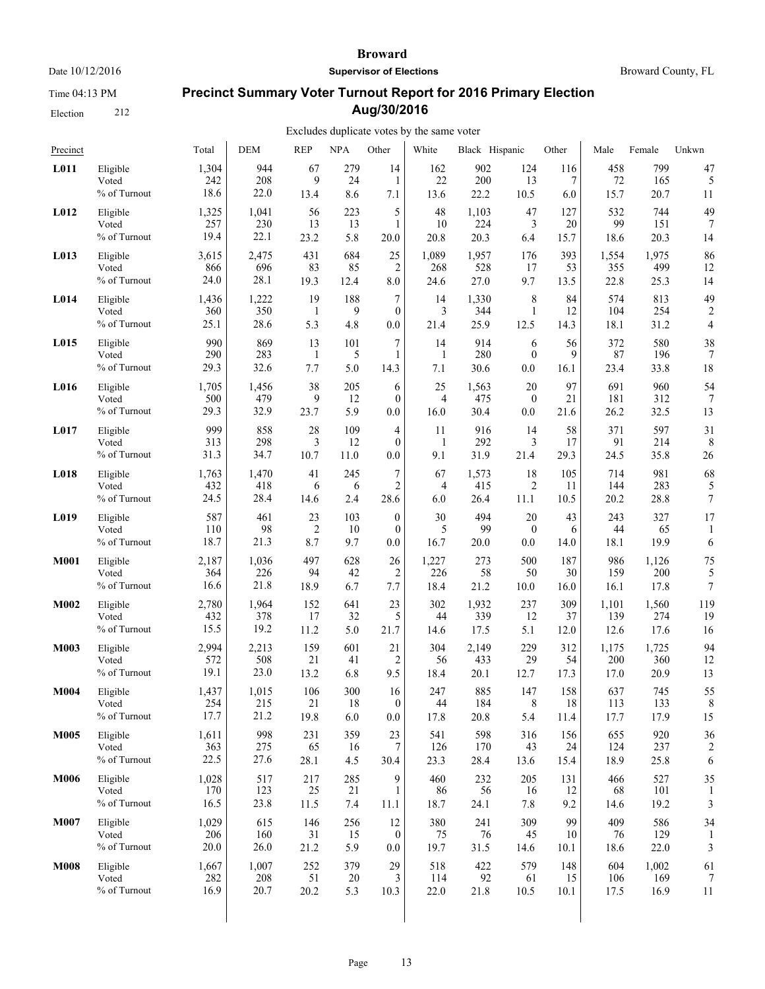Time 04:13 PM

Election 212

#### **Broward**

**Supervisor of Elections**

Broward County, FL

# **Precinct Summary Voter Turnout Report for 2016 Primary Election Aug/30/2016**

| Precinct    |                                   | Total              | <b>DEM</b>        | <b>REP</b>                  | NPA              | Other                                   | White           | Black Hispanic    |                               | Other           | Male              | Female            | Unkwn          |
|-------------|-----------------------------------|--------------------|-------------------|-----------------------------|------------------|-----------------------------------------|-----------------|-------------------|-------------------------------|-----------------|-------------------|-------------------|----------------|
| L011        | Eligible                          | 1,304              | 944               | 67                          | 279              | 14                                      | 162             | 902               | 124                           | 116             | 458               | 799               | 47             |
|             | Voted                             | 242                | 208               | 9                           | 24               | 1                                       | 22              | 200               | 13                            | 7               | 72                | 165               | 5              |
|             | % of Turnout                      | 18.6               | 22.0              | 13.4                        | 8.6              | 7.1                                     | 13.6            | 22.2              | 10.5                          | 6.0             | 15.7              | 20.7              | 11             |
| L012        | Eligible                          | 1,325              | 1,041             | 56                          | 223              | 5                                       | 48              | 1,103             | 47                            | 127             | 532               | 744               | 49             |
|             | Voted                             | 257                | 230               | 13                          | 13               | 1                                       | 10              | 224               | 3                             | 20              | 99                | 151               | 7              |
|             | % of Turnout                      | 19.4               | 22.1              | 23.2                        | 5.8              | 20.0                                    | 20.8            | 20.3              | 6.4                           | 15.7            | 18.6              | 20.3              | 14             |
| L013        | Eligible                          | 3,615              | 2,475             | 431                         | 684              | 25                                      | 1,089           | 1,957             | 176                           | 393             | 1,554             | 1,975             | 86             |
|             | Voted                             | 866                | 696               | 83                          | 85               | $\overline{2}$                          | 268             | 528               | 17                            | 53              | 355               | 499               | 12             |
|             | % of Turnout                      | 24.0               | 28.1              | 19.3                        | 12.4             | 8.0                                     | 24.6            | 27.0              | 9.7                           | 13.5            | 22.8              | 25.3              | 14             |
| L014        | Eligible                          | 1,436              | 1,222             | 19                          | 188              | 7                                       | 14              | 1,330             | 8                             | 84              | 574               | 813               | 49             |
|             | Voted                             | 360                | 350               | -1                          | 9                | $\boldsymbol{0}$                        | 3               | 344               | $\mathbf{1}$                  | 12              | 104               | 254               | $\overline{2}$ |
|             | % of Turnout                      | 25.1               | 28.6              | 5.3                         | 4.8              | 0.0                                     | 21.4            | 25.9              | 12.5                          | 14.3            | 18.1              | 31.2              | $\overline{4}$ |
| L015        | Eligible                          | 990                | 869               | 13                          | 101              | 7                                       | 14              | 914               | 6                             | 56              | 372               | 580               | 38             |
|             | Voted                             | 290                | 283               | -1                          | 5                | 1                                       | 1               | 280               | $\mathbf{0}$                  | 9               | 87                | 196               | 7              |
|             | % of Turnout                      | 29.3               | 32.6              | 7.7                         | 5.0              | 14.3                                    | 7.1             | 30.6              | 0.0                           | 16.1            | 23.4              | 33.8              | 18             |
| L016        | Eligible                          | 1,705              | 1,456             | 38                          | 205              | 6                                       | 25              | 1,563             | 20                            | 97              | 691               | 960               | 54             |
|             | Voted                             | 500                | 479               | 9                           | 12               | $\mathbf{0}$                            | 4               | 475               | $\boldsymbol{0}$              | 21              | 181               | 312               | 7              |
|             | % of Turnout                      | 29.3               | 32.9              | 23.7                        | 5.9              | 0.0                                     | 16.0            | 30.4              | 0.0                           | 21.6            | 26.2              | 32.5              | 13             |
| L017        | Eligible                          | 999                | 858               | 28                          | 109              | 4                                       | 11              | 916               | 14                            | 58              | 371               | 597               | 31             |
|             | Voted                             | 313                | 298               | 3                           | 12               | $\mathbf{0}$                            | 1               | 292               | 3                             | 17              | 91                | 214               | 8              |
|             | % of Turnout                      | 31.3               | 34.7              | 10.7                        | 11.0             | 0.0                                     | 9.1             | 31.9              | 21.4                          | 29.3            | 24.5              | 35.8              | 26             |
| L018        | Eligible                          | 1,763              | 1,470             | 41                          | 245              | 7                                       | 67              | 1,573             | 18                            | 105             | 714               | 981               | 68             |
|             | Voted                             | 432                | 418               | 6                           | 6                | $\overline{2}$                          | 4               | 415               | $\overline{2}$                | 11              | 144               | 283               | 5              |
|             | % of Turnout                      | 24.5               | 28.4              | 14.6                        | 2.4              | 28.6                                    | 6.0             | 26.4              | 11.1                          | 10.5            | 20.2              | 28.8              | 7              |
| L019        | Eligible<br>Voted<br>% of Turnout | 587<br>110<br>18.7 | 461<br>98<br>21.3 | 23<br>$\overline{2}$<br>8.7 | 103<br>10<br>9.7 | $\mathbf{0}$<br>$\boldsymbol{0}$<br>0.0 | 30<br>5<br>16.7 | 494<br>99<br>20.0 | 20<br>$\boldsymbol{0}$<br>0.0 | 43<br>6<br>14.0 | 243<br>44<br>18.1 | 327<br>65<br>19.9 | 17<br>6        |
| <b>M001</b> | Eligible                          | 2,187              | 1,036             | 497                         | 628              | 26                                      | 1,227           | 273               | 500                           | 187             | 986               | 1,126             | 75             |
|             | Voted                             | 364                | 226               | 94                          | 42               | $\overline{2}$                          | 226             | 58                | 50                            | 30              | 159               | 200               | 5              |
|             | % of Turnout                      | 16.6               | 21.8              | 18.9                        | 6.7              | 7.7                                     | 18.4            | 21.2              | 10.0                          | 16.0            | 16.1              | 17.8              | 7              |
| M002        | Eligible                          | 2,780              | 1,964             | 152                         | 641              | 23                                      | 302             | 1,932             | 237                           | 309             | 1,101             | 1,560             | 119            |
|             | Voted                             | 432                | 378               | 17                          | 32               | 5                                       | 44              | 339               | 12                            | 37              | 139               | 274               | 19             |
|             | % of Turnout                      | 15.5               | 19.2              | 11.2                        | 5.0              | 21.7                                    | 14.6            | 17.5              | 5.1                           | 12.0            | 12.6              | 17.6              | 16             |
| M003        | Eligible                          | 2,994              | 2,213             | 159                         | 601              | 21                                      | 304             | 2,149             | 229                           | 312             | 1,175             | 1,725             | 94             |
|             | Voted                             | 572                | 508               | 21                          | 41               | $\overline{c}$                          | 56              | 433               | 29                            | 54              | 200               | 360               | 12             |
|             | % of Turnout                      | 19.1               | 23.0              | 13.2                        | 6.8              | 9.5                                     | 18.4            | 20.1              | 12.7                          | 17.3            | 17.0              | 20.9              | 13             |
| M004        | Eligible                          | 1,437              | 1,015             | 106                         | 300              | 16                                      | 247             | 885               | 147                           | 158             | 637               | 745               | 55             |
|             | Voted                             | 254                | 215               | 21                          | 18               | $\theta$                                | 44              | 184               | 8                             | 18              | 113               | 133               | 8              |
|             | % of Turnout                      | 17.7               | 21.2              | 19.8                        | 6.0              | 0.0                                     | 17.8            | 20.8              | 5.4                           | 11.4            | 17.7              | 17.9              | 15             |
| <b>M005</b> | Eligible                          | 1,611              | 998               | 231                         | 359              | 23                                      | 541             | 598               | 316                           | 156             | 655               | 920               | 36             |
|             | Voted                             | 363                | 275               | 65                          | 16               | 7                                       | 126             | 170               | 43                            | 24              | 124               | 237               | 2              |
|             | % of Turnout                      | 22.5               | 27.6              | 28.1                        | 4.5              | 30.4                                    | 23.3            | 28.4              | 13.6                          | 15.4            | 18.9              | 25.8              | 6              |
| <b>M006</b> | Eligible                          | 1,028              | 517               | 217                         | 285              | 9                                       | 460             | 232               | 205                           | 131             | 466               | 527               | 35             |
|             | Voted                             | 170                | 123               | 25                          | 21               | $\mathbf{1}$                            | 86              | 56                | 16                            | 12              | 68                | 101               | 1              |
|             | % of Turnout                      | 16.5               | 23.8              | 11.5                        | 7.4              | 11.1                                    | 18.7            | 24.1              | 7.8                           | 9.2             | 14.6              | 19.2              | 3              |
| <b>M007</b> | Eligible                          | 1,029              | 615               | 146                         | 256              | 12                                      | 380             | 241               | 309                           | 99              | 409               | 586               | 34             |
|             | Voted                             | 206                | 160               | 31                          | 15               | $\boldsymbol{0}$                        | 75              | 76                | 45                            | 10              | 76                | 129               | 1              |
|             | % of Turnout                      | 20.0               | 26.0              | 21.2                        | 5.9              | 0.0                                     | 19.7            | 31.5              | 14.6                          | 10.1            | 18.6              | 22.0              | 3              |
| <b>M008</b> | Eligible                          | 1,667              | 1,007             | 252                         | 379              | 29                                      | 518             | 422               | 579                           | 148             | 604               | 1,002             | 61             |
|             | Voted                             | 282                | 208               | 51                          | 20               | 3                                       | 114             | 92                | 61                            | 15              | 106               | 169               | 7              |
|             | % of Turnout                      | 16.9               | 20.7              | 20.2                        | 5.3              | 10.3                                    | 22.0            | 21.8              | 10.5                          | 10.1            | 17.5              | 16.9              | 11             |
|             |                                   |                    |                   |                             |                  |                                         |                 |                   |                               |                 |                   |                   |                |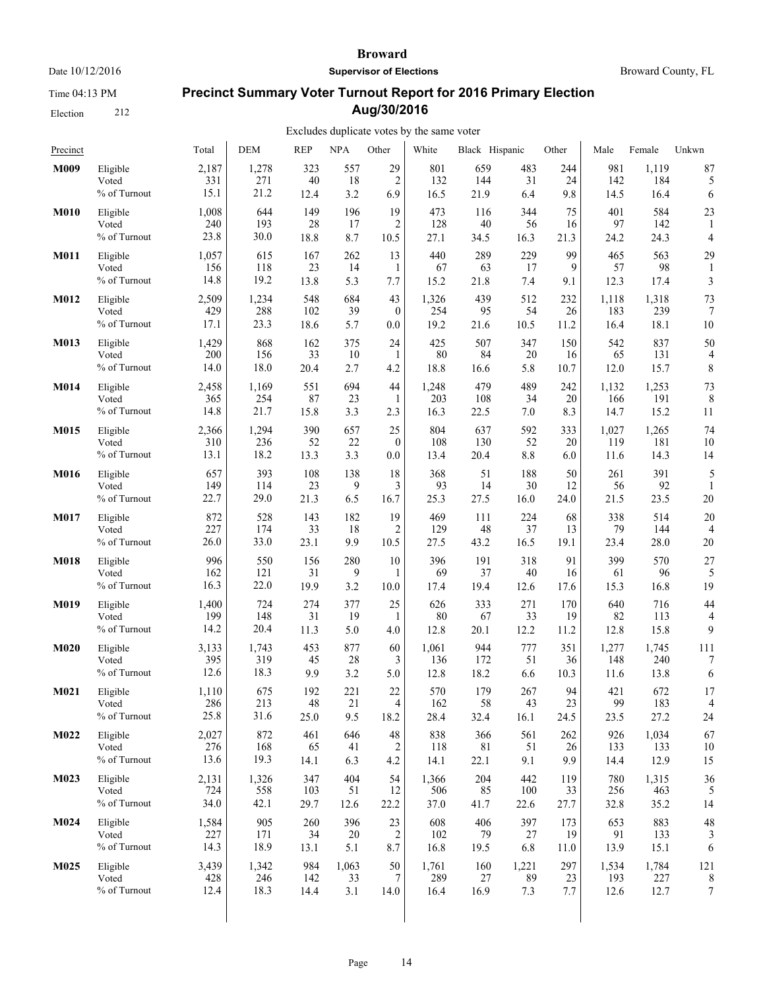Time 04:13 PM

Election 212

#### **Broward**

**Supervisor of Elections**

Broward County, FL

# **Precinct Summary Voter Turnout Report for 2016 Primary Election Aug/30/2016**

| Precinct    |                 | Total | <b>DEM</b> | <b>REP</b> | <b>NPA</b> | Other          | White | Black Hispanic |        | Other | Male  | Female | Unkwn            |
|-------------|-----------------|-------|------------|------------|------------|----------------|-------|----------------|--------|-------|-------|--------|------------------|
| M009        | Eligible        | 2,187 | 1,278      | 323        | 557        | 29             | 801   | 659            | 483    | 244   | 981   | 1,119  | 87               |
|             | Voted           | 331   | 271        | 40         | 18         | $\overline{2}$ | 132   | 144            | 31     | 24    | 142   | 184    | 5                |
|             | % of Turnout    | 15.1  | 21.2       | 12.4       | 3.2        | 6.9            | 16.5  | 21.9           | 6.4    | 9.8   | 14.5  | 16.4   | 6                |
| <b>M010</b> | Eligible        | 1,008 | 644        | 149        | 196        | 19             | 473   | 116            | 344    | 75    | 401   | 584    | 23               |
|             | Voted           | 240   | 193        | 28         | 17         | $\overline{2}$ | 128   | 40             | 56     | 16    | 97    | 142    | 1                |
|             | % of Turnout    | 23.8  | 30.0       | 18.8       | 8.7        | 10.5           | 27.1  | 34.5           | 16.3   | 21.3  | 24.2  | 24.3   | 4                |
| M011        | Eligible        | 1,057 | 615        | 167        | 262        | 13             | 440   | 289            | 229    | 99    | 465   | 563    | 29               |
|             | Voted           | 156   | 118        | 23         | 14         | 1              | 67    | 63             | 17     | 9     | 57    | 98     | 1                |
|             | % of Turnout    | 14.8  | 19.2       | 13.8       | 5.3        | 7.7            | 15.2  | 21.8           | 7.4    | 9.1   | 12.3  | 17.4   | 3                |
| M012        | Eligible        | 2,509 | 1,234      | 548        | 684        | 43             | 1,326 | 439            | 512    | 232   | 1,118 | 1,318  | 73               |
|             | Voted           | 429   | 288        | 102        | 39         | $\mathbf{0}$   | 254   | 95             | 54     | 26    | 183   | 239    | 7                |
|             | % of Turnout    | 17.1  | 23.3       | 18.6       | 5.7        | 0.0            | 19.2  | 21.6           | 10.5   | 11.2  | 16.4  | 18.1   | 10               |
| M013        | Eligible        | 1,429 | 868        | 162        | 375        | 24             | 425   | 507            | 347    | 150   | 542   | 837    | 50               |
|             | Voted           | 200   | 156        | 33         | 10         | $\mathbf{1}$   | 80    | 84             | 20     | 16    | 65    | 131    | 4                |
|             | % of Turnout    | 14.0  | 18.0       | 20.4       | 2.7        | 4.2            | 18.8  | 16.6           | 5.8    | 10.7  | 12.0  | 15.7   | 8                |
| M014        | Eligible        | 2,458 | 1,169      | 551        | 694        | 44             | 1,248 | 479            | 489    | 242   | 1,132 | 1,253  | 73               |
|             | Voted           | 365   | 254        | 87         | 23         | 1              | 203   | 108            | 34     | 20    | 166   | 191    | 8                |
|             | % of Turnout    | 14.8  | 21.7       | 15.8       | 3.3        | 2.3            | 16.3  | 22.5           | 7.0    | 8.3   | 14.7  | 15.2   | 11               |
| M015        | Eligible        | 2,366 | 1,294      | 390        | 657        | 25             | 804   | 637            | 592    | 333   | 1,027 | 1,265  | 74               |
|             | Voted           | 310   | 236        | 52         | 22         | $\mathbf{0}$   | 108   | 130            | 52     | 20    | 119   | 181    | 10               |
|             | $\%$ of Turnout | 13.1  | 18.2       | 13.3       | 3.3        | 0.0            | 13.4  | 20.4           | 8.8    | 6.0   | 11.6  | 14.3   | 14               |
| <b>M016</b> | Eligible        | 657   | 393        | 108        | 138        | 18             | 368   | 51             | 188    | 50    | 261   | 391    | 5                |
|             | Voted           | 149   | 114        | 23         | 9          | 3              | 93    | 14             | 30     | 12    | 56    | 92     | 1                |
|             | % of Turnout    | 22.7  | 29.0       | 21.3       | 6.5        | 16.7           | 25.3  | 27.5           | 16.0   | 24.0  | 21.5  | 23.5   | 20               |
| M017        | Eligible        | 872   | 528        | 143        | 182        | 19             | 469   | 111            | 224    | 68    | 338   | 514    | 20               |
|             | Voted           | 227   | 174        | 33         | 18         | 2              | 129   | 48             | 37     | 13    | 79    | 144    | 4                |
|             | % of Turnout    | 26.0  | 33.0       | 23.1       | 9.9        | 10.5           | 27.5  | 43.2           | 16.5   | 19.1  | 23.4  | 28.0   | 20               |
| <b>M018</b> | Eligible        | 996   | 550        | 156        | 280        | 10             | 396   | 191            | 318    | 91    | 399   | 570    | 27               |
|             | Voted           | 162   | 121        | 31         | 9          | 1              | 69    | 37             | 40     | 16    | 61    | 96     | 5                |
|             | % of Turnout    | 16.3  | 22.0       | 19.9       | 3.2        | 10.0           | 17.4  | 19.4           | 12.6   | 17.6  | 15.3  | 16.8   | 19               |
| <b>M019</b> | Eligible        | 1,400 | 724        | 274        | 377        | 25             | 626   | 333            | 271    | 170   | 640   | 716    | 44               |
|             | Voted           | 199   | 148        | 31         | 19         | 1              | 80    | 67             | 33     | 19    | 82    | 113    | 4                |
|             | % of Turnout    | 14.2  | 20.4       | 11.3       | 5.0        | 4.0            | 12.8  | 20.1           | 12.2   | 11.2  | 12.8  | 15.8   | 9                |
| <b>M020</b> | Eligible        | 3,133 | 1,743      | 453        | 877        | 60             | 1,061 | 944            | 777    | 351   | 1,277 | 1,745  | 111              |
|             | Voted           | 395   | 319        | 45         | 28         | 3              | 136   | 172            | 51     | 36    | 148   | 240    | 7                |
|             | % of Turnout    | 12.6  | 18.3       | 9.9        | 3.2        | 5.0            | 12.8  | 18.2           | 6.6    | 10.3  | 11.6  | 13.8   | 6                |
| M021        | Eligible        | 1,110 | 675        | 192        | 221        | 22             | 570   | 179            | 267    | 94    | 421   | 672    | 17               |
|             | Voted           | 286   | 213        | 48         | 21         | 4              | 162   | 58             | 43     | 23    | 99    | 183    | 4                |
|             | % of Turnout    | 25.8  | 31.6       | 25.0       | 9.5        | 18.2           | 28.4  | 32.4           | 16.1   | 24.5  | 23.5  | 27.2   | 24               |
| M022        | Eligible        | 2,027 | 872        | 461        | 646        | $48\,$         | 838   | 366            | 561    | 262   | 926   | 1,034  | 67               |
|             | Voted           | 276   | 168        | 65         | 41         | $\overline{c}$ | 118   | 81             | 51     | 26    | 133   | 133    | 10               |
|             | % of Turnout    | 13.6  | 19.3       | 14.1       | 6.3        | 4.2            | 14.1  | 22.1           | 9.1    | 9.9   | 14.4  | 12.9   | 15               |
| M023        | Eligible        | 2,131 | 1,326      | 347        | 404        | 54             | 1,366 | 204            | 442    | 119   | 780   | 1,315  | 36               |
|             | Voted           | 724   | 558        | 103        | 51         | 12             | 506   | 85             | 100    | 33    | 256   | 463    | 5                |
|             | % of Turnout    | 34.0  | 42.1       | 29.7       | 12.6       | 22.2           | 37.0  | 41.7           | 22.6   | 27.7  | 32.8  | 35.2   | 14               |
| M024        | Eligible        | 1,584 | 905        | 260        | 396        | 23             | 608   | 406            | 397    | 173   | 653   | 883    | 48               |
|             | Voted           | 227   | 171        | 34         | 20         | $\overline{c}$ | 102   | 79             | $27\,$ | 19    | 91    | 133    | 3                |
|             | % of Turnout    | 14.3  | 18.9       | 13.1       | 5.1        | 8.7            | 16.8  | 19.5           | 6.8    | 11.0  | 13.9  | 15.1   | 6                |
| M025        | Eligible        | 3,439 | 1,342      | 984        | 1,063      | 50             | 1,761 | 160            | 1,221  | 297   | 1,534 | 1,784  | 121              |
|             | Voted           | 428   | 246        | 142        | 33         | $\tau$         | 289   | $27\,$         | 89     | 23    | 193   | 227    | 8                |
|             | % of Turnout    | 12.4  | 18.3       | 14.4       | 3.1        | 14.0           | 16.4  | 16.9           | 7.3    | 7.7   | 12.6  | 12.7   | $\boldsymbol{7}$ |
|             |                 |       |            |            |            |                |       |                |        |       |       |        |                  |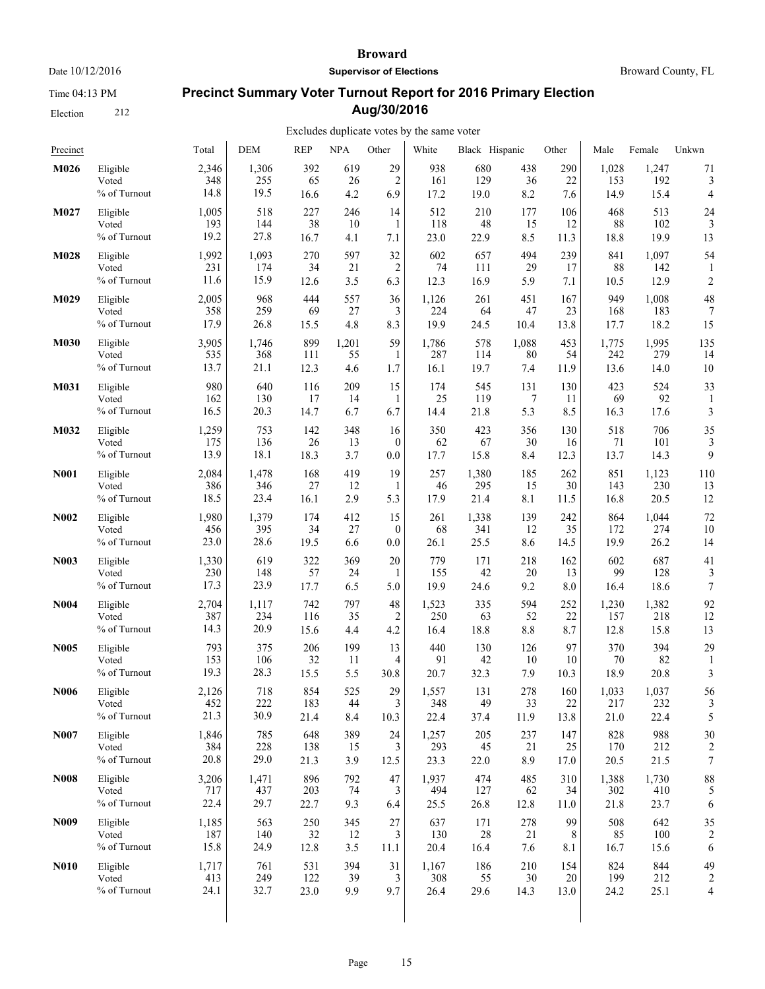Time 04:13 PM

Election 212

#### **Broward**

**Supervisor of Elections**

Broward County, FL

# **Precinct Summary Voter Turnout Report for 2016 Primary Election Aug/30/2016**

| Precinct         |                                   | Total                | <b>DEM</b>           | <b>REP</b>         | <b>NPA</b>       | Other                       | White                | Black Hispanic     |                   | Other             | Male                 | Female               | Unkwn                |
|------------------|-----------------------------------|----------------------|----------------------|--------------------|------------------|-----------------------------|----------------------|--------------------|-------------------|-------------------|----------------------|----------------------|----------------------|
| M026             | Eligible                          | 2,346                | 1,306                | 392                | 619              | 29                          | 938                  | 680                | 438               | 290               | 1,028                | 1,247                | 71                   |
|                  | Voted                             | 348                  | 255                  | 65                 | 26               | $\overline{2}$              | 161                  | 129                | 36                | 22                | 153                  | 192                  | 3                    |
|                  | % of Turnout                      | 14.8                 | 19.5                 | 16.6               | 4.2              | 6.9                         | 17.2                 | 19.0               | 8.2               | 7.6               | 14.9                 | 15.4                 | $\overline{4}$       |
| M027             | Eligible                          | 1,005                | 518                  | 227                | 246              | 14                          | 512                  | 210                | 177               | 106               | 468                  | 513                  | 24                   |
|                  | Voted                             | 193                  | 144                  | 38                 | 10               | 1                           | 118                  | 48                 | 15                | 12                | 88                   | 102                  | 3                    |
|                  | % of Turnout                      | 19.2                 | 27.8                 | 16.7               | 4.1              | 7.1                         | 23.0                 | 22.9               | 8.5               | 11.3              | 18.8                 | 19.9                 | 13                   |
| M028             | Eligible<br>Voted<br>% of Turnout | 1,992<br>231<br>11.6 | 1,093<br>174<br>15.9 | 270<br>34<br>12.6  | 597<br>21<br>3.5 | 32<br>$\overline{c}$<br>6.3 | 602<br>74<br>12.3    | 657<br>111<br>16.9 | 494<br>29<br>5.9  | 239<br>17<br>7.1  | 841<br>88<br>10.5    | 1,097<br>142<br>12.9 | 54<br>$\overline{c}$ |
| M029             | Eligible                          | 2,005                | 968                  | 444                | 557              | 36                          | 1,126                | 261                | 451               | 167               | 949                  | 1,008                | 48                   |
|                  | Voted                             | 358                  | 259                  | 69                 | 27               | 3                           | 224                  | 64                 | 47                | 23                | 168                  | 183                  | 7                    |
|                  | % of Turnout                      | 17.9                 | 26.8                 | 15.5               | 4.8              | 8.3                         | 19.9                 | 24.5               | 10.4              | 13.8              | 17.7                 | 18.2                 | 15                   |
| M030             | Eligible                          | 3,905                | 1,746                | 899                | 1,201            | 59                          | 1,786                | 578                | 1,088             | 453               | 1,775                | 1,995                | 135                  |
|                  | Voted                             | 535                  | 368                  | 111                | 55               | 1                           | 287                  | 114                | 80                | 54                | 242                  | 279                  | 14                   |
|                  | % of Turnout                      | 13.7                 | 21.1                 | 12.3               | 4.6              | 1.7                         | 16.1                 | 19.7               | 7.4               | 11.9              | 13.6                 | 14.0                 | 10                   |
| M031             | Eligible                          | 980                  | 640                  | 116                | 209              | 15                          | 174                  | 545                | 131               | 130               | 423                  | 524                  | 33                   |
|                  | Voted                             | 162                  | 130                  | 17                 | 14               | 1                           | 25                   | 119                | $\tau$            | 11                | 69                   | 92                   | 1                    |
|                  | % of Turnout                      | 16.5                 | 20.3                 | 14.7               | 6.7              | 6.7                         | 14.4                 | 21.8               | 5.3               | 8.5               | 16.3                 | 17.6                 | 3                    |
| M032             | Eligible                          | 1,259                | 753                  | 142                | 348              | 16                          | 350                  | 423                | 356               | 130               | 518                  | 706                  | 35                   |
|                  | Voted                             | 175                  | 136                  | 26                 | 13               | $\mathbf{0}$                | 62                   | 67                 | 30                | 16                | 71                   | 101                  | 3                    |
|                  | % of Turnout                      | 13.9                 | 18.1                 | 18.3               | 3.7              | 0.0                         | 17.7                 | 15.8               | 8.4               | 12.3              | 13.7                 | 14.3                 | 9                    |
| <b>N001</b>      | Eligible                          | 2,084                | 1,478                | 168                | 419              | 19                          | 257                  | 1,380              | 185               | 262               | 851                  | 1,123                | 110                  |
|                  | Voted                             | 386                  | 346                  | 27                 | 12               | 1                           | 46                   | 295                | 15                | 30                | 143                  | 230                  | 13                   |
|                  | % of Turnout                      | 18.5                 | 23.4                 | 16.1               | 2.9              | 5.3                         | 17.9                 | 21.4               | 8.1               | 11.5              | 16.8                 | 20.5                 | 12                   |
| <b>N002</b>      | Eligible                          | 1,980                | 1,379                | 174                | 412              | 15                          | 261                  | 1,338              | 139               | 242               | 864                  | 1,044                | 72                   |
|                  | Voted                             | 456                  | 395                  | 34                 | 27               | $\mathbf{0}$                | 68                   | 341                | 12                | 35                | 172                  | 274                  | 10                   |
|                  | % of Turnout                      | 23.0                 | 28.6                 | 19.5               | 6.6              | $0.0\,$                     | 26.1                 | 25.5               | 8.6               | 14.5              | 19.9                 | 26.2                 | 14                   |
| <b>N003</b>      | Eligible                          | 1,330                | 619                  | 322                | 369              | 20                          | 779                  | 171                | 218               | 162               | 602                  | 687                  | 41                   |
|                  | Voted                             | 230                  | 148                  | 57                 | 24               | 1                           | 155                  | 42                 | 20                | 13                | 99                   | 128                  | 3                    |
|                  | $\%$ of Turnout                   | 17.3                 | 23.9                 | 17.7               | 6.5              | 5.0                         | 19.9                 | 24.6               | 9.2               | 8.0               | 16.4                 | 18.6                 | $\overline{7}$       |
| <b>N004</b>      | Eligible                          | 2,704                | 1,117                | 742                | 797              | 48                          | 1,523                | 335                | 594               | 252               | 1,230                | 1,382                | 92                   |
|                  | Voted                             | 387                  | 234                  | 116                | 35               | $\overline{2}$              | 250                  | 63                 | 52                | 22                | 157                  | 218                  | 12                   |
|                  | % of Turnout                      | 14.3                 | 20.9                 | 15.6               | 4.4              | 4.2                         | 16.4                 | 18.8               | $8.8\,$           | 8.7               | 12.8                 | 15.8                 | 13                   |
| N005             | Eligible                          | 793                  | 375                  | 206                | 199              | 13                          | 440                  | 130                | 126               | 97                | 370                  | 394                  | 29                   |
|                  | Voted                             | 153                  | 106                  | 32                 | 11               | 4                           | 91                   | 42                 | 10                | 10                | 70                   | 82                   | 1                    |
|                  | % of Turnout                      | 19.3                 | 28.3                 | 15.5               | 5.5              | 30.8                        | 20.7                 | 32.3               | 7.9               | 10.3              | 18.9                 | 20.8                 | 3                    |
| N <sub>006</sub> | Eligible<br>Voted<br>% of Turnout | 2,126<br>452<br>21.3 | 718<br>222<br>30.9   | 854<br>183<br>21.4 | 525<br>44<br>8.4 | 29<br>3<br>10.3             | 1,557<br>348<br>22.4 | 131<br>49<br>37.4  | 278<br>33<br>11.9 | 160<br>22<br>13.8 | 1,033<br>217<br>21.0 | 1,037<br>232<br>22.4 | 56<br>5              |
| <b>N007</b>      | Eligible                          | 1,846                | 785                  | 648                | 389              | 24                          | 1,257                | 205                | 237               | 147               | 828                  | 988                  | 30                   |
|                  | Voted                             | 384                  | 228                  | 138                | 15               | 3                           | 293                  | 45                 | 21                | 25                | 170                  | 212                  | 2                    |
|                  | % of Turnout                      | 20.8                 | 29.0                 | 21.3               | 3.9              | 12.5                        | 23.3                 | 22.0               | 8.9               | 17.0              | 20.5                 | 21.5                 | $\boldsymbol{7}$     |
| <b>N008</b>      | Eligible                          | 3,206                | 1,471                | 896                | 792              | 47                          | 1,937                | 474                | 485               | 310               | 1,388                | 1,730                | 88                   |
|                  | Voted                             | 717                  | 437                  | 203                | 74               | 3                           | 494                  | 127                | 62                | 34                | 302                  | 410                  | 5                    |
|                  | % of Turnout                      | 22.4                 | 29.7                 | 22.7               | 9.3              | 6.4                         | 25.5                 | 26.8               | 12.8              | 11.0              | 21.8                 | 23.7                 | 6                    |
| N <sub>009</sub> | Eligible                          | 1,185                | 563                  | 250                | 345              | 27                          | 637                  | 171                | 278               | 99                | 508                  | 642                  | 35                   |
|                  | Voted                             | 187                  | 140                  | 32                 | 12               | 3                           | 130                  | 28                 | 21                | 8                 | 85                   | 100                  | $\overline{c}$       |
|                  | % of Turnout                      | 15.8                 | 24.9                 | 12.8               | 3.5              | 11.1                        | 20.4                 | 16.4               | 7.6               | 8.1               | 16.7                 | 15.6                 | 6                    |
| <b>N010</b>      | Eligible                          | 1,717                | 761                  | 531                | 394              | 31                          | 1,167                | 186                | 210               | 154               | 824                  | 844                  | 49                   |
|                  | Voted                             | 413                  | 249                  | 122                | 39               | $\mathfrak{Z}$              | 308                  | 55                 | 30                | 20                | 199                  | 212                  | 2                    |
|                  | % of Turnout                      | 24.1                 | 32.7                 | 23.0               | 9.9              | 9.7                         | 26.4                 | 29.6               | 14.3              | 13.0              | 24.2                 | 25.1                 | 4                    |
|                  |                                   |                      |                      |                    |                  |                             |                      |                    |                   |                   |                      |                      |                      |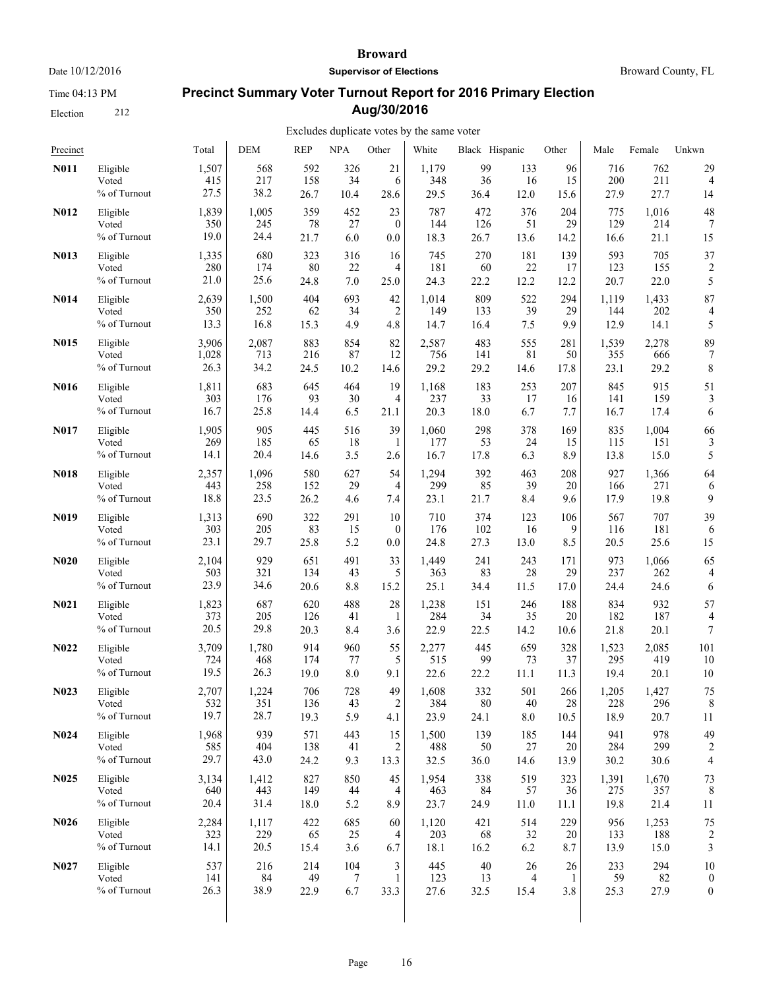Time 04:13 PM

Election 212

#### **Broward**

**Supervisor of Elections**

Broward County, FL

# **Precinct Summary Voter Turnout Report for 2016 Primary Election Aug/30/2016**

| Precinct          |              | Total | <b>DEM</b> | <b>REP</b> | <b>NPA</b> | Other          | White | Black Hispanic |                | Other  | Male  | Female | Unkwn                   |
|-------------------|--------------|-------|------------|------------|------------|----------------|-------|----------------|----------------|--------|-------|--------|-------------------------|
| <b>N011</b>       | Eligible     | 1,507 | 568        | 592        | 326        | 21             | 1,179 | 99             | 133            | 96     | 716   | 762    | 29                      |
|                   | Voted        | 415   | 217        | 158        | 34         | 6              | 348   | 36             | 16             | 15     | 200   | 211    | $\overline{4}$          |
|                   | % of Turnout | 27.5  | 38.2       | 26.7       | 10.4       | 28.6           | 29.5  | 36.4           | 12.0           | 15.6   | 27.9  | 27.7   | 14                      |
| N012              | Eligible     | 1,839 | 1,005      | 359        | 452        | 23             | 787   | 472            | 376            | 204    | 775   | 1,016  | 48                      |
|                   | Voted        | 350   | 245        | 78         | 27         | $\mathbf{0}$   | 144   | 126            | 51             | 29     | 129   | 214    | 7                       |
|                   | % of Turnout | 19.0  | 24.4       | 21.7       | 6.0        | 0.0            | 18.3  | 26.7           | 13.6           | 14.2   | 16.6  | 21.1   | 15                      |
| N013              | Eligible     | 1,335 | 680        | 323        | 316        | 16             | 745   | 270            | 181            | 139    | 593   | 705    | 37                      |
|                   | Voted        | 280   | 174        | 80         | 22         | 4              | 181   | 60             | 22             | 17     | 123   | 155    | $\overline{\mathbf{c}}$ |
|                   | % of Turnout | 21.0  | 25.6       | 24.8       | 7.0        | 25.0           | 24.3  | 22.2           | 12.2           | 12.2   | 20.7  | 22.0   | 5                       |
| <b>N014</b>       | Eligible     | 2,639 | 1,500      | 404        | 693        | 42             | 1,014 | 809            | 522            | 294    | 1,119 | 1,433  | 87                      |
|                   | Voted        | 350   | 252        | 62         | 34         | 2              | 149   | 133            | 39             | 29     | 144   | 202    | 4                       |
|                   | % of Turnout | 13.3  | 16.8       | 15.3       | 4.9        | 4.8            | 14.7  | 16.4           | 7.5            | 9.9    | 12.9  | 14.1   | 5                       |
| N015              | Eligible     | 3,906 | 2,087      | 883        | 854        | 82             | 2,587 | 483            | 555            | 281    | 1,539 | 2,278  | 89                      |
|                   | Voted        | 1,028 | 713        | 216        | 87         | 12             | 756   | 141            | 81             | 50     | 355   | 666    | 7                       |
|                   | % of Turnout | 26.3  | 34.2       | 24.5       | 10.2       | 14.6           | 29.2  | 29.2           | 14.6           | 17.8   | 23.1  | 29.2   | 8                       |
| N016              | Eligible     | 1,811 | 683        | 645        | 464        | 19             | 1,168 | 183            | 253            | 207    | 845   | 915    | 51                      |
|                   | Voted        | 303   | 176        | 93         | 30         | $\overline{4}$ | 237   | 33             | 17             | 16     | 141   | 159    | 3                       |
|                   | % of Turnout | 16.7  | 25.8       | 14.4       | 6.5        | 21.1           | 20.3  | 18.0           | 6.7            | 7.7    | 16.7  | 17.4   | 6                       |
| N017              | Eligible     | 1,905 | 905        | 445        | 516        | 39             | 1,060 | 298            | 378            | 169    | 835   | 1,004  | 66                      |
|                   | Voted        | 269   | 185        | 65         | 18         | 1              | 177   | 53             | 24             | 15     | 115   | 151    | 3                       |
|                   | % of Turnout | 14.1  | 20.4       | 14.6       | 3.5        | 2.6            | 16.7  | 17.8           | 6.3            | 8.9    | 13.8  | 15.0   | 5                       |
| <b>N018</b>       | Eligible     | 2,357 | 1,096      | 580        | 627        | 54             | 1,294 | 392            | 463            | 208    | 927   | 1,366  | 64                      |
|                   | Voted        | 443   | 258        | 152        | 29         | 4              | 299   | 85             | 39             | 20     | 166   | 271    | 6                       |
|                   | % of Turnout | 18.8  | 23.5       | 26.2       | 4.6        | 7.4            | 23.1  | 21.7           | 8.4            | 9.6    | 17.9  | 19.8   | 9                       |
| N019              | Eligible     | 1,313 | 690        | 322        | 291        | 10             | 710   | 374            | 123            | 106    | 567   | 707    | 39                      |
|                   | Voted        | 303   | 205        | 83         | 15         | $\mathbf{0}$   | 176   | 102            | 16             | 9      | 116   | 181    | 6                       |
|                   | % of Turnout | 23.1  | 29.7       | 25.8       | 5.2        | $0.0\,$        | 24.8  | 27.3           | 13.0           | 8.5    | 20.5  | 25.6   | 15                      |
| N <sub>0</sub> 20 | Eligible     | 2,104 | 929        | 651        | 491        | 33             | 1,449 | 241            | 243            | 171    | 973   | 1,066  | 65                      |
|                   | Voted        | 503   | 321        | 134        | 43         | 5              | 363   | 83             | 28             | 29     | 237   | 262    | 4                       |
|                   | % of Turnout | 23.9  | 34.6       | 20.6       | 8.8        | 15.2           | 25.1  | 34.4           | 11.5           | 17.0   | 24.4  | 24.6   | 6                       |
| N <sub>0</sub> 21 | Eligible     | 1,823 | 687        | 620        | 488        | 28             | 1,238 | 151            | 246            | 188    | 834   | 932    | 57                      |
|                   | Voted        | 373   | 205        | 126        | 41         | 1              | 284   | 34             | 35             | 20     | 182   | 187    | $\overline{4}$          |
|                   | % of Turnout | 20.5  | 29.8       | 20.3       | 8.4        | 3.6            | 22.9  | 22.5           | 14.2           | 10.6   | 21.8  | 20.1   | $\boldsymbol{7}$        |
| N <sub>0</sub> 22 | Eligible     | 3,709 | 1,780      | 914        | 960        | 55             | 2,277 | 445            | 659            | 328    | 1,523 | 2,085  | 101                     |
|                   | Voted        | 724   | 468        | 174        | 77         | 5              | 515   | 99             | 73             | 37     | 295   | 419    | 10                      |
|                   | % of Turnout | 19.5  | 26.3       | 19.0       | 8.0        | 9.1            | 22.6  | 22.2           | 11.1           | 11.3   | 19.4  | 20.1   | 10                      |
| N <sub>0</sub> 23 | Eligible     | 2,707 | 1,224      | 706        | 728        | 49             | 1,608 | 332            | 501            | 266    | 1,205 | 1,427  | 75                      |
|                   | Voted        | 532   | 351        | 136        | 43         | $\overline{c}$ | 384   | 80             | 40             | 28     | 228   | 296    | 8                       |
|                   | % of Turnout | 19.7  | 28.7       | 19.3       | 5.9        | 4.1            | 23.9  | 24.1           | $8.0\,$        | 10.5   | 18.9  | 20.7   | 11                      |
| <b>N024</b>       | Eligible     | 1,968 | 939        | 571        | 443        | 15             | 1,500 | 139            | 185            | 144    | 941   | 978    | 49                      |
|                   | Voted        | 585   | 404        | 138        | 41         | 2              | 488   | 50             | 27             | 20     | 284   | 299    | 2                       |
|                   | % of Turnout | 29.7  | 43.0       | 24.2       | 9.3        | 13.3           | 32.5  | 36.0           | 14.6           | 13.9   | 30.2  | 30.6   | $\overline{4}$          |
| N <sub>0</sub> 25 | Eligible     | 3,134 | 1,412      | 827        | 850        | 45             | 1,954 | 338            | 519            | 323    | 1,391 | 1,670  | 73                      |
|                   | Voted        | 640   | 443        | 149        | 44         | 4              | 463   | 84             | 57             | 36     | 275   | 357    | 8                       |
|                   | % of Turnout | 20.4  | 31.4       | 18.0       | 5.2        | 8.9            | 23.7  | 24.9           | 11.0           | 11.1   | 19.8  | 21.4   | 11                      |
| N <sub>0</sub> 26 | Eligible     | 2,284 | 1,117      | 422        | 685        | 60             | 1,120 | 421            | 514            | 229    | 956   | 1,253  | 75                      |
|                   | Voted        | 323   | 229        | 65         | 25         | 4              | 203   | 68             | 32             | 20     | 133   | 188    | $\overline{c}$          |
|                   | % of Turnout | 14.1  | 20.5       | 15.4       | 3.6        | 6.7            | 18.1  | 16.2           | 6.2            | 8.7    | 13.9  | 15.0   | 3                       |
| N027              | Eligible     | 537   | 216        | 214        | 104        | 3              | 445   | 40             | 26             | $26\,$ | 233   | 294    | 10                      |
|                   | Voted        | 141   | 84         | 49         | 7          | 1              | 123   | 13             | $\overline{4}$ | 1      | 59    | 82     | $\boldsymbol{0}$        |
|                   | % of Turnout | 26.3  | 38.9       | 22.9       | 6.7        | 33.3           | 27.6  | 32.5           | 15.4           | 3.8    | 25.3  | 27.9   | $\boldsymbol{0}$        |
|                   |              |       |            |            |            |                |       |                |                |        |       |        |                         |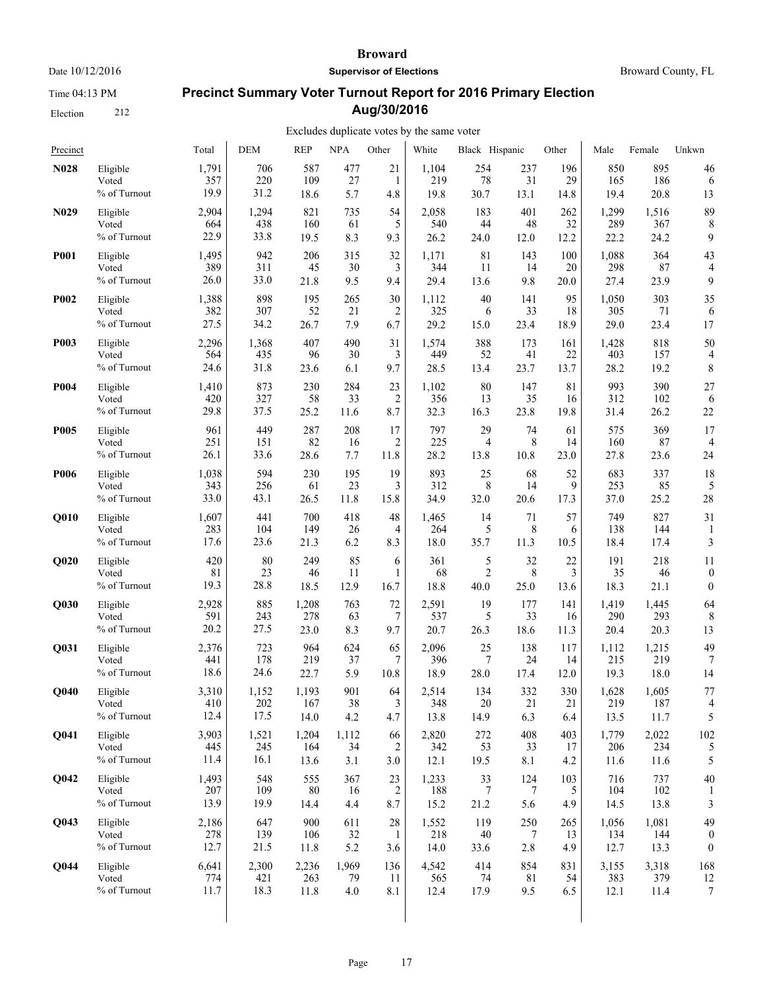Time 04:13 PM

Election 212

#### **Broward**

**Supervisor of Elections**

Broward County, FL

# **Precinct Summary Voter Turnout Report for 2016 Primary Election Aug/30/2016**

| Precinct    |                                   | Total                | <b>DEM</b>         | <b>REP</b>        | <b>NPA</b>       | Other                       | White                | Black Hispanic  |                 | Other           | Male               | Female             | Unkwn            |
|-------------|-----------------------------------|----------------------|--------------------|-------------------|------------------|-----------------------------|----------------------|-----------------|-----------------|-----------------|--------------------|--------------------|------------------|
| <b>N028</b> | Eligible                          | 1,791                | 706                | 587               | 477              | 21                          | 1,104                | 254             | 237             | 196             | 850                | 895                | 46               |
|             | Voted                             | 357                  | 220                | 109               | 27               | 1                           | 219                  | 78              | 31              | 29              | 165                | 186                | 6                |
|             | % of Turnout                      | 19.9                 | 31.2               | 18.6              | 5.7              | 4.8                         | 19.8                 | 30.7            | 13.1            | 14.8            | 19.4               | 20.8               | 13               |
| N029        | Eligible                          | 2,904                | 1,294              | 821               | 735              | 54                          | 2,058                | 183             | 401             | 262             | 1,299              | 1,516              | 89               |
|             | Voted                             | 664                  | 438                | 160               | 61               | 5                           | 540                  | 44              | 48              | 32              | 289                | 367                | 8                |
|             | % of Turnout                      | 22.9                 | 33.8               | 19.5              | 8.3              | 9.3                         | 26.2                 | 24.0            | 12.0            | 12.2            | 22.2               | 24.2               | 9                |
| <b>P001</b> | Eligible                          | 1,495                | 942                | 206               | 315              | 32                          | 1,171                | 81              | 143             | 100             | 1,088              | 364                | 43               |
|             | Voted                             | 389                  | 311                | 45                | 30               | 3                           | 344                  | 11              | 14              | 20              | 298                | 87                 | 4                |
|             | % of Turnout                      | 26.0                 | 33.0               | 21.8              | 9.5              | 9.4                         | 29.4                 | 13.6            | 9.8             | 20.0            | 27.4               | 23.9               | 9                |
| P002        | Eligible                          | 1,388                | 898                | 195               | 265              | 30                          | 1,112                | 40              | 141             | 95              | 1,050              | 303                | 35               |
|             | Voted                             | 382                  | 307                | 52                | 21               | 2                           | 325                  | 6               | 33              | 18              | 305                | 71                 | 6                |
|             | % of Turnout                      | 27.5                 | 34.2               | 26.7              | 7.9              | 6.7                         | 29.2                 | 15.0            | 23.4            | 18.9            | 29.0               | 23.4               | 17               |
| P003        | Eligible                          | 2,296                | 1,368              | 407               | 490              | 31                          | 1,574                | 388             | 173             | 161             | 1,428              | 818                | 50               |
|             | Voted                             | 564                  | 435                | 96                | 30               | 3                           | 449                  | 52              | 41              | 22              | 403                | 157                | 4                |
|             | % of Turnout                      | 24.6                 | 31.8               | 23.6              | 6.1              | 9.7                         | 28.5                 | 13.4            | 23.7            | 13.7            | 28.2               | 19.2               | 8                |
| P004        | Eligible                          | 1,410                | 873                | 230               | 284              | 23                          | 1,102                | 80              | 147             | 81              | 993                | 390                | 27               |
|             | Voted                             | 420                  | 327                | 58                | 33               | $\overline{c}$              | 356                  | 13              | 35              | 16              | 312                | 102                | 6                |
|             | % of Turnout                      | 29.8                 | 37.5               | 25.2              | 11.6             | 8.7                         | 32.3                 | 16.3            | 23.8            | 19.8            | 31.4               | 26.2               | 22               |
| <b>P005</b> | Eligible                          | 961                  | 449                | 287               | 208              | 17                          | 797                  | 29              | 74              | 61              | 575                | 369                | 17               |
|             | Voted                             | 251                  | 151                | 82                | 16               | 2                           | 225                  | 4               | 8               | 14              | 160                | 87                 | 4                |
|             | % of Turnout                      | 26.1                 | 33.6               | 28.6              | 7.7              | 11.8                        | 28.2                 | 13.8            | 10.8            | 23.0            | 27.8               | 23.6               | 24               |
| P006        | Eligible                          | 1,038                | 594                | 230               | 195              | 19                          | 893                  | 25              | 68              | 52              | 683                | 337                | 18               |
|             | Voted                             | 343                  | 256                | 61                | 23               | 3                           | 312                  | 8               | 14              | 9               | 253                | 85                 | 5                |
|             | % of Turnout                      | 33.0                 | 43.1               | 26.5              | 11.8             | 15.8                        | 34.9                 | 32.0            | 20.6            | 17.3            | 37.0               | 25.2               | 28               |
| Q010        | Eligible                          | 1,607                | 441                | 700               | 418              | 48                          | 1,465                | 14              | 71              | 57              | 749                | 827                | 31               |
|             | Voted                             | 283                  | 104                | 149               | 26               | 4                           | 264                  | 5               | 8               | 6               | 138                | 144                | 1                |
|             | % of Turnout                      | 17.6                 | 23.6               | 21.3              | 6.2              | 8.3                         | 18.0                 | 35.7            | 11.3            | 10.5            | 18.4               | 17.4               | 3                |
| Q020        | Eligible                          | 420                  | 80                 | 249               | 85               | 6                           | 361                  | 5               | 32              | 22              | 191                | 218                | 11               |
|             | Voted                             | 81                   | 23                 | 46                | 11               | 1                           | 68                   | $\overline{2}$  | 8               | 3               | 35                 | 46                 | $\boldsymbol{0}$ |
|             | % of Turnout                      | 19.3                 | 28.8               | 18.5              | 12.9             | 16.7                        | 18.8                 | 40.0            | 25.0            | 13.6            | 18.3               | 21.1               | $\boldsymbol{0}$ |
| Q030        | Eligible                          | 2,928                | 885                | 1,208             | 763              | 72                          | 2,591                | 19              | 177             | 141             | 1,419              | 1,445              | 64               |
|             | Voted                             | 591                  | 243                | 278               | 63               | 7                           | 537                  | 5               | 33              | 16              | 290                | 293                | 8                |
|             | % of Turnout                      | 20.2                 | 27.5               | 23.0              | 8.3              | 9.7                         | 20.7                 | 26.3            | 18.6            | 11.3            | 20.4               | 20.3               | 13               |
| Q031        | Eligible                          | 2,376                | 723                | 964               | 624              | 65                          | 2,096                | 25              | 138             | 117             | 1,112              | 1,215              | 49               |
|             | Voted                             | 441                  | 178                | 219               | 37               | 7                           | 396                  | $\overline{7}$  | 24              | 14              | 215                | 219                | 7                |
|             | % of Turnout                      | 18.6                 | 24.6               | 22.7              | 5.9              | 10.8                        | 18.9                 | 28.0            | 17.4            | 12.0            | 19.3               | 18.0               | 14               |
| Q040        | Eligible                          | 3,310                | 1,152              | 1,193             | 901              | 64                          | 2,514                | 134             | 332             | 330             | 1,628              | 1,605              | 77               |
|             | Voted                             | 410                  | 202                | 167               | 38               | 3                           | 348                  | 20              | 21              | 21              | 219                | 187                | 4                |
|             | % of Turnout                      | 12.4                 | 17.5               | 14.0              | 4.2              | 4.7                         | 13.8                 | 14.9            | 6.3             | 6.4             | 13.5               | 11.7               | 5                |
| <b>O041</b> | Eligible                          | 3,903                | 1,521              | 1,204             | 1,112            | 66                          | 2,820                | 272             | 408             | 403             | 1,779              | 2,022              | 102              |
|             | Voted                             | 445                  | 245                | 164               | 34               | 2                           | 342                  | 53              | 33              | 17              | 206                | 234                | 5                |
|             | % of Turnout                      | 11.4                 | 16.1               | 13.6              | 3.1              | 3.0                         | 12.1                 | 19.5            | 8.1             | 4.2             | 11.6               | 11.6               | 5                |
| <b>O042</b> | Eligible<br>Voted<br>% of Turnout | 1,493<br>207<br>13.9 | 548<br>109<br>19.9 | 555<br>80<br>14.4 | 367<br>16<br>4.4 | 23<br>$\overline{2}$<br>8.7 | 1,233<br>188<br>15.2 | 33<br>7<br>21.2 | 124<br>7<br>5.6 | 103<br>5<br>4.9 | 716<br>104<br>14.5 | 737<br>102<br>13.8 | 40<br>3          |
| Q043        | Eligible                          | 2,186                | 647                | 900               | 611              | 28                          | 1,552                | 119             | 250             | 265             | 1,056              | 1,081              | 49               |
|             | Voted                             | 278                  | 139                | 106               | 32               | 1                           | 218                  | 40              | 7               | 13              | 134                | 144                | $\theta$         |
|             | % of Turnout                      | 12.7                 | 21.5               | 11.8              | 5.2              | 3.6                         | 14.0                 | 33.6            | 2.8             | 4.9             | 12.7               | 13.3               | $\boldsymbol{0}$ |
| <b>O044</b> | Eligible                          | 6,641                | 2,300              | 2,236             | 1,969            | 136                         | 4,542                | 414             | 854             | 831             | 3,155              | 3,318              | 168              |
|             | Voted                             | 774                  | 421                | 263               | 79               | 11                          | 565                  | 74              | 81              | 54              | 383                | 379                | 12               |
|             | % of Turnout                      | 11.7                 | 18.3               | 11.8              | 4.0              | 8.1                         | 12.4                 | 17.9            | 9.5             | 6.5             | 12.1               | 11.4               | $\boldsymbol{7}$ |
|             |                                   |                      |                    |                   |                  |                             |                      |                 |                 |                 |                    |                    |                  |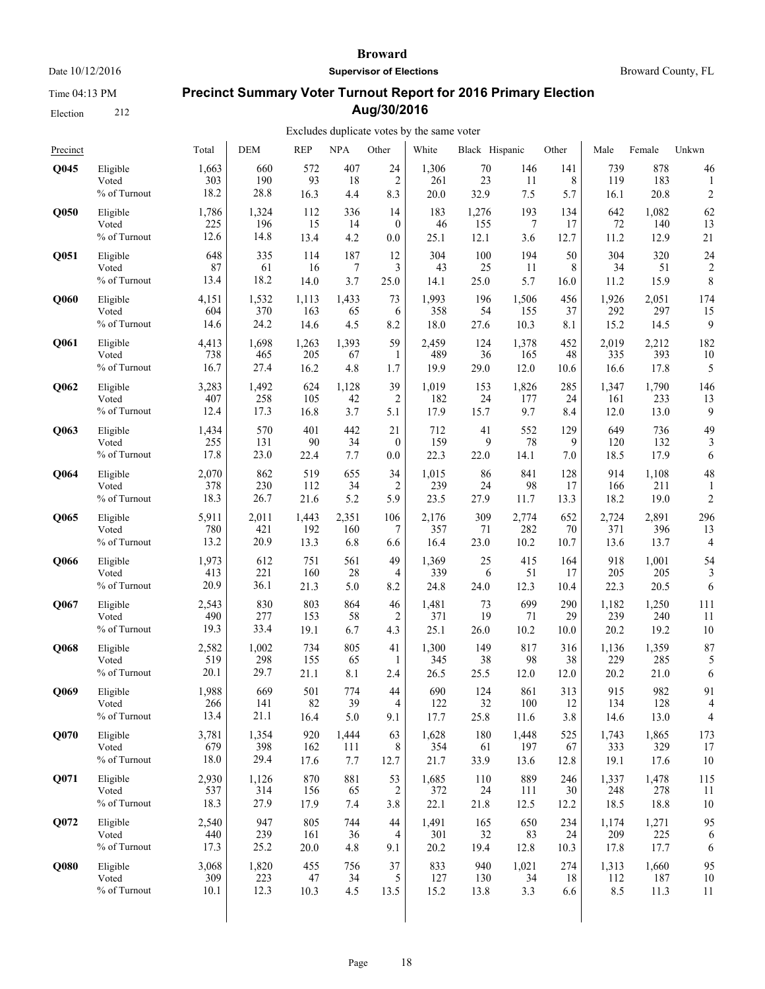Time 04:13 PM

Election 212

#### **Broward**

**Supervisor of Elections**

Broward County, FL

# **Precinct Summary Voter Turnout Report for 2016 Primary Election Aug/30/2016**

| Precinct    |              | Total | DEM   | <b>REP</b> | <b>NPA</b> | Other          | White | Black Hispanic |       | Other | Male  | Female | Unkwn          |
|-------------|--------------|-------|-------|------------|------------|----------------|-------|----------------|-------|-------|-------|--------|----------------|
| <b>O045</b> | Eligible     | 1,663 | 660   | 572        | 407        | 24             | 1,306 | 70             | 146   | 141   | 739   | 878    | 46             |
|             | Voted        | 303   | 190   | 93         | 18         | $\overline{c}$ | 261   | 23             | 11    | 8     | 119   | 183    | 1              |
|             | % of Turnout | 18.2  | 28.8  | 16.3       | 4.4        | 8.3            | 20.0  | 32.9           | 7.5   | 5.7   | 16.1  | 20.8   | $\overline{c}$ |
| Q050        | Eligible     | 1,786 | 1,324 | 112        | 336        | 14             | 183   | 1,276          | 193   | 134   | 642   | 1,082  | 62             |
|             | Voted        | 225   | 196   | 15         | 14         | $\theta$       | 46    | 155            | 7     | 17    | 72    | 140    | 13             |
|             | % of Turnout | 12.6  | 14.8  | 13.4       | 4.2        | 0.0            | 25.1  | 12.1           | 3.6   | 12.7  | 11.2  | 12.9   | 21             |
| Q051        | Eligible     | 648   | 335   | 114        | 187        | 12             | 304   | 100            | 194   | 50    | 304   | 320    | 24             |
|             | Voted        | 87    | 61    | 16         | 7          | 3              | 43    | 25             | 11    | 8     | 34    | 51     | $\overline{c}$ |
|             | % of Turnout | 13.4  | 18.2  | 14.0       | 3.7        | 25.0           | 14.1  | 25.0           | 5.7   | 16.0  | 11.2  | 15.9   | 8              |
| Q060        | Eligible     | 4,151 | 1,532 | 1,113      | 1,433      | 73             | 1,993 | 196            | 1,506 | 456   | 1,926 | 2,051  | 174            |
|             | Voted        | 604   | 370   | 163        | 65         | 6              | 358   | 54             | 155   | 37    | 292   | 297    | 15             |
|             | % of Turnout | 14.6  | 24.2  | 14.6       | 4.5        | 8.2            | 18.0  | 27.6           | 10.3  | 8.1   | 15.2  | 14.5   | 9              |
| Q061        | Eligible     | 4,413 | 1,698 | 1,263      | 1,393      | 59             | 2,459 | 124            | 1,378 | 452   | 2,019 | 2,212  | 182            |
|             | Voted        | 738   | 465   | 205        | 67         | 1              | 489   | 36             | 165   | 48    | 335   | 393    | 10             |
|             | % of Turnout | 16.7  | 27.4  | 16.2       | 4.8        | 1.7            | 19.9  | 29.0           | 12.0  | 10.6  | 16.6  | 17.8   | 5              |
| Q062        | Eligible     | 3,283 | 1,492 | 624        | 1,128      | 39             | 1,019 | 153            | 1,826 | 285   | 1,347 | 1,790  | 146            |
|             | Voted        | 407   | 258   | 105        | 42         | 2              | 182   | 24             | 177   | 24    | 161   | 233    | 13             |
|             | % of Turnout | 12.4  | 17.3  | 16.8       | 3.7        | 5.1            | 17.9  | 15.7           | 9.7   | 8.4   | 12.0  | 13.0   | 9              |
| Q063        | Eligible     | 1,434 | 570   | 401        | 442        | 21             | 712   | 41             | 552   | 129   | 649   | 736    | 49             |
|             | Voted        | 255   | 131   | 90         | 34         | $\theta$       | 159   | 9              | 78    | 9     | 120   | 132    | 3              |
|             | % of Turnout | 17.8  | 23.0  | 22.4       | 7.7        | 0.0            | 22.3  | 22.0           | 14.1  | 7.0   | 18.5  | 17.9   | 6              |
| Q064        | Eligible     | 2,070 | 862   | 519        | 655        | 34             | 1,015 | 86             | 841   | 128   | 914   | 1,108  | 48             |
|             | Voted        | 378   | 230   | 112        | 34         | $\overline{2}$ | 239   | 24             | 98    | 17    | 166   | 211    | 1              |
|             | % of Turnout | 18.3  | 26.7  | 21.6       | 5.2        | 5.9            | 23.5  | 27.9           | 11.7  | 13.3  | 18.2  | 19.0   | $\overline{c}$ |
| Q065        | Eligible     | 5,911 | 2,011 | 1,443      | 2,351      | 106            | 2,176 | 309            | 2,774 | 652   | 2,724 | 2,891  | 296            |
|             | Voted        | 780   | 421   | 192        | 160        | 7              | 357   | 71             | 282   | 70    | 371   | 396    | 13             |
|             | % of Turnout | 13.2  | 20.9  | 13.3       | 6.8        | 6.6            | 16.4  | 23.0           | 10.2  | 10.7  | 13.6  | 13.7   | 4              |
| Q066        | Eligible     | 1,973 | 612   | 751        | 561        | 49             | 1,369 | 25             | 415   | 164   | 918   | 1,001  | 54             |
|             | Voted        | 413   | 221   | 160        | 28         | $\overline{4}$ | 339   | 6              | 51    | 17    | 205   | 205    | 3              |
|             | % of Turnout | 20.9  | 36.1  | 21.3       | 5.0        | 8.2            | 24.8  | 24.0           | 12.3  | 10.4  | 22.3  | 20.5   | 6              |
| Q067        | Eligible     | 2,543 | 830   | 803        | 864        | 46             | 1,481 | 73             | 699   | 290   | 1,182 | 1,250  | 111            |
|             | Voted        | 490   | 277   | 153        | 58         | $\overline{2}$ | 371   | 19             | 71    | 29    | 239   | 240    | 11             |
|             | % of Turnout | 19.3  | 33.4  | 19.1       | 6.7        | 4.3            | 25.1  | 26.0           | 10.2  | 10.0  | 20.2  | 19.2   | $10\,$         |
| Q068        | Eligible     | 2,582 | 1,002 | 734        | 805        | 41             | 1,300 | 149            | 817   | 316   | 1,136 | 1,359  | 87             |
|             | Voted        | 519   | 298   | 155        | 65         | 1              | 345   | 38             | 98    | 38    | 229   | 285    | 5              |
|             | % of Turnout | 20.1  | 29.7  | 21.1       | 8.1        | 2.4            | 26.5  | 25.5           | 12.0  | 12.0  | 20.2  | 21.0   | 6              |
| Q069        | Eligible     | 1,988 | 669   | 501        | 774        | 44             | 690   | 124            | 861   | 313   | 915   | 982    | 91             |
|             | Voted        | 266   | 141   | 82         | 39         | $\overline{4}$ | 122   | 32             | 100   | 12    | 134   | 128    | 4              |
|             | % of Turnout | 13.4  | 21.1  | 16.4       | 5.0        | 9.1            | 17.7  | 25.8           | 11.6  | 3.8   | 14.6  | 13.0   | 4              |
| Q070        | Eligible     | 3,781 | 1,354 | 920        | 1,444      | 63             | 1,628 | 180            | 1,448 | 525   | 1,743 | 1,865  | 173            |
|             | Voted        | 679   | 398   | 162        | 111        | 8              | 354   | 61             | 197   | 67    | 333   | 329    | 17             |
|             | % of Turnout | 18.0  | 29.4  | 17.6       | 7.7        | 12.7           | 21.7  | 33.9           | 13.6  | 12.8  | 19.1  | 17.6   | 10             |
| Q071        | Eligible     | 2,930 | 1,126 | 870        | 881        | 53             | 1,685 | 110            | 889   | 246   | 1,337 | 1,478  | 115            |
|             | Voted        | 537   | 314   | 156        | 65         | 2              | 372   | 24             | 111   | 30    | 248   | 278    | 11             |
|             | % of Turnout | 18.3  | 27.9  | 17.9       | 7.4        | 3.8            | 22.1  | 21.8           | 12.5  | 12.2  | 18.5  | 18.8   | 10             |
| Q072        | Eligible     | 2,540 | 947   | 805        | 744        | 44             | 1,491 | 165            | 650   | 234   | 1,174 | 1,271  | 95             |
|             | Voted        | 440   | 239   | 161        | 36         | $\overline{4}$ | 301   | 32             | 83    | 24    | 209   | 225    | 6              |
|             | % of Turnout | 17.3  | 25.2  | 20.0       | 4.8        | 9.1            | 20.2  | 19.4           | 12.8  | 10.3  | 17.8  | 17.7   | 6              |
| Q080        | Eligible     | 3,068 | 1,820 | 455        | 756        | 37             | 833   | 940            | 1,021 | 274   | 1,313 | 1,660  | 95             |
|             | Voted        | 309   | 223   | 47         | 34         | 5              | 127   | 130            | 34    | 18    | 112   | 187    | 10             |
|             | % of Turnout | 10.1  | 12.3  | 10.3       | 4.5        | 13.5           | 15.2  | 13.8           | 3.3   | 6.6   | 8.5   | 11.3   | 11             |
|             |              |       |       |            |            |                |       |                |       |       |       |        |                |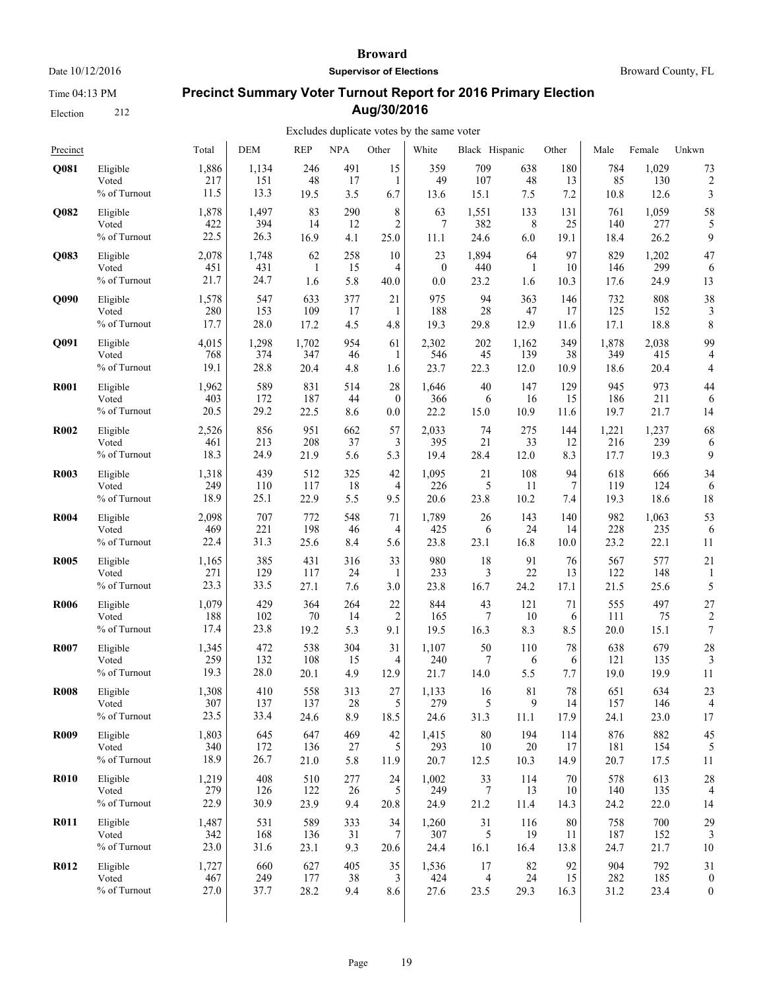Time 04:13 PM

Election 212

#### **Broward**

**Supervisor of Elections**

Broward County, FL

# **Precinct Summary Voter Turnout Report for 2016 Primary Election Aug/30/2016**

| Precinct    |                 | Total | <b>DEM</b> | <b>REP</b> | <b>NPA</b> | Other           | White        | Black Hispanic |       | Other | Male  | Female | Unkwn            |
|-------------|-----------------|-------|------------|------------|------------|-----------------|--------------|----------------|-------|-------|-------|--------|------------------|
| Q081        | Eligible        | 1,886 | 1,134      | 246        | 491        | 15              | 359          | 709            | 638   | 180   | 784   | 1,029  | 73               |
|             | Voted           | 217   | 151        | 48         | 17         | 1               | 49           | 107            | 48    | 13    | 85    | 130    | $\overline{c}$   |
|             | % of Turnout    | 11.5  | 13.3       | 19.5       | 3.5        | 6.7             | 13.6         | 15.1           | 7.5   | 7.2   | 10.8  | 12.6   | 3                |
| Q082        | Eligible        | 1,878 | 1,497      | 83         | 290        | 8               | 63           | 1,551          | 133   | 131   | 761   | 1,059  | 58               |
|             | Voted           | 422   | 394        | 14         | 12         | $\overline{c}$  | 7            | 382            | 8     | 25    | 140   | 277    | 5                |
|             | % of Turnout    | 22.5  | 26.3       | 16.9       | 4.1        | 25.0            | 11.1         | 24.6           | 6.0   | 19.1  | 18.4  | 26.2   | 9                |
| Q083        | Eligible        | 2,078 | 1,748      | 62         | 258        | 10              | 23           | 1,894          | 64    | 97    | 829   | 1,202  | 47               |
|             | Voted           | 451   | 431        | 1          | 15         | 4               | $\mathbf{0}$ | 440            | 1     | 10    | 146   | 299    | 6                |
|             | % of Turnout    | 21.7  | 24.7       | 1.6        | 5.8        | 40.0            | 0.0          | 23.2           | 1.6   | 10.3  | 17.6  | 24.9   | 13               |
| <b>O090</b> | Eligible        | 1,578 | 547        | 633        | 377        | 21              | 975          | 94             | 363   | 146   | 732   | 808    | 38               |
|             | Voted           | 280   | 153        | 109        | 17         | 1               | 188          | 28             | 47    | 17    | 125   | 152    | 3                |
|             | % of Turnout    | 17.7  | 28.0       | 17.2       | 4.5        | 4.8             | 19.3         | 29.8           | 12.9  | 11.6  | 17.1  | 18.8   | 8                |
| Q091        | Eligible        | 4,015 | 1,298      | 1,702      | 954        | 61              | 2,302        | 202            | 1,162 | 349   | 1,878 | 2,038  | 99               |
|             | Voted           | 768   | 374        | 347        | 46         | 1               | 546          | 45             | 139   | 38    | 349   | 415    | $\overline{4}$   |
|             | % of Turnout    | 19.1  | 28.8       | 20.4       | 4.8        | 1.6             | 23.7         | 22.3           | 12.0  | 10.9  | 18.6  | 20.4   | 4                |
| <b>R001</b> | Eligible        | 1,962 | 589        | 831        | 514        | 28              | 1,646        | 40             | 147   | 129   | 945   | 973    | 44               |
|             | Voted           | 403   | 172        | 187        | 44         | $\mathbf{0}$    | 366          | 6              | 16    | 15    | 186   | 211    | 6                |
|             | % of Turnout    | 20.5  | 29.2       | 22.5       | 8.6        | 0.0             | 22.2         | 15.0           | 10.9  | 11.6  | 19.7  | 21.7   | 14               |
| <b>R002</b> | Eligible        | 2,526 | 856        | 951        | 662        | 57              | 2,033        | 74             | 275   | 144   | 1,221 | 1,237  | 68               |
|             | Voted           | 461   | 213        | 208        | 37         | 3               | 395          | 21             | 33    | 12    | 216   | 239    | 6                |
|             | % of Turnout    | 18.3  | 24.9       | 21.9       | 5.6        | 5.3             | 19.4         | 28.4           | 12.0  | 8.3   | 17.7  | 19.3   | 9                |
| <b>R003</b> | Eligible        | 1,318 | 439        | 512        | 325        | 42              | 1,095        | 21             | 108   | 94    | 618   | 666    | 34               |
|             | Voted           | 249   | 110        | 117        | 18         | $\overline{4}$  | 226          | 5              | 11    | 7     | 119   | 124    | 6                |
|             | % of Turnout    | 18.9  | 25.1       | 22.9       | 5.5        | 9.5             | 20.6         | 23.8           | 10.2  | 7.4   | 19.3  | 18.6   | 18               |
| <b>R004</b> | Eligible        | 2,098 | 707        | 772        | 548        | 71              | 1,789        | 26             | 143   | 140   | 982   | 1,063  | 53               |
|             | Voted           | 469   | 221        | 198        | 46         | 4               | 425          | 6              | 24    | 14    | 228   | 235    | 6                |
|             | % of Turnout    | 22.4  | 31.3       | 25.6       | 8.4        | 5.6             | 23.8         | 23.1           | 16.8  | 10.0  | 23.2  | 22.1   | 11               |
| <b>R005</b> | Eligible        | 1,165 | 385        | 431        | 316        | 33              | 980          | 18             | 91    | 76    | 567   | 577    | 21               |
|             | Voted           | 271   | 129        | 117        | 24         | 1               | 233          | 3              | 22    | 13    | 122   | 148    | 1                |
|             | % of Turnout    | 23.3  | 33.5       | 27.1       | 7.6        | 3.0             | 23.8         | 16.7           | 24.2  | 17.1  | 21.5  | 25.6   | 5                |
| <b>R006</b> | Eligible        | 1,079 | 429        | 364        | 264        | 22              | 844          | 43             | 121   | 71    | 555   | 497    | 27               |
|             | Voted           | 188   | 102        | 70         | 14         | 2               | 165          | 7              | 10    | 6     | 111   | 75     | $\overline{c}$   |
|             | % of Turnout    | 17.4  | 23.8       | 19.2       | 5.3        | 9.1             | 19.5         | 16.3           | 8.3   | 8.5   | 20.0  | 15.1   | $\boldsymbol{7}$ |
| <b>R007</b> | Eligible        | 1,345 | 472        | 538        | 304        | 31              | 1,107        | 50             | 110   | 78    | 638   | 679    | 28               |
|             | Voted           | 259   | 132        | 108        | 15         | 4               | 240          | 7              | 6     | 6     | 121   | 135    | 3                |
|             | % of Turnout    | 19.3  | 28.0       | 20.1       | 4.9        | 12.9            | 21.7         | 14.0           | 5.5   | 7.7   | 19.0  | 19.9   | 11               |
| <b>R008</b> | Eligible        | 1,308 | 410        | 558        | 313        | 27              | 1,133        | 16             | 81    | 78    | 651   | 634    | 23               |
|             | Voted           | 307   | 137        | 137        | 28         | 5               | 279          | 5              | 9     | 14    | 157   | 146    | $\overline{4}$   |
|             | $\%$ of Turnout | 23.5  | 33.4       | 24.6       | 8.9        | 18.5            | 24.6         | 31.3           | 11.1  | 17.9  | 24.1  | 23.0   | 17               |
| <b>R009</b> | Eligible        | 1,803 | 645        | 647        | 469        | 42              | 1,415        | 80             | 194   | 114   | 876   | 882    | 45               |
|             | Voted           | 340   | 172        | 136        | 27         | 5               | 293          | 10             | 20    | 17    | 181   | 154    | 5                |
|             | % of Turnout    | 18.9  | 26.7       | 21.0       | 5.8        | 11.9            | 20.7         | 12.5           | 10.3  | 14.9  | 20.7  | 17.5   | 11               |
| <b>R010</b> | Eligible        | 1,219 | 408        | 510        | 277        | 24              | 1,002        | 33             | 114   | 70    | 578   | 613    | 28               |
|             | Voted           | 279   | 126        | 122        | 26         | 5               | 249          | 7              | 13    | 10    | 140   | 135    | 4                |
|             | % of Turnout    | 22.9  | 30.9       | 23.9       | 9.4        | 20.8            | 24.9         | 21.2           | 11.4  | 14.3  | 24.2  | 22.0   | 14               |
| <b>R011</b> | Eligible        | 1,487 | 531        | 589        | 333        | 34              | 1,260        | 31             | 116   | 80    | 758   | 700    | 29               |
|             | Voted           | 342   | 168        | 136        | 31         | $7\phantom{.0}$ | 307          | 5              | 19    | 11    | 187   | 152    | 3                |
|             | % of Turnout    | 23.0  | 31.6       | 23.1       | 9.3        | 20.6            | 24.4         | 16.1           | 16.4  | 13.8  | 24.7  | 21.7   | 10               |
| R012        | Eligible        | 1,727 | 660        | 627        | 405        | 35              | 1,536        | 17             | 82    | 92    | 904   | 792    | 31               |
|             | Voted           | 467   | 249        | 177        | 38         | 3               | 424          | 4              | 24    | 15    | 282   | 185    | $\boldsymbol{0}$ |
|             | % of Turnout    | 27.0  | 37.7       | 28.2       | 9.4        | 8.6             | 27.6         | 23.5           | 29.3  | 16.3  | 31.2  | 23.4   | $\boldsymbol{0}$ |
|             |                 |       |            |            |            |                 |              |                |       |       |       |        |                  |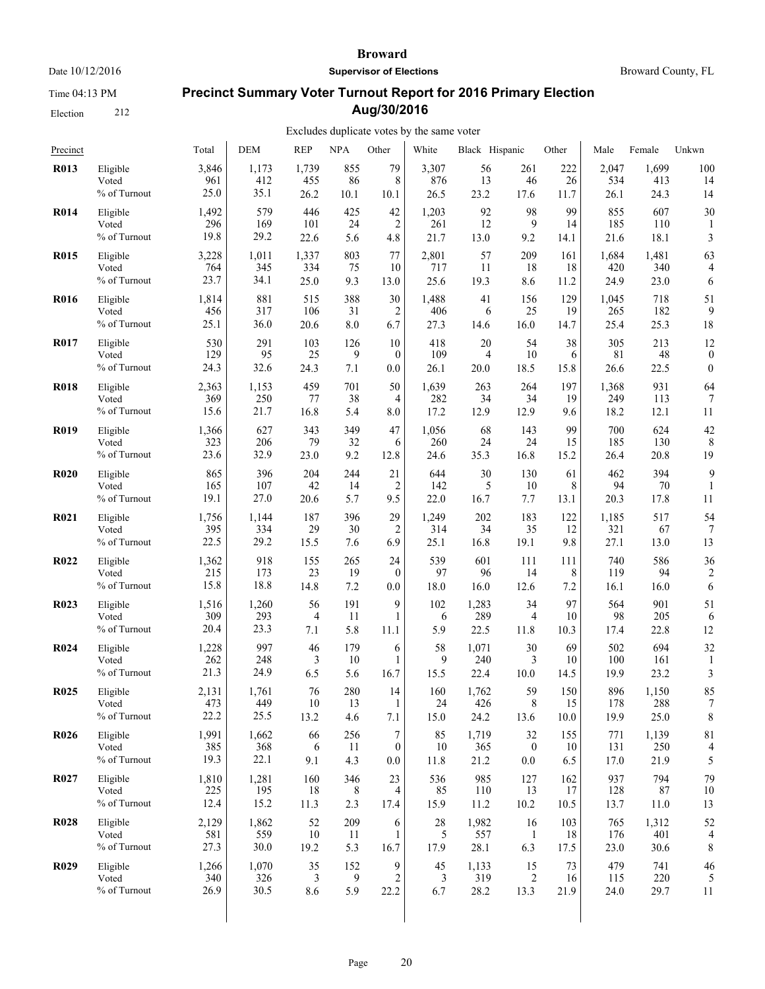Time 04:13 PM

Election 212

#### **Broward**

**Supervisor of Elections**

Broward County, FL

# **Precinct Summary Voter Turnout Report for 2016 Primary Election Aug/30/2016**

| Precinct    |              | Total | <b>DEM</b> | <b>REP</b> | <b>NPA</b> | Other            | White | Black Hispanic |                  | Other | Male  | Female | Unkwn            |
|-------------|--------------|-------|------------|------------|------------|------------------|-------|----------------|------------------|-------|-------|--------|------------------|
| <b>R013</b> | Eligible     | 3,846 | 1,173      | 1,739      | 855        | 79               | 3,307 | 56             | 261              | 222   | 2,047 | 1,699  | 100              |
|             | Voted        | 961   | 412        | 455        | 86         | 8                | 876   | 13             | 46               | 26    | 534   | 413    | 14               |
|             | % of Turnout | 25.0  | 35.1       | 26.2       | 10.1       | 10.1             | 26.5  | 23.2           | 17.6             | 11.7  | 26.1  | 24.3   | 14               |
| <b>R014</b> | Eligible     | 1,492 | 579        | 446        | 425        | 42               | 1,203 | 92             | 98               | 99    | 855   | 607    | 30               |
|             | Voted        | 296   | 169        | 101        | 24         | $\overline{c}$   | 261   | 12             | 9                | 14    | 185   | 110    | 1                |
|             | % of Turnout | 19.8  | 29.2       | 22.6       | 5.6        | 4.8              | 21.7  | 13.0           | 9.2              | 14.1  | 21.6  | 18.1   | 3                |
| <b>R015</b> | Eligible     | 3,228 | 1,011      | 1,337      | 803        | 77               | 2,801 | 57             | 209              | 161   | 1,684 | 1,481  | 63               |
|             | Voted        | 764   | 345        | 334        | 75         | 10               | 717   | 11             | 18               | 18    | 420   | 340    | 4                |
|             | % of Turnout | 23.7  | 34.1       | 25.0       | 9.3        | 13.0             | 25.6  | 19.3           | 8.6              | 11.2  | 24.9  | 23.0   | 6                |
| <b>R016</b> | Eligible     | 1,814 | 881        | 515        | 388        | 30               | 1,488 | 41             | 156              | 129   | 1,045 | 718    | 51               |
|             | Voted        | 456   | 317        | 106        | 31         | 2                | 406   | 6              | 25               | 19    | 265   | 182    | 9                |
|             | % of Turnout | 25.1  | 36.0       | 20.6       | 8.0        | 6.7              | 27.3  | 14.6           | 16.0             | 14.7  | 25.4  | 25.3   | 18               |
| <b>R017</b> | Eligible     | 530   | 291        | 103        | 126        | 10               | 418   | 20             | 54               | 38    | 305   | 213    | 12               |
|             | Voted        | 129   | 95         | 25         | 9          | $\mathbf{0}$     | 109   | 4              | 10               | 6     | 81    | 48     | $\boldsymbol{0}$ |
|             | % of Turnout | 24.3  | 32.6       | 24.3       | 7.1        | 0.0              | 26.1  | 20.0           | 18.5             | 15.8  | 26.6  | 22.5   | $\boldsymbol{0}$ |
| <b>R018</b> | Eligible     | 2,363 | 1,153      | 459        | 701        | 50               | 1,639 | 263            | 264              | 197   | 1,368 | 931    | 64               |
|             | Voted        | 369   | 250        | 77         | 38         | 4                | 282   | 34             | 34               | 19    | 249   | 113    | 7                |
|             | % of Turnout | 15.6  | 21.7       | 16.8       | 5.4        | 8.0              | 17.2  | 12.9           | 12.9             | 9.6   | 18.2  | 12.1   | 11               |
| <b>R019</b> | Eligible     | 1,366 | 627        | 343        | 349        | 47               | 1,056 | 68             | 143              | 99    | 700   | 624    | 42               |
|             | Voted        | 323   | 206        | 79         | 32         | 6                | 260   | 24             | 24               | 15    | 185   | 130    | 8                |
|             | % of Turnout | 23.6  | 32.9       | 23.0       | 9.2        | 12.8             | 24.6  | 35.3           | 16.8             | 15.2  | 26.4  | 20.8   | 19               |
| <b>R020</b> | Eligible     | 865   | 396        | 204        | 244        | 21               | 644   | 30             | 130              | 61    | 462   | 394    | 9                |
|             | Voted        | 165   | 107        | 42         | 14         | 2                | 142   | 5              | 10               | 8     | 94    | 70     | 1                |
|             | % of Turnout | 19.1  | 27.0       | 20.6       | 5.7        | 9.5              | 22.0  | 16.7           | 7.7              | 13.1  | 20.3  | 17.8   | 11               |
| <b>R021</b> | Eligible     | 1,756 | 1,144      | 187        | 396        | 29               | 1,249 | 202            | 183              | 122   | 1,185 | 517    | 54               |
|             | Voted        | 395   | 334        | 29         | 30         | 2                | 314   | 34             | 35               | 12    | 321   | 67     | 7                |
|             | % of Turnout | 22.5  | 29.2       | 15.5       | 7.6        | 6.9              | 25.1  | 16.8           | 19.1             | 9.8   | 27.1  | 13.0   | 13               |
| <b>R022</b> | Eligible     | 1,362 | 918        | 155        | 265        | 24               | 539   | 601            | 111              | 111   | 740   | 586    | 36               |
|             | Voted        | 215   | 173        | 23         | 19         | $\boldsymbol{0}$ | 97    | 96             | 14               | 8     | 119   | 94     | 2                |
|             | % of Turnout | 15.8  | 18.8       | 14.8       | 7.2        | 0.0              | 18.0  | 16.0           | 12.6             | 7.2   | 16.1  | 16.0   | 6                |
| R023        | Eligible     | 1,516 | 1,260      | 56         | 191        | 9                | 102   | 1,283          | 34               | 97    | 564   | 901    | 51               |
|             | Voted        | 309   | 293        | 4          | 11         | 1                | 6     | 289            | 4                | 10    | 98    | 205    | 6                |
|             | % of Turnout | 20.4  | 23.3       | 7.1        | 5.8        | 11.1             | 5.9   | 22.5           | 11.8             | 10.3  | 17.4  | 22.8   | 12               |
| <b>R024</b> | Eligible     | 1,228 | 997        | 46         | 179        | 6                | 58    | 1,071          | 30               | 69    | 502   | 694    | 32               |
|             | Voted        | 262   | 248        | 3          | 10         | 1                | 9     | 240            | 3                | 10    | 100   | 161    | 1                |
|             | % of Turnout | 21.3  | 24.9       | 6.5        | 5.6        | 16.7             | 15.5  | 22.4           | 10.0             | 14.5  | 19.9  | 23.2   | 3                |
| <b>R025</b> | Eligible     | 2,131 | 1,761      | 76         | 280        | 14               | 160   | 1,762          | 59               | 150   | 896   | 1,150  | 85               |
|             | Voted        | 473   | 449        | 10         | 13         | 1                | 24    | 426            | 8                | 15    | 178   | 288    | 7                |
|             | % of Turnout | 22.2  | 25.5       | 13.2       | 4.6        | 7.1              | 15.0  | 24.2           | 13.6             | 10.0  | 19.9  | 25.0   | 8                |
| <b>R026</b> | Eligible     | 1,991 | 1,662      | 66         | 256        | 7                | 85    | 1,719          | 32               | 155   | 771   | 1,139  | 81               |
|             | Voted        | 385   | 368        | 6          | -11        | $\boldsymbol{0}$ | 10    | 365            | $\boldsymbol{0}$ | 10    | 131   | 250    | 4                |
|             | % of Turnout | 19.3  | 22.1       | 9.1        | 4.3        | $0.0\,$          | 11.8  | 21.2           | $0.0\,$          | 6.5   | 17.0  | 21.9   | 5                |
| R027        | Eligible     | 1,810 | 1,281      | 160        | 346        | 23               | 536   | 985            | 127              | 162   | 937   | 794    | 79               |
|             | Voted        | 225   | 195        | 18         | 8          | 4                | 85    | 110            | 13               | 17    | 128   | 87     | 10               |
|             | % of Turnout | 12.4  | 15.2       | 11.3       | 2.3        | 17.4             | 15.9  | 11.2           | 10.2             | 10.5  | 13.7  | 11.0   | 13               |
| <b>R028</b> | Eligible     | 2,129 | 1,862      | 52         | 209        | 6                | 28    | 1,982          | 16               | 103   | 765   | 1,312  | 52               |
|             | Voted        | 581   | 559        | 10         | 11         | 1                | 5     | 557            | $\mathbf{1}$     | 18    | 176   | 401    | 4                |
|             | % of Turnout | 27.3  | 30.0       | 19.2       | 5.3        | 16.7             | 17.9  | 28.1           | 6.3              | 17.5  | 23.0  | 30.6   | 8                |
| <b>R029</b> | Eligible     | 1,266 | 1,070      | 35         | 152        | 9                | 45    | 1,133          | 15               | 73    | 479   | 741    | 46               |
|             | Voted        | 340   | 326        | 3          | 9          | 2                | 3     | 319            | $\overline{c}$   | 16    | 115   | 220    | 5                |
|             | % of Turnout | 26.9  | 30.5       | 8.6        | 5.9        | 22.2             | 6.7   | 28.2           | 13.3             | 21.9  | 24.0  | 29.7   | 11               |
|             |              |       |            |            |            |                  |       |                |                  |       |       |        |                  |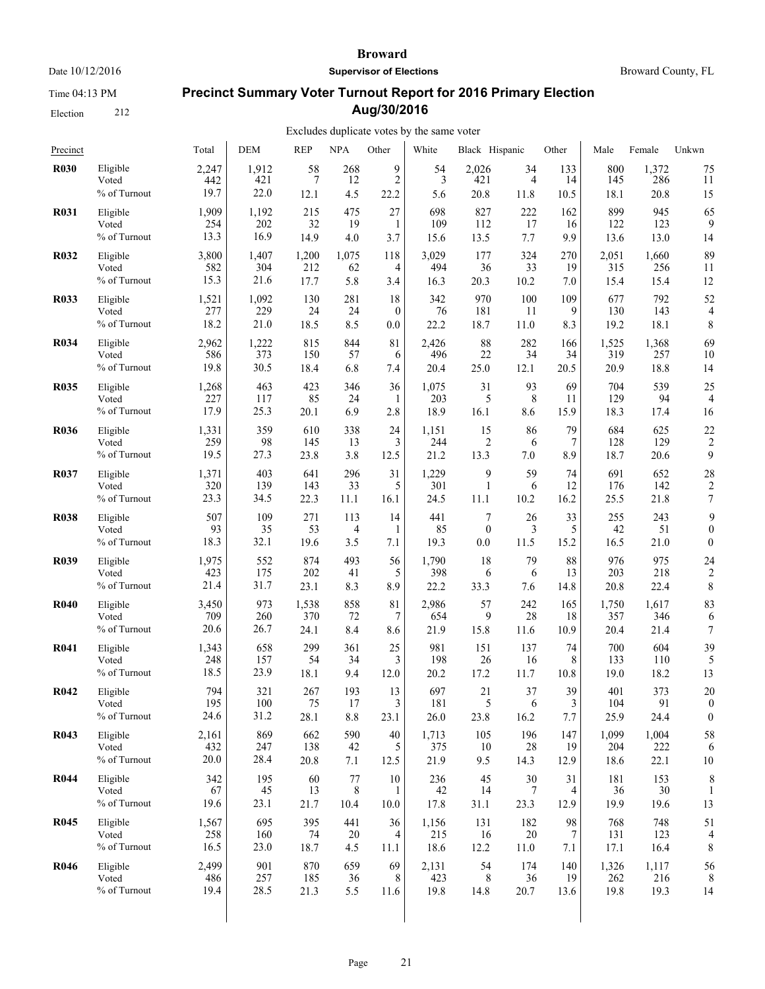Time 04:13 PM

Election 212

#### **Broward**

**Supervisor of Elections**

Broward County, FL

# **Precinct Summary Voter Turnout Report for 2016 Primary Election Aug/30/2016**

| Precinct    |                                   | Total             | <b>DEM</b>        | <b>REP</b>       | <b>NPA</b>                | Other           | White             | Black Hispanic   |                 | Other           | Male              | Female            | Unkwn                   |
|-------------|-----------------------------------|-------------------|-------------------|------------------|---------------------------|-----------------|-------------------|------------------|-----------------|-----------------|-------------------|-------------------|-------------------------|
| <b>R030</b> | Eligible                          | 2,247             | 1,912             | 58               | 268                       | 9               | 54                | 2,026            | 34              | 133             | 800               | 1,372             | 75                      |
|             | Voted                             | 442               | 421               | 7                | 12                        | $\overline{c}$  | 3                 | 421              | $\overline{4}$  | 14              | 145               | 286               | 11                      |
|             | % of Turnout                      | 19.7              | 22.0              | 12.1             | 4.5                       | 22.2            | 5.6               | 20.8             | 11.8            | 10.5            | 18.1              | 20.8              | 15                      |
| <b>R031</b> | Eligible                          | 1,909             | 1,192             | 215              | 475                       | 27              | 698               | 827              | 222             | 162             | 899               | 945               | 65                      |
|             | Voted                             | 254               | 202               | 32               | 19                        | 1               | 109               | 112              | 17              | 16              | 122               | 123               | 9                       |
|             | % of Turnout                      | 13.3              | 16.9              | 14.9             | 4.0                       | 3.7             | 15.6              | 13.5             | 7.7             | 9.9             | 13.6              | 13.0              | 14                      |
| <b>R032</b> | Eligible                          | 3,800             | 1,407             | 1,200            | 1,075                     | 118             | 3,029             | 177              | 324             | 270             | 2,051             | 1,660             | 89                      |
|             | Voted                             | 582               | 304               | 212              | 62                        | 4               | 494               | 36               | 33              | 19              | 315               | 256               | 11                      |
|             | % of Turnout                      | 15.3              | 21.6              | 17.7             | 5.8                       | 3.4             | 16.3              | 20.3             | 10.2            | 7.0             | 15.4              | 15.4              | 12                      |
| <b>R033</b> | Eligible                          | 1,521             | 1,092             | 130              | 281                       | 18              | 342               | 970              | 100             | 109             | 677               | 792               | 52                      |
|             | Voted                             | 277               | 229               | 24               | 24                        | $\theta$        | 76                | 181              | 11              | 9               | 130               | 143               | 4                       |
|             | % of Turnout                      | 18.2              | 21.0              | 18.5             | 8.5                       | 0.0             | 22.2              | 18.7             | 11.0            | 8.3             | 19.2              | 18.1              | 8                       |
| <b>R034</b> | Eligible                          | 2,962             | 1,222             | 815              | 844                       | 81              | 2,426             | 88               | 282             | 166             | 1,525             | 1,368             | 69                      |
|             | Voted                             | 586               | 373               | 150              | 57                        | 6               | 496               | 22               | 34              | 34              | 319               | 257               | 10                      |
|             | % of Turnout                      | 19.8              | 30.5              | 18.4             | 6.8                       | 7.4             | 20.4              | 25.0             | 12.1            | 20.5            | 20.9              | 18.8              | 14                      |
| <b>R035</b> | Eligible                          | 1,268             | 463               | 423              | 346                       | 36              | 1,075             | 31               | 93              | 69              | 704               | 539               | 25                      |
|             | Voted                             | 227               | 117               | 85               | 24                        | 1               | 203               | 5                | 8               | 11              | 129               | 94                | $\overline{4}$          |
|             | % of Turnout                      | 17.9              | 25.3              | 20.1             | 6.9                       | 2.8             | 18.9              | 16.1             | 8.6             | 15.9            | 18.3              | 17.4              | 16                      |
| <b>R036</b> | Eligible                          | 1,331             | 359               | 610              | 338                       | 24              | 1,151             | 15               | 86              | 79              | 684               | 625               | 22                      |
|             | Voted                             | 259               | 98                | 145              | 13                        | 3               | 244               | $\overline{2}$   | 6               | 7               | 128               | 129               | $\overline{c}$          |
|             | % of Turnout                      | 19.5              | 27.3              | 23.8             | 3.8                       | 12.5            | 21.2              | 13.3             | 7.0             | 8.9             | 18.7              | 20.6              | 9                       |
| <b>R037</b> | Eligible                          | 1,371             | 403               | 641              | 296                       | 31              | 1,229             | 9                | 59              | 74              | 691               | 652               | 28                      |
|             | Voted                             | 320               | 139               | 143              | 33                        | 5               | 301               | 1                | 6               | 12              | 176               | 142               | $\overline{\mathbf{c}}$ |
|             | % of Turnout                      | 23.3              | 34.5              | 22.3             | 11.1                      | 16.1            | 24.5              | 11.1             | 10.2            | 16.2            | 25.5              | 21.8              | $\boldsymbol{7}$        |
| <b>R038</b> | Eligible                          | 507               | 109               | 271              | 113                       | 14              | 441               | $\overline{7}$   | 26              | 33              | 255               | 243               | 9                       |
|             | Voted                             | 93                | 35                | 53               | 4                         | 1               | 85                | $\boldsymbol{0}$ | 3               | 5               | 42                | 51                | $\boldsymbol{0}$        |
|             | % of Turnout                      | 18.3              | 32.1              | 19.6             | 3.5                       | 7.1             | 19.3              | 0.0              | 11.5            | 15.2            | 16.5              | 21.0              | $\boldsymbol{0}$        |
| <b>R039</b> | Eligible                          | 1,975             | 552               | 874              | 493                       | 56              | 1,790             | 18               | 79              | 88              | 976               | 975               | 24                      |
|             | Voted                             | 423               | 175               | 202              | 41                        | 5               | 398               | 6                | 6               | 13              | 203               | 218               | $\overline{c}$          |
|             | % of Turnout                      | 21.4              | 31.7              | 23.1             | 8.3                       | 8.9             | 22.2              | 33.3             | 7.6             | 14.8            | 20.8              | 22.4              | 8                       |
| <b>R040</b> | Eligible                          | 3,450             | 973               | 1,538            | 858                       | 81              | 2,986             | 57               | 242             | 165             | 1,750             | 1,617             | 83                      |
|             | Voted                             | 709               | 260               | 370              | 72                        | 7               | 654               | 9                | 28              | 18              | 357               | 346               | 6                       |
|             | % of Turnout                      | 20.6              | 26.7              | 24.1             | 8.4                       | 8.6             | 21.9              | 15.8             | 11.6            | 10.9            | 20.4              | 21.4              | $\boldsymbol{7}$        |
| <b>R041</b> | Eligible                          | 1,343             | 658               | 299              | 361                       | 25              | 981               | 151              | 137             | 74              | 700               | 604               | 39                      |
|             | Voted                             | 248               | 157               | 54               | 34                        | 3               | 198               | 26               | 16              | 8               | 133               | 110               | 5                       |
|             | % of Turnout                      | 18.5              | 23.9              | 18.1             | 9.4                       | 12.0            | 20.2              | 17.2             | 11.7            | 10.8            | 19.0              | 18.2              | 13                      |
| <b>R042</b> | Eligible                          | 794               | 321               | 267              | 193                       | 13              | 697               | 21               | 37              | 39              | 401               | 373               | 20                      |
|             | Voted                             | 195               | 100               | 75               | 17                        | 3               | 181               | 5                | 6               | 3               | 104               | 91                | $\boldsymbol{0}$        |
|             | % of Turnout                      | 24.6              | 31.2              | 28.1             | $8.8\,$                   | 23.1            | 26.0              | 23.8             | 16.2            | 7.7             | 25.9              | 24.4              | $\boldsymbol{0}$        |
| <b>R043</b> | Eligible                          | 2,161             | 869               | 662              | 590                       | 40              | 1,713             | 105              | 196             | 147             | 1,099             | 1,004             | 58                      |
|             | Voted                             | 432               | 247               | 138              | 42                        | 5               | 375               | 10               | 28              | 19              | 204               | 222               | 6                       |
|             | % of Turnout                      | 20.0              | 28.4              | 20.8             | 7.1                       | 12.5            | 21.9              | 9.5              | 14.3            | 12.9            | 18.6              | 22.1              | 10                      |
| <b>R044</b> | Eligible<br>Voted<br>% of Turnout | 342<br>67<br>19.6 | 195<br>45<br>23.1 | 60<br>13<br>21.7 | 77<br>$\,$ 8 $\,$<br>10.4 | 10<br>1<br>10.0 | 236<br>42<br>17.8 | 45<br>14<br>31.1 | 30<br>7<br>23.3 | 31<br>4<br>12.9 | 181<br>36<br>19.9 | 153<br>30<br>19.6 | 8<br>13                 |
| <b>R045</b> | Eligible                          | 1,567             | 695               | 395              | 441                       | 36              | 1,156             | 131              | 182             | 98              | 768               | 748               | 51                      |
|             | Voted                             | 258               | 160               | 74               | 20                        | 4               | 215               | 16               | 20              | 7               | 131               | 123               | 4                       |
|             | % of Turnout                      | 16.5              | 23.0              | 18.7             | 4.5                       | 11.1            | 18.6              | 12.2             | 11.0            | 7.1             | 17.1              | 16.4              | 8                       |
| <b>R046</b> | Eligible                          | 2,499             | 901               | 870              | 659                       | 69              | 2,131             | 54               | 174             | 140             | 1,326             | 1,117             | 56                      |
|             | Voted                             | 486               | 257               | 185              | 36                        | 8               | 423               | 8                | 36              | 19              | 262               | 216               | 8                       |
|             | % of Turnout                      | 19.4              | 28.5              | 21.3             | 5.5                       | 11.6            | 19.8              | 14.8             | 20.7            | 13.6            | 19.8              | 19.3              | 14                      |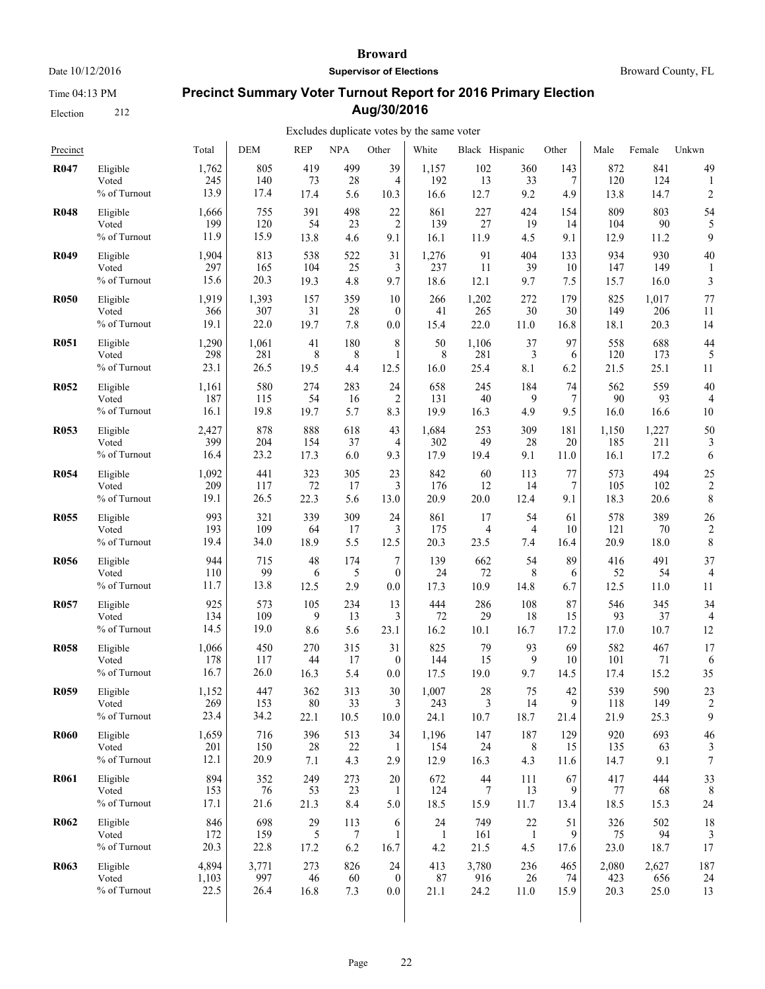Time 04:13 PM

Election 212

#### **Broward**

**Supervisor of Elections**

# **Precinct Summary Voter Turnout Report for 2016 Primary Election Aug/30/2016**

| Precinct         |                                   | Total                | <b>DEM</b>         | <b>REP</b>         | <b>NPA</b>       | Other            | White                | Black Hispanic   |                  | Other              | Male               | Female             | Unkwn                   |
|------------------|-----------------------------------|----------------------|--------------------|--------------------|------------------|------------------|----------------------|------------------|------------------|--------------------|--------------------|--------------------|-------------------------|
| <b>R047</b>      | Eligible                          | 1,762                | 805                | 419                | 499              | 39               | 1,157                | 102              | 360              | 143                | 872                | 841                | 49                      |
|                  | Voted                             | 245                  | 140                | 73                 | 28               | 4                | 192                  | 13               | 33               | 7                  | 120                | 124                | 1                       |
|                  | % of Turnout                      | 13.9                 | 17.4               | 17.4               | 5.6              | 10.3             | 16.6                 | 12.7             | 9.2              | 4.9                | 13.8               | 14.7               | $\overline{\mathbf{c}}$ |
| <b>R048</b>      | Eligible                          | 1,666                | 755                | 391                | 498              | 22               | 861                  | 227              | 424              | 154                | 809                | 803                | 54                      |
|                  | Voted                             | 199                  | 120                | 54                 | 23               | $\overline{2}$   | 139                  | 27               | 19               | 14                 | 104                | 90                 | 5                       |
|                  | % of Turnout                      | 11.9                 | 15.9               | 13.8               | 4.6              | 9.1              | 16.1                 | 11.9             | 4.5              | 9.1                | 12.9               | 11.2               | 9                       |
| <b>R049</b>      | Eligible<br>Voted<br>% of Turnout | 1,904<br>297<br>15.6 | 813<br>165<br>20.3 | 538<br>104<br>19.3 | 522<br>25<br>4.8 | 31<br>3<br>9.7   | 1,276<br>237<br>18.6 | 91<br>11<br>12.1 | 404<br>39<br>9.7 | 133<br>10<br>$7.5$ | 934<br>147<br>15.7 | 930<br>149<br>16.0 | 40<br>3                 |
| <b>R050</b>      | Eligible                          | 1,919                | 1,393              | 157                | 359              | 10               | 266                  | 1,202            | 272              | 179                | 825                | 1,017              | 77                      |
|                  | Voted                             | 366                  | 307                | 31                 | 28               | $\mathbf{0}$     | 41                   | 265              | 30               | 30                 | 149                | 206                | 11                      |
|                  | % of Turnout                      | 19.1                 | 22.0               | 19.7               | 7.8              | 0.0              | 15.4                 | 22.0             | 11.0             | 16.8               | 18.1               | 20.3               | 14                      |
| <b>R051</b>      | Eligible                          | 1,290                | 1,061              | 41                 | 180              | 8                | 50                   | 1,106            | 37               | 97                 | 558                | 688                | 44                      |
|                  | Voted                             | 298                  | 281                | 8                  | 8                | 1                | 8                    | 281              | 3                | 6                  | 120                | 173                | 5                       |
|                  | % of Turnout                      | 23.1                 | 26.5               | 19.5               | 4.4              | 12.5             | 16.0                 | 25.4             | 8.1              | 6.2                | 21.5               | 25.1               | 11                      |
| R <sub>052</sub> | Eligible                          | 1,161                | 580                | 274                | 283              | 24               | 658                  | 245              | 184              | 74                 | 562                | 559                | 40                      |
|                  | Voted                             | 187                  | 115                | 54                 | 16               | $\overline{2}$   | 131                  | 40               | 9                | $\overline{7}$     | 90                 | 93                 | 4                       |
|                  | % of Turnout                      | 16.1                 | 19.8               | 19.7               | 5.7              | 8.3              | 19.9                 | 16.3             | 4.9              | 9.5                | 16.0               | 16.6               | 10                      |
| <b>R053</b>      | Eligible                          | 2,427                | 878                | 888                | 618              | 43               | 1,684                | 253              | 309              | 181                | 1,150              | 1,227              | 50                      |
|                  | Voted                             | 399                  | 204                | 154                | 37               | 4                | 302                  | 49               | 28               | 20                 | 185                | 211                | 3                       |
|                  | % of Turnout                      | 16.4                 | 23.2               | 17.3               | 6.0              | 9.3              | 17.9                 | 19.4             | 9.1              | 11.0               | 16.1               | 17.2               | 6                       |
| <b>R054</b>      | Eligible                          | 1,092                | 441                | 323                | 305              | 23               | 842                  | 60               | 113              | 77                 | 573                | 494                | 25                      |
|                  | Voted                             | 209                  | 117                | 72                 | 17               | 3                | 176                  | 12               | 14               | 7                  | 105                | 102                | $\overline{\mathbf{c}}$ |
|                  | % of Turnout                      | 19.1                 | 26.5               | 22.3               | 5.6              | 13.0             | 20.9                 | 20.0             | 12.4             | 9.1                | 18.3               | 20.6               | 8                       |
| R <sub>055</sub> | Eligible                          | 993                  | 321                | 339                | 309              | 24               | 861                  | 17               | 54               | 61                 | 578                | 389                | 26                      |
|                  | Voted                             | 193                  | 109                | 64                 | 17               | 3                | 175                  | 4                | 4                | 10                 | 121                | 70                 | $\overline{\mathbf{c}}$ |
|                  | % of Turnout                      | 19.4                 | 34.0               | 18.9               | 5.5              | 12.5             | 20.3                 | 23.5             | 7.4              | 16.4               | 20.9               | 18.0               | 8                       |
| <b>R056</b>      | Eligible                          | 944                  | 715                | 48                 | 174              | 7                | 139                  | 662              | 54               | 89                 | 416                | 491                | 37                      |
|                  | Voted                             | 110                  | 99                 | 6                  | 5                | $\boldsymbol{0}$ | 24                   | 72               | 8                | 6                  | 52                 | 54                 | $\overline{4}$          |
|                  | % of Turnout                      | 11.7                 | 13.8               | 12.5               | 2.9              | 0.0              | 17.3                 | 10.9             | 14.8             | 6.7                | 12.5               | 11.0               | 11                      |
| <b>R057</b>      | Eligible                          | 925                  | 573                | 105                | 234              | 13               | 444                  | 286              | 108              | 87                 | 546                | 345                | 34                      |
|                  | Voted                             | 134                  | 109                | 9                  | 13               | 3                | 72                   | 29               | 18               | 15                 | 93                 | 37                 | $\overline{4}$          |
|                  | % of Turnout                      | 14.5                 | 19.0               | 8.6                | 5.6              | 23.1             | 16.2                 | 10.1             | 16.7             | 17.2               | 17.0               | 10.7               | 12                      |
| <b>R058</b>      | Eligible                          | 1,066                | 450                | 270                | 315              | 31               | 825                  | 79               | 93               | 69                 | 582                | 467                | 17                      |
|                  | Voted                             | 178                  | 117                | 44                 | 17               | $\mathbf{0}$     | 144                  | 15               | 9                | 10                 | 101                | 71                 | 6                       |
|                  | % of Turnout                      | 16.7                 | 26.0               | 16.3               | 5.4              | 0.0              | 17.5                 | 19.0             | 9.7              | 14.5               | 17.4               | 15.2               | 35                      |
| <b>R059</b>      | Eligible                          | 1,152                | 447                | 362                | 313              | 30               | 1,007                | 28               | 75               | 42                 | 539                | 590                | 23                      |
|                  | Voted                             | 269                  | 153                | 80                 | 33               | 3                | 243                  | 3                | 14               | 9                  | 118                | 149                | 2                       |
|                  | % of Turnout                      | 23.4                 | 34.2               | 22.1               | 10.5             | 10.0             | 24.1                 | 10.7             | 18.7             | 21.4               | 21.9               | 25.3               | 9                       |
| <b>R060</b>      | Eligible                          | 1,659                | 716                | 396                | 513              | 34               | 1,196                | 147              | 187              | 129                | 920                | 693                | 46                      |
|                  | Voted                             | 201                  | 150                | 28                 | 22               | 1                | 154                  | 24               | 8                | 15                 | 135                | 63                 | 3                       |
|                  | % of Turnout                      | 12.1                 | 20.9               | 7.1                | 4.3              | 2.9              | 12.9                 | 16.3             | 4.3              | 11.6               | 14.7               | 9.1                | $\boldsymbol{7}$        |
| <b>R061</b>      | Eligible                          | 894                  | 352                | 249                | 273              | 20               | 672                  | $44$             | 111              | 67                 | 417                | 444                | 33                      |
|                  | Voted                             | 153                  | 76                 | 53                 | 23               | -1               | 124                  | 7                | 13               | 9                  | 77                 | 68                 | 8                       |
|                  | % of Turnout                      | 17.1                 | 21.6               | 21.3               | 8.4              | 5.0              | 18.5                 | 15.9             | 11.7             | 13.4               | 18.5               | 15.3               | 24                      |
| R <sub>062</sub> | Eligible                          | 846                  | 698                | 29                 | 113              | 6                | 24                   | 749              | 22               | 51                 | 326                | 502                | 18                      |
|                  | Voted                             | 172                  | 159                | 5                  | 7                | 1                | $\mathbf{1}$         | 161              | $\mathbf{1}$     | 9                  | 75                 | 94                 | 3                       |
|                  | % of Turnout                      | 20.3                 | 22.8               | 17.2               | 6.2              | 16.7             | 4.2                  | 21.5             | 4.5              | 17.6               | 23.0               | 18.7               | 17                      |
| R <sub>063</sub> | Eligible                          | 4,894                | 3,771              | 273                | 826              | 24               | 413                  | 3,780            | 236              | 465                | 2,080              | 2,627              | 187                     |
|                  | Voted                             | 1,103                | 997                | 46                 | 60               | $\mathbf{0}$     | 87                   | 916              | 26               | 74                 | 423                | 656                | 24                      |
|                  | % of Turnout                      | 22.5                 | 26.4               | 16.8               | 7.3              | 0.0              | 21.1                 | 24.2             | 11.0             | 15.9               | 20.3               | 25.0               | 13                      |
|                  |                                   |                      |                    |                    |                  |                  |                      |                  |                  |                    |                    |                    |                         |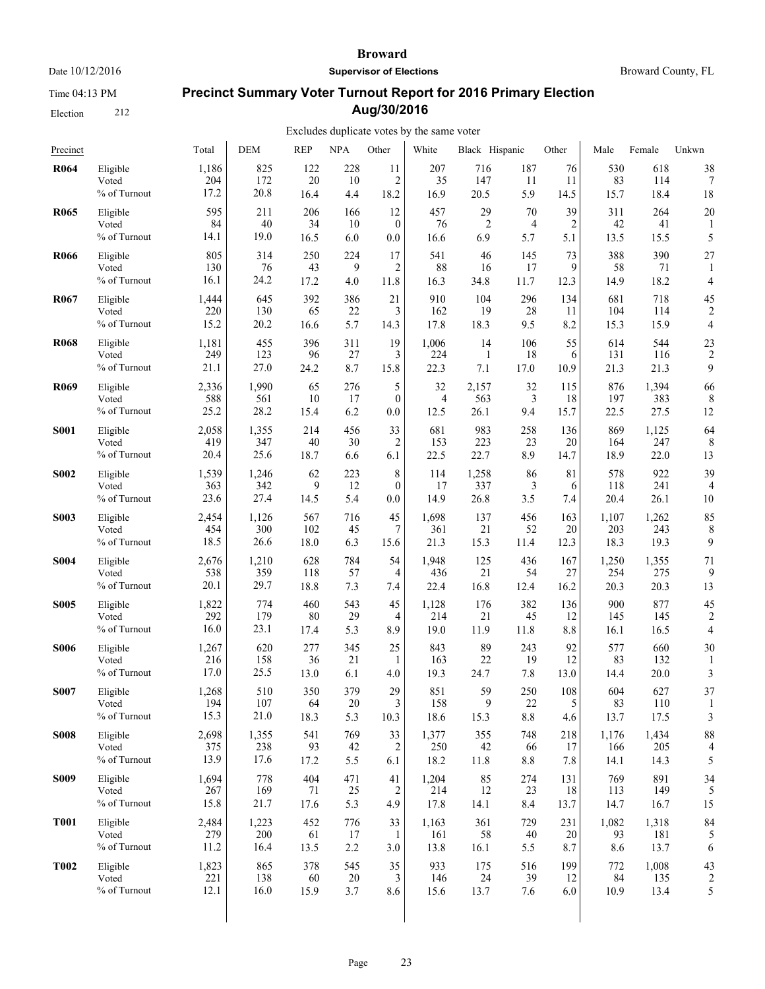Time 04:13 PM

Election 212

#### **Broward**

**Supervisor of Elections**

Broward County, FL

# **Precinct Summary Voter Turnout Report for 2016 Primary Election Aug/30/2016**

| Precinct         |                                   | Total                | <b>DEM</b>         | <b>REP</b>        | <b>NPA</b>       | Other                       | White              | Black Hispanic   |                      | Other           | Male              | Female             | Unkwn          |
|------------------|-----------------------------------|----------------------|--------------------|-------------------|------------------|-----------------------------|--------------------|------------------|----------------------|-----------------|-------------------|--------------------|----------------|
| R <sub>064</sub> | Eligible                          | 1,186                | 825                | 122               | 228              | 11                          | 207                | 716              | 187                  | 76              | 530               | 618                | 38             |
|                  | Voted                             | 204                  | 172                | 20                | 10               | $\overline{2}$              | 35                 | 147              | 11                   | 11              | 83                | 114                | 7              |
|                  | % of Turnout                      | 17.2                 | 20.8               | 16.4              | 4.4              | 18.2                        | 16.9               | 20.5             | 5.9                  | 14.5            | 15.7              | 18.4               | 18             |
| <b>R065</b>      | Eligible                          | 595                  | 211                | 206               | 166              | 12                          | 457                | 29               | 70                   | 39              | 311               | 264                | 20             |
|                  | Voted                             | 84                   | 40                 | 34                | 10               | $\mathbf{0}$                | 76                 | $\overline{2}$   | 4                    | $\overline{2}$  | 42                | 41                 | 1              |
|                  | % of Turnout                      | 14.1                 | 19.0               | 16.5              | 6.0              | 0.0                         | 16.6               | 6.9              | 5.7                  | 5.1             | 13.5              | 15.5               | 5              |
| <b>R066</b>      | Eligible<br>Voted<br>% of Turnout | 805<br>130<br>16.1   | 314<br>76<br>24.2  | 250<br>43<br>17.2 | 224<br>9<br>4.0  | 17<br>2<br>11.8             | 541<br>88<br>16.3  | 46<br>16<br>34.8 | 145<br>17<br>11.7    | 73<br>9<br>12.3 | 388<br>58<br>14.9 | 390<br>71<br>18.2  | 27<br>4        |
| <b>R067</b>      | Eligible                          | 1,444                | 645                | 392               | 386              | 21                          | 910                | 104              | 296                  | 134             | 681               | 718                | 45             |
|                  | Voted                             | 220                  | 130                | 65                | 22               | 3                           | 162                | 19               | 28                   | 11              | 104               | 114                | $\overline{2}$ |
|                  | % of Turnout                      | 15.2                 | 20.2               | 16.6              | 5.7              | 14.3                        | 17.8               | 18.3             | 9.5                  | 8.2             | 15.3              | 15.9               | $\overline{4}$ |
| <b>R068</b>      | Eligible                          | 1,181                | 455                | 396               | 311              | 19                          | 1,006              | 14               | 106                  | 55              | 614               | 544                | 23             |
|                  | Voted                             | 249                  | 123                | 96                | 27               | 3                           | 224                | $\mathbf{1}$     | 18                   | 6               | 131               | 116                | $\overline{c}$ |
|                  | % of Turnout                      | 21.1                 | 27.0               | 24.2              | 8.7              | 15.8                        | 22.3               | 7.1              | 17.0                 | 10.9            | 21.3              | 21.3               | 9              |
| <b>R069</b>      | Eligible                          | 2,336                | 1,990              | 65                | 276              | 5                           | 32                 | 2,157            | 32                   | 115             | 876               | 1,394              | 66             |
|                  | Voted                             | 588                  | 561                | 10                | 17               | $\mathbf{0}$                | 4                  | 563              | 3                    | 18              | 197               | 383                | 8              |
|                  | % of Turnout                      | 25.2                 | 28.2               | 15.4              | 6.2              | 0.0                         | 12.5               | 26.1             | 9.4                  | 15.7            | 22.5              | 27.5               | 12             |
| <b>S001</b>      | Eligible                          | 2,058                | 1,355              | 214               | 456              | 33                          | 681                | 983              | 258                  | 136             | 869               | 1,125              | 64             |
|                  | Voted                             | 419                  | 347                | 40                | 30               | 2                           | 153                | 223              | 23                   | 20              | 164               | 247                | 8              |
|                  | % of Turnout                      | 20.4                 | 25.6               | 18.7              | 6.6              | 6.1                         | 22.5               | 22.7             | 8.9                  | 14.7            | 18.9              | 22.0               | 13             |
| <b>S002</b>      | Eligible                          | 1,539                | 1,246              | 62                | 223              | 8                           | 114                | 1,258            | 86                   | 81              | 578               | 922                | 39             |
|                  | Voted                             | 363                  | 342                | 9                 | 12               | $\theta$                    | 17                 | 337              | 3                    | 6               | 118               | 241                | 4              |
|                  | % of Turnout                      | 23.6                 | 27.4               | 14.5              | 5.4              | 0.0                         | 14.9               | 26.8             | 3.5                  | 7.4             | 20.4              | 26.1               | 10             |
| <b>S003</b>      | Eligible                          | 2,454                | 1,126              | 567               | 716              | 45                          | 1,698              | 137              | 456                  | 163             | 1,107             | 1,262              | 85             |
|                  | Voted                             | 454                  | 300                | 102               | 45               | 7                           | 361                | 21               | 52                   | 20              | 203               | 243                | 8              |
|                  | % of Turnout                      | 18.5                 | 26.6               | 18.0              | 6.3              | 15.6                        | 21.3               | 15.3             | 11.4                 | 12.3            | 18.3              | 19.3               | 9              |
| <b>S004</b>      | Eligible                          | 2,676                | 1,210              | 628               | 784              | 54                          | 1,948              | 125              | 436                  | 167             | 1,250             | 1,355              | 71             |
|                  | Voted                             | 538                  | 359                | 118               | 57               | 4                           | 436                | 21               | 54                   | 27              | 254               | 275                | 9              |
|                  | % of Turnout                      | 20.1                 | 29.7               | 18.8              | 7.3              | 7.4                         | 22.4               | 16.8             | 12.4                 | 16.2            | 20.3              | 20.3               | 13             |
| <b>S005</b>      | Eligible                          | 1,822                | 774                | 460               | 543              | 45                          | 1,128              | 176              | 382                  | 136             | 900               | 877                | 45             |
|                  | Voted                             | 292                  | 179                | 80                | 29               | 4                           | 214                | 21               | 45                   | 12              | 145               | 145                | $\overline{2}$ |
|                  | % of Turnout                      | 16.0                 | 23.1               | 17.4              | 5.3              | 8.9                         | 19.0               | 11.9             | 11.8                 | 8.8             | 16.1              | 16.5               | 4              |
| <b>S006</b>      | Eligible                          | 1,267                | 620                | 277               | 345              | 25                          | 843                | 89               | 243                  | 92              | 577               | 660                | 30             |
|                  | Voted                             | 216                  | 158                | 36                | 21               | -1                          | 163                | 22               | 19                   | 12              | 83                | 132                | 1              |
|                  | % of Turnout                      | 17.0                 | 25.5               | 13.0              | 6.1              | 4.0                         | 19.3               | 24.7             | 7.8                  | 13.0            | 14.4              | 20.0               | 3              |
| <b>S007</b>      | Eligible<br>Voted<br>% of Turnout | 1,268<br>194<br>15.3 | 510<br>107<br>21.0 | 350<br>64<br>18.3 | 379<br>20<br>5.3 | 29<br>$\mathcal{L}$<br>10.3 | 851<br>158<br>18.6 | 59<br>9<br>15.3  | 250<br>22<br>$8.8\,$ | 108<br>5<br>4.6 | 604<br>83<br>13.7 | 627<br>110<br>17.5 | 37<br>3        |
| <b>S008</b>      | Eligible                          | 2,698                | 1,355              | 541               | 769              | 33                          | 1,377              | 355              | 748                  | 218             | 1,176             | 1,434              | 88             |
|                  | Voted                             | 375                  | 238                | 93                | 42               | 2                           | 250                | 42               | 66                   | 17              | 166               | 205                | 4              |
|                  | % of Turnout                      | 13.9                 | 17.6               | 17.2              | 5.5              | 6.1                         | 18.2               | 11.8             | $8.8\,$              | 7.8             | 14.1              | 14.3               | 5              |
| <b>S009</b>      | Eligible                          | 1,694                | 778                | 404               | 471              | 41                          | 1,204              | 85               | 274                  | 131             | 769               | 891                | 34             |
|                  | Voted                             | 267                  | 169                | 71                | 25               | $\overline{c}$              | 214                | 12               | 23                   | 18              | 113               | 149                | 5              |
|                  | % of Turnout                      | 15.8                 | 21.7               | 17.6              | 5.3              | 4.9                         | 17.8               | 14.1             | 8.4                  | 13.7            | 14.7              | 16.7               | 15             |
| <b>T001</b>      | Eligible                          | 2,484                | 1,223              | 452               | 776              | 33                          | 1,163              | 361              | 729                  | 231             | 1,082             | 1,318              | 84             |
|                  | Voted                             | 279                  | 200                | 61                | 17               | 1                           | 161                | 58               | 40                   | 20              | 93                | 181                | 5              |
|                  | % of Turnout                      | 11.2                 | 16.4               | 13.5              | 2.2              | 3.0                         | 13.8               | 16.1             | 5.5                  | 8.7             | 8.6               | 13.7               | 6              |
| <b>T002</b>      | Eligible                          | 1,823                | 865                | 378               | 545              | 35                          | 933                | 175              | 516                  | 199             | 772               | 1,008              | 43             |
|                  | Voted                             | 221                  | 138                | 60                | 20               | 3                           | 146                | 24               | 39                   | 12              | 84                | 135                | $\overline{c}$ |
|                  | % of Turnout                      | 12.1                 | 16.0               | 15.9              | 3.7              | 8.6                         | 15.6               | 13.7             | 7.6                  | 6.0             | 10.9              | 13.4               | 5              |
|                  |                                   |                      |                    |                   |                  |                             |                    |                  |                      |                 |                   |                    |                |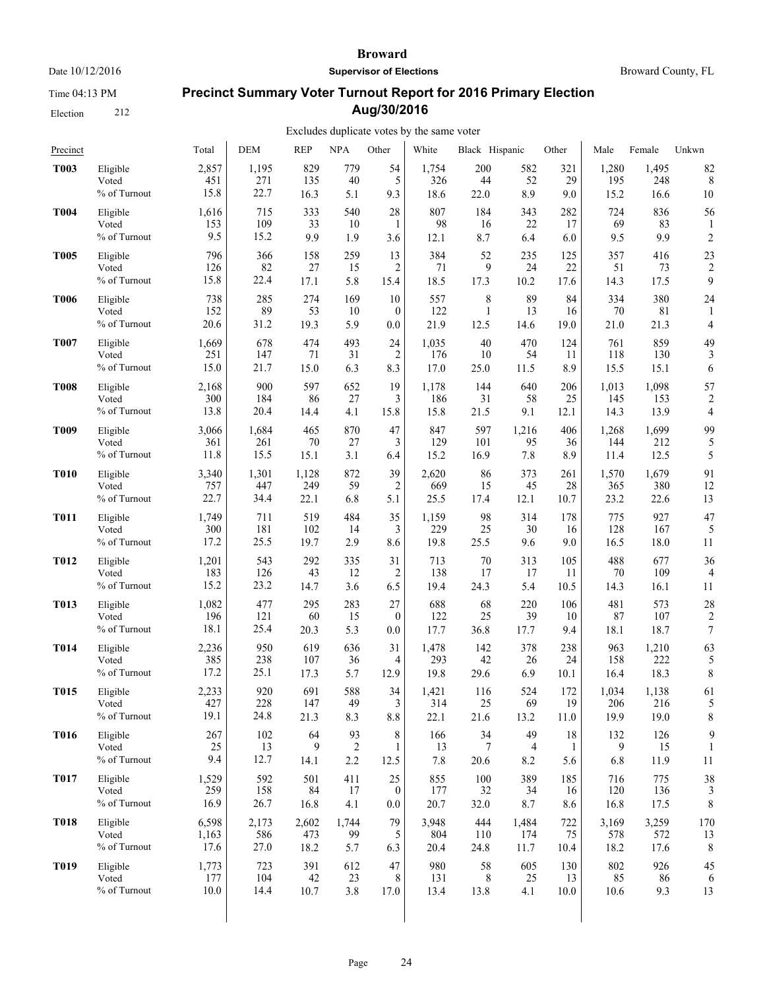Time 04:13 PM

Election 212

#### **Broward**

**Supervisor of Elections**

Broward County, FL

# **Precinct Summary Voter Turnout Report for 2016 Primary Election Aug/30/2016**

| Precinct         |                                   | Total            | <b>DEM</b>        | <b>REP</b>      | <b>NPA</b>                  | Other          | White            | Black Hispanic  |                | Other          | Male            | Female            | Unkwn                   |
|------------------|-----------------------------------|------------------|-------------------|-----------------|-----------------------------|----------------|------------------|-----------------|----------------|----------------|-----------------|-------------------|-------------------------|
| <b>T003</b>      | Eligible                          | 2,857            | 1,195             | 829             | 779                         | 54             | 1,754            | 200             | 582            | 321            | 1,280           | 1,495             | 82                      |
|                  | Voted                             | 451              | 271               | 135             | 40                          | 5              | 326              | 44              | 52             | 29             | 195             | 248               | 8                       |
|                  | % of Turnout                      | 15.8             | 22.7              | 16.3            | 5.1                         | 9.3            | 18.6             | 22.0            | 8.9            | 9.0            | 15.2            | 16.6              | 10                      |
| <b>T004</b>      | Eligible                          | 1,616            | 715               | 333             | 540                         | 28             | 807              | 184             | 343            | 282            | 724             | 836               | 56                      |
|                  | Voted                             | 153              | 109               | 33              | 10                          | 1              | 98               | 16              | 22             | 17             | 69              | 83                | 1                       |
|                  | % of Turnout                      | 9.5              | 15.2              | 9.9             | 1.9                         | 3.6            | 12.1             | 8.7             | 6.4            | 6.0            | 9.5             | 9.9               | $\overline{c}$          |
| <b>T005</b>      | Eligible                          | 796              | 366               | 158             | 259                         | 13             | 384              | 52              | 235            | 125            | 357             | 416               | 23                      |
|                  | Voted                             | 126              | 82                | 27              | 15                          | 2              | 71               | 9               | 24             | 22             | 51              | 73                | $\overline{\mathbf{c}}$ |
|                  | % of Turnout                      | 15.8             | 22.4              | 17.1            | 5.8                         | 15.4           | 18.5             | 17.3            | 10.2           | 17.6           | 14.3            | 17.5              | 9                       |
| <b>T006</b>      | Eligible                          | 738              | 285               | 274             | 169                         | 10             | 557              | 8               | 89             | 84             | 334             | 380               | 24                      |
|                  | Voted                             | 152              | 89                | 53              | 10                          | $\mathbf{0}$   | 122              | 1               | 13             | 16             | 70              | 81                | 1                       |
|                  | % of Turnout                      | 20.6             | 31.2              | 19.3            | 5.9                         | 0.0            | 21.9             | 12.5            | 14.6           | 19.0           | 21.0            | 21.3              | 4                       |
| <b>T007</b>      | Eligible                          | 1,669            | 678               | 474             | 493                         | 24             | 1,035            | 40              | 470            | 124            | 761             | 859               | 49                      |
|                  | Voted                             | 251              | 147               | 71              | 31                          | $\overline{c}$ | 176              | 10              | 54             | 11             | 118             | 130               | 3                       |
|                  | % of Turnout                      | 15.0             | 21.7              | 15.0            | 6.3                         | 8.3            | 17.0             | 25.0            | 11.5           | 8.9            | 15.5            | 15.1              | 6                       |
| <b>T008</b>      | Eligible                          | 2,168            | 900               | 597             | 652                         | 19             | 1,178            | 144             | 640            | 206            | 1,013           | 1,098             | 57                      |
|                  | Voted                             | 300              | 184               | 86              | 27                          | 3              | 186              | 31              | 58             | 25             | 145             | 153               | $\overline{2}$          |
|                  | % of Turnout                      | 13.8             | 20.4              | 14.4            | 4.1                         | 15.8           | 15.8             | 21.5            | 9.1            | 12.1           | 14.3            | 13.9              | 4                       |
| T <sub>009</sub> | Eligible                          | 3,066            | 1,684             | 465             | 870                         | 47             | 847              | 597             | 1,216          | 406            | 1,268           | 1,699             | 99                      |
|                  | Voted                             | 361              | 261               | 70              | 27                          | 3              | 129              | 101             | 95             | 36             | 144             | 212               | 5                       |
|                  | % of Turnout                      | 11.8             | 15.5              | 15.1            | 3.1                         | 6.4            | 15.2             | 16.9            | 7.8            | 8.9            | 11.4            | 12.5              | 5                       |
| <b>T010</b>      | Eligible                          | 3,340            | 1,301             | 1,128           | 872                         | 39             | 2,620            | 86              | 373            | 261            | 1,570           | 1,679             | 91                      |
|                  | Voted                             | 757              | 447               | 249             | 59                          | 2              | 669              | 15              | 45             | 28             | 365             | 380               | 12                      |
|                  | % of Turnout                      | 22.7             | 34.4              | 22.1            | 6.8                         | 5.1            | 25.5             | 17.4            | 12.1           | 10.7           | 23.2            | 22.6              | 13                      |
| <b>T011</b>      | Eligible                          | 1,749            | 711               | 519             | 484                         | 35             | 1,159            | 98              | 314            | 178            | 775             | 927               | 47                      |
|                  | Voted                             | 300              | 181               | 102             | 14                          | 3              | 229              | 25              | 30             | 16             | 128             | 167               | 5                       |
|                  | % of Turnout                      | 17.2             | 25.5              | 19.7            | 2.9                         | 8.6            | 19.8             | 25.5            | 9.6            | 9.0            | 16.5            | 18.0              | 11                      |
| <b>T012</b>      | Eligible                          | 1,201            | 543               | 292             | 335                         | 31             | 713              | 70              | 313            | 105            | 488             | 677               | 36                      |
|                  | Voted                             | 183              | 126               | 43              | 12                          | $\overline{2}$ | 138              | 17              | 17             | 11             | 70              | 109               | 4                       |
|                  | % of Turnout                      | 15.2             | 23.2              | 14.7            | 3.6                         | 6.5            | 19.4             | 24.3            | 5.4            | 10.5           | 14.3            | 16.1              | 11                      |
| <b>T013</b>      | Eligible                          | 1,082            | 477               | 295             | 283                         | 27             | 688              | 68              | 220            | 106            | 481             | 573               | 28                      |
|                  | Voted                             | 196              | 121               | 60              | 15                          | $\mathbf{0}$   | 122              | 25              | 39             | 10             | 87              | 107               | $\overline{\mathbf{c}}$ |
|                  | % of Turnout                      | 18.1             | 25.4              | 20.3            | 5.3                         | 0.0            | 17.7             | 36.8            | 17.7           | 9.4            | 18.1            | 18.7              | 7                       |
| <b>T014</b>      | Eligible                          | 2,236            | 950               | 619             | 636                         | 31             | 1,478            | 142             | 378            | 238            | 963             | 1,210             | 63                      |
|                  | Voted                             | 385              | 238               | 107             | 36                          | 4              | 293              | 42              | 26             | 24             | 158             | 222               | 5                       |
|                  | % of Turnout                      | 17.2             | 25.1              | 17.3            | 5.7                         | 12.9           | 19.8             | 29.6            | 6.9            | 10.1           | 16.4            | 18.3              | 8                       |
| <b>T015</b>      | Eligible                          | 2,233            | 920               | 691             | 588                         | 34             | 1,421            | 116             | 524            | 172            | 1,034           | 1,138             | 61                      |
|                  | Voted                             | 427              | 228               | 147             | 49                          | 3              | 314              | 25              | 69             | 19             | 206             | 216               | 5                       |
|                  | % of Turnout                      | 19.1             | 24.8              | 21.3            | 8.3                         | 8.8            | 22.1             | 21.6            | 13.2           | 11.0           | 19.9            | 19.0              | 8                       |
| <b>T016</b>      | Eligible<br>Voted<br>% of Turnout | 267<br>25<br>9.4 | 102<br>13<br>12.7 | 64<br>9<br>14.1 | 93<br>$\overline{c}$<br>2.2 | 8<br>1<br>12.5 | 166<br>13<br>7.8 | 34<br>7<br>20.6 | 49<br>4<br>8.2 | 18<br>1<br>5.6 | 132<br>9<br>6.8 | 126<br>15<br>11.9 | 9<br>11                 |
| <b>T017</b>      | Eligible                          | 1,529            | 592               | 501             | 411                         | 25             | 855              | 100             | 389            | 185            | 716             | 775               | 38                      |
|                  | Voted                             | 259              | 158               | 84              | 17                          | $\bf{0}$       | 177              | 32              | 34             | 16             | 120             | 136               | 3                       |
|                  | % of Turnout                      | 16.9             | 26.7              | 16.8            | 4.1                         | 0.0            | 20.7             | 32.0            | 8.7            | 8.6            | 16.8            | 17.5              | 8                       |
| <b>T018</b>      | Eligible                          | 6,598            | 2,173             | 2,602           | 1,744                       | 79             | 3.948            | 444             | 1,484          | 722            | 3,169           | 3,259             | 170                     |
|                  | Voted                             | 1,163            | 586               | 473             | 99                          | 5              | 804              | 110             | 174            | 75             | 578             | 572               | 13                      |
|                  | % of Turnout                      | 17.6             | 27.0              | 18.2            | 5.7                         | 6.3            | 20.4             | 24.8            | 11.7           | 10.4           | 18.2            | 17.6              | 8                       |
| <b>T019</b>      | Eligible                          | 1,773            | 723               | 391             | 612                         | 47             | 980              | 58              | 605            | 130            | 802             | 926               | 45                      |
|                  | Voted                             | 177              | 104               | 42              | 23                          | 8              | 131              | 8               | 25             | 13             | 85              | 86                | 6                       |
|                  | % of Turnout                      | 10.0             | 14.4              | 10.7            | 3.8                         | 17.0           | 13.4             | 13.8            | 4.1            | 10.0           | 10.6            | 9.3               | 13                      |
|                  |                                   |                  |                   |                 |                             |                |                  |                 |                |                |                 |                   |                         |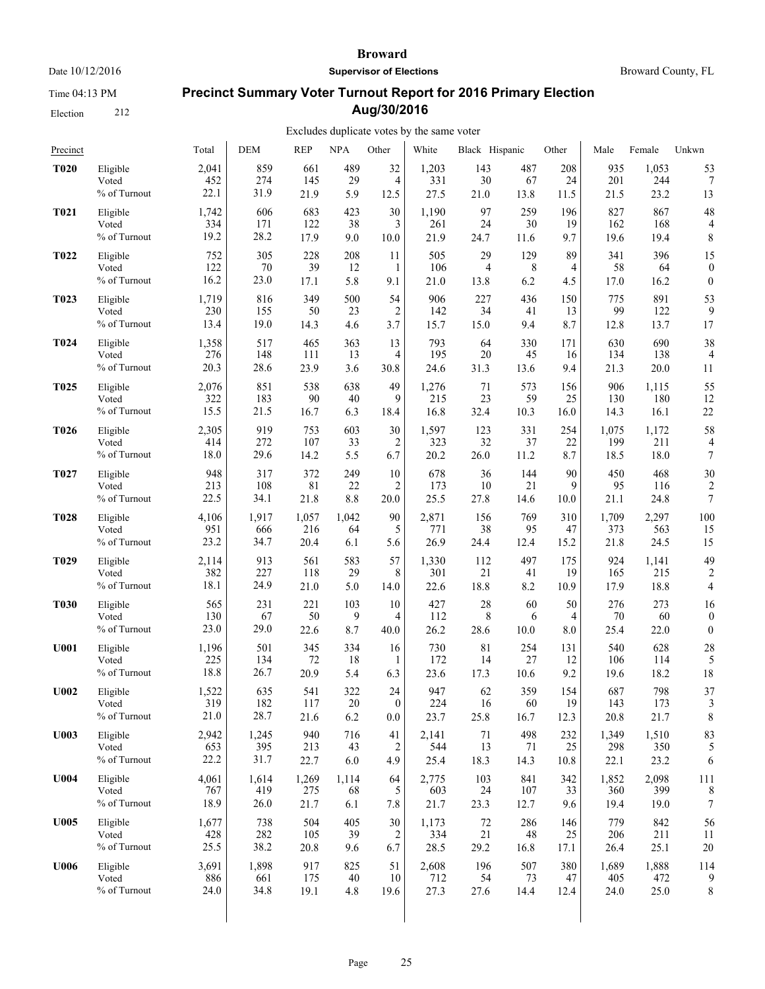Time 04:13 PM

Election 212

#### **Broward**

**Supervisor of Elections**

Broward County, FL

# **Precinct Summary Voter Turnout Report for 2016 Primary Election Aug/30/2016**

| Precinct         |              | Total | <b>DEM</b> | <b>REP</b> | <b>NPA</b> | Other          | White | Black Hispanic |      | Other | Male  | Female | Unkwn            |
|------------------|--------------|-------|------------|------------|------------|----------------|-------|----------------|------|-------|-------|--------|------------------|
| <b>T020</b>      | Eligible     | 2,041 | 859        | 661        | 489        | 32             | 1,203 | 143            | 487  | 208   | 935   | 1,053  | 53               |
|                  | Voted        | 452   | 274        | 145        | 29         | $\overline{4}$ | 331   | 30             | 67   | 24    | 201   | 244    | 7                |
|                  | % of Turnout | 22.1  | 31.9       | 21.9       | 5.9        | 12.5           | 27.5  | 21.0           | 13.8 | 11.5  | 21.5  | 23.2   | 13               |
| <b>T021</b>      | Eligible     | 1,742 | 606        | 683        | 423        | 30             | 1,190 | 97             | 259  | 196   | 827   | 867    | 48               |
|                  | Voted        | 334   | 171        | 122        | 38         | 3              | 261   | 24             | 30   | 19    | 162   | 168    | 4                |
|                  | % of Turnout | 19.2  | 28.2       | 17.9       | 9.0        | 10.0           | 21.9  | 24.7           | 11.6 | 9.7   | 19.6  | 19.4   | 8                |
| T022             | Eligible     | 752   | 305        | 228        | 208        | 11             | 505   | 29             | 129  | 89    | 341   | 396    | 15               |
|                  | Voted        | 122   | 70         | 39         | 12         | 1              | 106   | 4              | 8    | 4     | 58    | 64     | $\boldsymbol{0}$ |
|                  | % of Turnout | 16.2  | 23.0       | 17.1       | 5.8        | 9.1            | 21.0  | 13.8           | 6.2  | 4.5   | 17.0  | 16.2   | $\overline{0}$   |
| T023             | Eligible     | 1,719 | 816        | 349        | 500        | 54             | 906   | 227            | 436  | 150   | 775   | 891    | 53               |
|                  | Voted        | 230   | 155        | 50         | 23         | $\overline{2}$ | 142   | 34             | 41   | 13    | 99    | 122    | 9                |
|                  | % of Turnout | 13.4  | 19.0       | 14.3       | 4.6        | 3.7            | 15.7  | 15.0           | 9.4  | 8.7   | 12.8  | 13.7   | 17               |
| T <sub>024</sub> | Eligible     | 1,358 | 517        | 465        | 363        | 13             | 793   | 64             | 330  | 171   | 630   | 690    | 38               |
|                  | Voted        | 276   | 148        | 111        | 13         | $\overline{4}$ | 195   | 20             | 45   | 16    | 134   | 138    | $\overline{4}$   |
|                  | % of Turnout | 20.3  | 28.6       | 23.9       | 3.6        | 30.8           | 24.6  | 31.3           | 13.6 | 9.4   | 21.3  | 20.0   | 11               |
| T <sub>025</sub> | Eligible     | 2,076 | 851        | 538        | 638        | 49             | 1,276 | 71             | 573  | 156   | 906   | 1,115  | 55               |
|                  | Voted        | 322   | 183        | 90         | 40         | 9              | 215   | 23             | 59   | 25    | 130   | 180    | 12               |
|                  | % of Turnout | 15.5  | 21.5       | 16.7       | 6.3        | 18.4           | 16.8  | 32.4           | 10.3 | 16.0  | 14.3  | 16.1   | 22               |
| T <sub>026</sub> | Eligible     | 2,305 | 919        | 753        | 603        | 30             | 1,597 | 123            | 331  | 254   | 1,075 | 1,172  | 58               |
|                  | Voted        | 414   | 272        | 107        | 33         | $\overline{c}$ | 323   | 32             | 37   | 22    | 199   | 211    | $\overline{4}$   |
|                  | % of Turnout | 18.0  | 29.6       | 14.2       | 5.5        | 6.7            | 20.2  | 26.0           | 11.2 | 8.7   | 18.5  | 18.0   | 7                |
| T <sub>027</sub> | Eligible     | 948   | 317        | 372        | 249        | 10             | 678   | 36             | 144  | 90    | 450   | 468    | 30               |
|                  | Voted        | 213   | 108        | 81         | 22         | 2              | 173   | 10             | 21   | 9     | 95    | 116    | $\overline{c}$   |
|                  | % of Turnout | 22.5  | 34.1       | 21.8       | 8.8        | 20.0           | 25.5  | 27.8           | 14.6 | 10.0  | 21.1  | 24.8   | $\overline{7}$   |
| <b>T028</b>      | Eligible     | 4,106 | 1,917      | 1,057      | 1,042      | 90             | 2,871 | 156            | 769  | 310   | 1,709 | 2,297  | 100              |
|                  | Voted        | 951   | 666        | 216        | 64         | 5              | 771   | 38             | 95   | 47    | 373   | 563    | 15               |
|                  | % of Turnout | 23.2  | 34.7       | 20.4       | 6.1        | 5.6            | 26.9  | 24.4           | 12.4 | 15.2  | 21.8  | 24.5   | 15               |
| T <sub>029</sub> | Eligible     | 2,114 | 913        | 561        | 583        | 57             | 1,330 | 112            | 497  | 175   | 924   | 1,141  | 49               |
|                  | Voted        | 382   | 227        | 118        | 29         | 8              | 301   | 21             | 41   | 19    | 165   | 215    | $\overline{2}$   |
|                  | % of Turnout | 18.1  | 24.9       | 21.0       | 5.0        | 14.0           | 22.6  | 18.8           | 8.2  | 10.9  | 17.9  | 18.8   | $\overline{4}$   |
| <b>T030</b>      | Eligible     | 565   | 231        | 221        | 103        | 10             | 427   | 28             | 60   | 50    | 276   | 273    | 16               |
|                  | Voted        | 130   | 67         | 50         | 9          | $\overline{4}$ | 112   | 8              | 6    | 4     | 70    | 60     | $\boldsymbol{0}$ |
|                  | % of Turnout | 23.0  | 29.0       | 22.6       | 8.7        | 40.0           | 26.2  | 28.6           | 10.0 | 8.0   | 25.4  | 22.0   | $\overline{0}$   |
| <b>U001</b>      | Eligible     | 1,196 | 501        | 345        | 334        | 16             | 730   | 81             | 254  | 131   | 540   | 628    | 28               |
|                  | Voted        | 225   | 134        | 72         | 18         | 1              | 172   | 14             | 27   | 12    | 106   | 114    | 5                |
|                  | % of Turnout | 18.8  | 26.7       | 20.9       | 5.4        | 6.3            | 23.6  | 17.3           | 10.6 | 9.2   | 19.6  | 18.2   | 18               |
| <b>U002</b>      | Eligible     | 1,522 | 635        | 541        | 322        | 24             | 947   | 62             | 359  | 154   | 687   | 798    | 37               |
|                  | Voted        | 319   | 182        | 117        | 20         | $\theta$       | 224   | 16             | 60   | 19    | 143   | 173    | 3                |
|                  | % of Turnout | 21.0  | 28.7       | 21.6       | 6.2        | 0.0            | 23.7  | 25.8           | 16.7 | 12.3  | 20.8  | 21.7   | 8                |
| <b>U003</b>      | Eligible     | 2,942 | 1,245      | 940        | 716        | 41             | 2,141 | 71             | 498  | 232   | 1,349 | 1,510  | 83               |
|                  | Voted        | 653   | 395        | 213        | 43         | 2              | 544   | 13             | 71   | 25    | 298   | 350    | 5                |
|                  | % of Turnout | 22.2  | 31.7       | 22.7       | 6.0        | 4.9            | 25.4  | 18.3           | 14.3 | 10.8  | 22.1  | 23.2   | 6                |
| U004             | Eligible     | 4,061 | 1,614      | 1,269      | 1,114      | 64             | 2,775 | 103            | 841  | 342   | 1,852 | 2,098  | 111              |
|                  | Voted        | 767   | 419        | 275        | 68         | 5              | 603   | 24             | 107  | 33    | 360   | 399    | 8                |
|                  | % of Turnout | 18.9  | 26.0       | 21.7       | 6.1        | 7.8            | 21.7  | 23.3           | 12.7 | 9.6   | 19.4  | 19.0   | $\boldsymbol{7}$ |
| <b>U005</b>      | Eligible     | 1,677 | 738        | 504        | 405        | 30             | 1,173 | $72\,$         | 286  | 146   | 779   | 842    | 56               |
|                  | Voted        | 428   | 282        | 105        | 39         | $\overline{c}$ | 334   | 21             | 48   | 25    | 206   | 211    | 11               |
|                  | % of Turnout | 25.5  | 38.2       | 20.8       | 9.6        | 6.7            | 28.5  | 29.2           | 16.8 | 17.1  | 26.4  | 25.1   | 20               |
| U006             | Eligible     | 3,691 | 1,898      | 917        | 825        | 51             | 2,608 | 196            | 507  | 380   | 1,689 | 1,888  | 114              |
|                  | Voted        | 886   | 661        | 175        | 40         | 10             | 712   | 54             | 73   | 47    | 405   | 472    | 9                |
|                  | % of Turnout | 24.0  | 34.8       | 19.1       | 4.8        | 19.6           | 27.3  | 27.6           | 14.4 | 12.4  | 24.0  | 25.0   | 8                |
|                  |              |       |            |            |            |                |       |                |      |       |       |        |                  |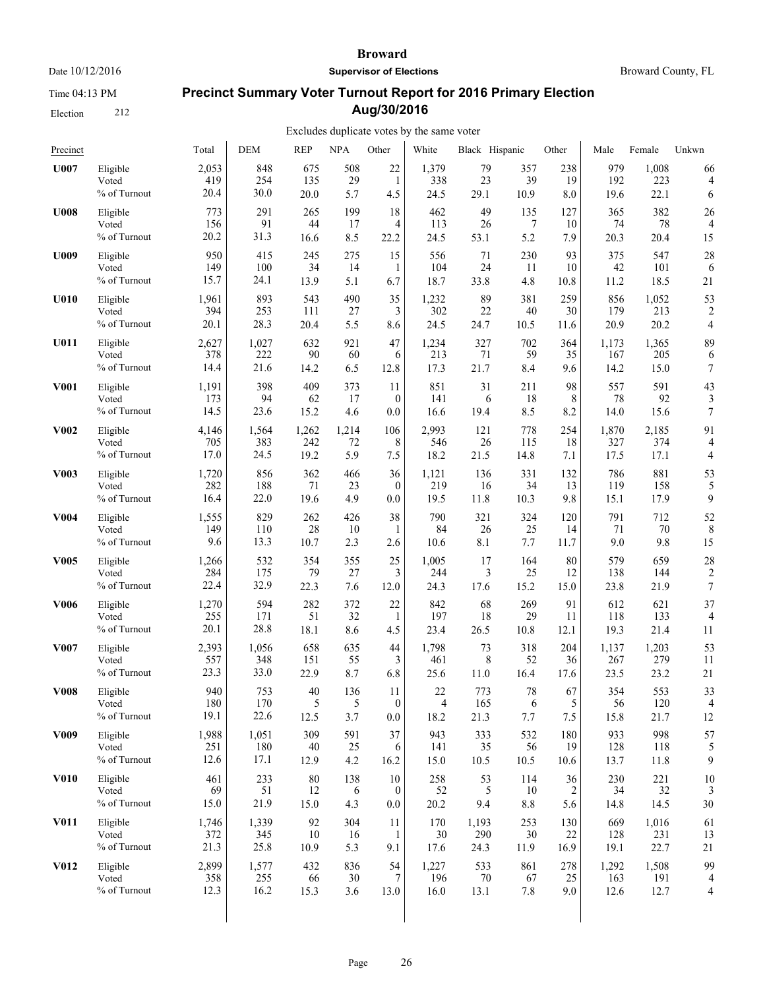Time 04:13 PM

Election 212

#### **Broward**

**Supervisor of Elections**

# **Precinct Summary Voter Turnout Report for 2016 Primary Election Aug/30/2016**

#### Excludes duplicate votes by the same voter  $\mathbf{r}$

| Precinct         |              | Total | <b>DEM</b> | <b>REP</b> | <b>NPA</b> | Other            | White | Black Hispanic |         | Other | Male  | Female | Unkwn          |
|------------------|--------------|-------|------------|------------|------------|------------------|-------|----------------|---------|-------|-------|--------|----------------|
| U007             | Eligible     | 2,053 | 848        | 675        | 508        | 22               | 1,379 | 79             | 357     | 238   | 979   | 1,008  | 66             |
|                  | Voted        | 419   | 254        | 135        | 29         | 1                | 338   | 23             | 39      | 19    | 192   | 223    | 4              |
|                  | % of Turnout | 20.4  | 30.0       | 20.0       | 5.7        | 4.5              | 24.5  | 29.1           | 10.9    | 8.0   | 19.6  | 22.1   | 6              |
| <b>U008</b>      | Eligible     | 773   | 291        | 265        | 199        | 18               | 462   | 49             | 135     | 127   | 365   | 382    | 26             |
|                  | Voted        | 156   | 91         | 44         | 17         | 4                | 113   | 26             | 7       | 10    | 74    | 78     | 4              |
|                  | % of Turnout | 20.2  | 31.3       | 16.6       | 8.5        | 22.2             | 24.5  | 53.1           | 5.2     | 7.9   | 20.3  | 20.4   | 15             |
| <b>U009</b>      | Eligible     | 950   | 415        | 245        | 275        | 15               | 556   | 71             | 230     | 93    | 375   | 547    | 28             |
|                  | Voted        | 149   | 100        | 34         | 14         | 1                | 104   | 24             | 11      | 10    | 42    | 101    | 6              |
|                  | % of Turnout | 15.7  | 24.1       | 13.9       | 5.1        | 6.7              | 18.7  | 33.8           | 4.8     | 10.8  | 11.2  | 18.5   | 21             |
| U010             | Eligible     | 1,961 | 893        | 543        | 490        | 35               | 1,232 | 89             | 381     | 259   | 856   | 1,052  | 53             |
|                  | Voted        | 394   | 253        | 111        | 27         | 3                | 302   | 22             | 40      | 30    | 179   | 213    | 2              |
|                  | % of Turnout | 20.1  | 28.3       | 20.4       | 5.5        | 8.6              | 24.5  | 24.7           | 10.5    | 11.6  | 20.9  | 20.2   | 4              |
| U011             | Eligible     | 2,627 | 1,027      | 632        | 921        | 47               | 1,234 | 327            | 702     | 364   | 1,173 | 1,365  | 89             |
|                  | Voted        | 378   | 222        | 90         | 60         | 6                | 213   | 71             | 59      | 35    | 167   | 205    | 6              |
|                  | % of Turnout | 14.4  | 21.6       | 14.2       | 6.5        | 12.8             | 17.3  | 21.7           | 8.4     | 9.6   | 14.2  | 15.0   | 7              |
| <b>V001</b>      | Eligible     | 1,191 | 398        | 409        | 373        | 11               | 851   | 31             | 211     | 98    | 557   | 591    | 43             |
|                  | Voted        | 173   | 94         | 62         | 17         | $\theta$         | 141   | 6              | 18      | 8     | 78    | 92     | 3              |
|                  | % of Turnout | 14.5  | 23.6       | 15.2       | 4.6        | 0.0              | 16.6  | 19.4           | 8.5     | 8.2   | 14.0  | 15.6   | 7              |
| <b>V002</b>      | Eligible     | 4,146 | 1,564      | 1,262      | 1,214      | 106              | 2,993 | 121            | 778     | 254   | 1,870 | 2,185  | 91             |
|                  | Voted        | 705   | 383        | 242        | 72         | 8                | 546   | 26             | 115     | 18    | 327   | 374    | 4              |
|                  | % of Turnout | 17.0  | 24.5       | 19.2       | 5.9        | 7.5              | 18.2  | 21.5           | 14.8    | 7.1   | 17.5  | 17.1   | 4              |
| <b>V003</b>      | Eligible     | 1,720 | 856        | 362        | 466        | 36               | 1,121 | 136            | 331     | 132   | 786   | 881    | 53             |
|                  | Voted        | 282   | 188        | 71         | 23         | $\mathbf{0}$     | 219   | 16             | 34      | 13    | 119   | 158    | 5              |
|                  | % of Turnout | 16.4  | 22.0       | 19.6       | 4.9        | 0.0              | 19.5  | 11.8           | 10.3    | 9.8   | 15.1  | 17.9   | 9              |
| V004             | Eligible     | 1,555 | 829        | 262        | 426        | 38               | 790   | 321            | 324     | 120   | 791   | 712    | 52             |
|                  | Voted        | 149   | 110        | 28         | 10         | 1                | 84    | 26             | 25      | 14    | 71    | 70     | 8              |
|                  | % of Turnout | 9.6   | 13.3       | 10.7       | 2.3        | 2.6              | 10.6  | 8.1            | 7.7     | 11.7  | 9.0   | 9.8    | 15             |
| V005             | Eligible     | 1,266 | 532        | 354        | 355        | 25               | 1,005 | 17             | 164     | 80    | 579   | 659    | 28             |
|                  | Voted        | 284   | 175        | 79         | 27         | 3                | 244   | 3              | 25      | 12    | 138   | 144    | 2              |
|                  | % of Turnout | 22.4  | 32.9       | 22.3       | 7.6        | 12.0             | 24.3  | 17.6           | 15.2    | 15.0  | 23.8  | 21.9   | 7              |
| <b>V006</b>      | Eligible     | 1,270 | 594        | 282        | 372        | 22               | 842   | 68             | 269     | 91    | 612   | 621    | 37             |
|                  | Voted        | 255   | 171        | 51         | 32         | 1                | 197   | 18             | 29      | 11    | 118   | 133    | $\overline{4}$ |
|                  | % of Turnout | 20.1  | 28.8       | 18.1       | 8.6        | 4.5              | 23.4  | 26.5           | 10.8    | 12.1  | 19.3  | 21.4   | 11             |
| V007             | Eligible     | 2,393 | 1,056      | 658        | 635        | 44               | 1,798 | 73             | 318     | 204   | 1,137 | 1,203  | 53             |
|                  | Voted        | 557   | 348        | 151        | 55         | 3                | 461   | 8              | 52      | 36    | 267   | 279    | 11             |
|                  | % of Turnout | 23.3  | 33.0       | 22.9       | 8.7        | 6.8              | 25.6  | 11.0           | 16.4    | 17.6  | 23.5  | 23.2   | 21             |
| <b>V008</b>      | Eligible     | 940   | 753        | 40         | 136        | 11               | 22    | 773            | 78      | 67    | 354   | 553    | 33             |
|                  | Voted        | 180   | 170        | 5          | 5          | $\theta$         | 4     | 165            | 6       | 5     | 56    | 120    | 4              |
|                  | % of Turnout | 19.1  | 22.6       | 12.5       | 3.7        | $0.0\,$          | 18.2  | 21.3           | 7.7     | 7.5   | 15.8  | 21.7   | 12             |
| V <sub>009</sub> | Eligible     | 1,988 | 1,051      | 309        | 591        | 37               | 943   | 333            | 532     | 180   | 933   | 998    | 57             |
|                  | Voted        | 251   | 180        | $40\,$     | 25         | 6                | 141   | 35             | 56      | 19    | 128   | 118    | 5              |
|                  | % of Turnout | 12.6  | 17.1       | 12.9       | 4.2        | 16.2             | 15.0  | 10.5           | 10.5    | 10.6  | 13.7  | 11.8   | 9              |
| <b>V010</b>      | Eligible     | 461   | 233        | 80         | 138        | 10               | 258   | 53             | 114     | 36    | 230   | 221    | 10             |
|                  | Voted        | 69    | 51         | 12         | 6          | $\boldsymbol{0}$ | 52    | 5              | 10      | 2     | 34    | 32     | 3              |
|                  | % of Turnout | 15.0  | 21.9       | 15.0       | 4.3        | $0.0\,$          | 20.2  | 9.4            | $8.8\,$ | 5.6   | 14.8  | 14.5   | 30             |
| V011             | Eligible     | 1,746 | 1,339      | 92         | 304        | 11               | 170   | 1,193          | 253     | 130   | 669   | 1,016  | 61             |
|                  | Voted        | 372   | 345        | 10         | 16         | 1                | 30    | 290            | 30      | 22    | 128   | 231    | 13             |
|                  | % of Turnout | 21.3  | 25.8       | 10.9       | 5.3        | 9.1              | 17.6  | 24.3           | 11.9    | 16.9  | 19.1  | 22.7   | 21             |
| <b>V012</b>      | Eligible     | 2,899 | 1,577      | 432        | 836        | 54               | 1,227 | 533            | 861     | 278   | 1,292 | 1,508  | 99             |
|                  | Voted        | 358   | 255        | 66         | 30         | 7                | 196   | $70\,$         | 67      | 25    | 163   | 191    | 4              |
|                  | % of Turnout | 12.3  | 16.2       | 15.3       | 3.6        | 13.0             | 16.0  | 13.1           | 7.8     | 9.0   | 12.6  | 12.7   | 4              |
|                  |              |       |            |            |            |                  |       |                |         |       |       |        |                |

Broward County, FL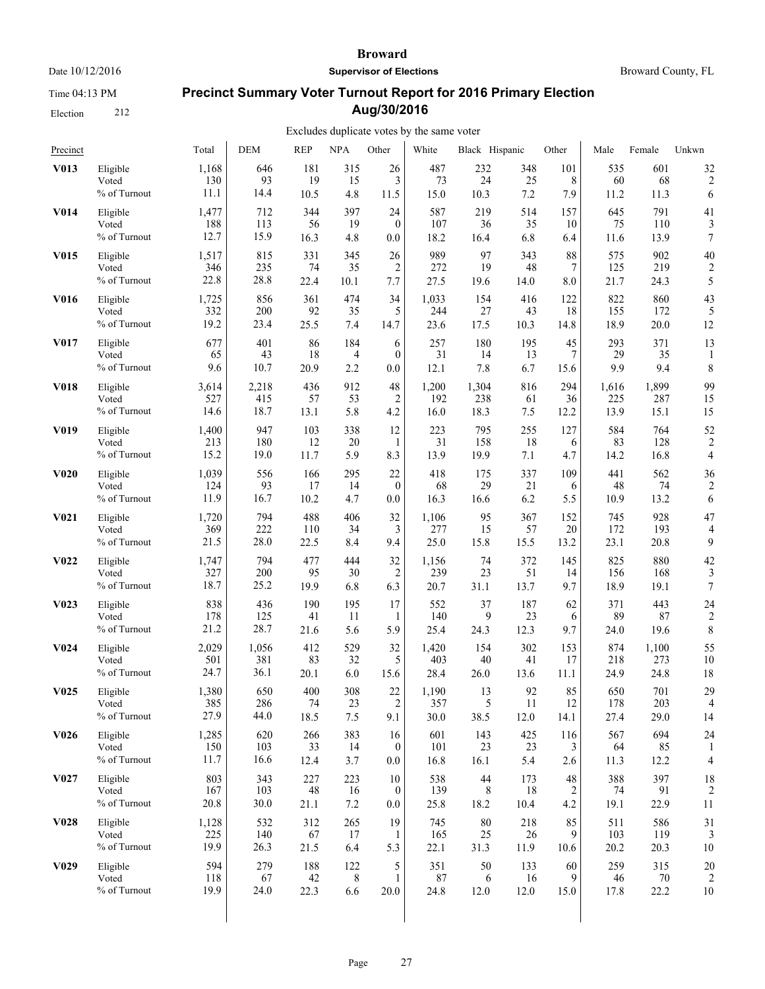Time 04:13 PM

Election 212

#### **Broward**

**Supervisor of Elections**

Broward County, FL

# **Precinct Summary Voter Turnout Report for 2016 Primary Election Aug/30/2016**

| Precinct          |                                   | Total                | <b>DEM</b>         | <b>REP</b>        | <b>NPA</b>       | Other                           | White              | Black Hispanic    |                  | Other           | Male              | Female            | Unkwn                |
|-------------------|-----------------------------------|----------------------|--------------------|-------------------|------------------|---------------------------------|--------------------|-------------------|------------------|-----------------|-------------------|-------------------|----------------------|
| V013              | Eligible                          | 1,168                | 646                | 181               | 315              | 26                              | 487                | 232               | 348              | 101             | 535               | 601               | 32                   |
|                   | Voted                             | 130                  | 93                 | 19                | 15               | 3                               | 73                 | 24                | 25               | 8               | 60                | 68                | $\overline{2}$       |
|                   | % of Turnout                      | 11.1                 | 14.4               | 10.5              | 4.8              | 11.5                            | 15.0               | 10.3              | 7.2              | 7.9             | 11.2              | 11.3              | 6                    |
| <b>V014</b>       | Eligible                          | 1,477                | 712                | 344               | 397              | 24                              | 587                | 219               | 514              | 157             | 645               | 791               | 41                   |
|                   | Voted                             | 188                  | 113                | 56                | 19               | $\theta$                        | 107                | 36                | 35               | 10              | 75                | 110               | 3                    |
|                   | % of Turnout                      | 12.7                 | 15.9               | 16.3              | 4.8              | 0.0                             | 18.2               | 16.4              | 6.8              | 6.4             | 11.6              | 13.9              | 7                    |
| V015              | Eligible                          | 1,517                | 815                | 331               | 345              | 26                              | 989                | 97                | 343              | 88              | 575               | 902               | 40                   |
|                   | Voted                             | 346                  | 235                | 74                | 35               | 2                               | 272                | 19                | 48               | 7               | 125               | 219               | 2                    |
|                   | % of Turnout                      | 22.8                 | 28.8               | 22.4              | 10.1             | 7.7                             | 27.5               | 19.6              | 14.0             | 8.0             | 21.7              | 24.3              | 5                    |
| <b>V016</b>       | Eligible                          | 1,725                | 856                | 361               | 474              | 34                              | 1,033              | 154               | 416              | 122             | 822               | 860               | 43                   |
|                   | Voted                             | 332                  | 200                | 92                | 35               | 5                               | 244                | 27                | 43               | 18              | 155               | 172               | 5                    |
|                   | % of Turnout                      | 19.2                 | 23.4               | 25.5              | 7.4              | 14.7                            | 23.6               | 17.5              | 10.3             | 14.8            | 18.9              | 20.0              | 12                   |
| V017              | Eligible                          | 677                  | 401                | 86                | 184              | 6                               | 257                | 180               | 195              | 45              | 293               | 371               | 13                   |
|                   | Voted                             | 65                   | 43                 | 18                | 4                | $\mathbf{0}$                    | 31                 | 14                | 13               | 7               | 29                | 35                | 1                    |
|                   | % of Turnout                      | 9.6                  | 10.7               | 20.9              | 2.2              | 0.0                             | 12.1               | 7.8               | 6.7              | 15.6            | 9.9               | 9.4               | 8                    |
| <b>V018</b>       | Eligible                          | 3,614                | 2,218              | 436               | 912              | 48                              | 1,200              | 1,304             | 816              | 294             | 1,616             | 1,899             | 99                   |
|                   | Voted                             | 527                  | 415                | 57                | 53               | $\overline{2}$                  | 192                | 238               | 61               | 36              | 225               | 287               | 15                   |
|                   | % of Turnout                      | 14.6                 | 18.7               | 13.1              | 5.8              | 4.2                             | 16.0               | 18.3              | 7.5              | 12.2            | 13.9              | 15.1              | 15                   |
| V019              | Eligible                          | 1,400                | 947                | 103               | 338              | 12                              | 223                | 795               | 255              | 127             | 584               | 764               | 52                   |
|                   | Voted                             | 213                  | 180                | 12                | 20               | 1                               | 31                 | 158               | 18               | 6               | 83                | 128               | $\overline{c}$       |
|                   | % of Turnout                      | 15.2                 | 19.0               | 11.7              | 5.9              | 8.3                             | 13.9               | 19.9              | 7.1              | 4.7             | 14.2              | 16.8              | $\overline{4}$       |
| <b>V020</b>       | Eligible                          | 1,039                | 556                | 166               | 295              | 22                              | 418                | 175               | 337              | 109             | 441               | 562               | 36                   |
|                   | Voted                             | 124                  | 93                 | 17                | 14               | $\mathbf{0}$                    | 68                 | 29                | 21               | 6               | 48                | 74                | $\overline{c}$       |
|                   | % of Turnout                      | 11.9                 | 16.7               | 10.2              | 4.7              | $0.0\,$                         | 16.3               | 16.6              | 6.2              | 5.5             | 10.9              | 13.2              | 6                    |
| V <sub>0</sub> 21 | Eligible                          | 1,720                | 794                | 488               | 406              | 32                              | 1,106              | 95                | 367              | 152             | 745               | 928               | 47                   |
|                   | Voted                             | 369                  | 222                | 110               | 34               | 3                               | 277                | 15                | 57               | 20              | 172               | 193               | 4                    |
|                   | % of Turnout                      | 21.5                 | 28.0               | 22.5              | 8.4              | 9.4                             | 25.0               | 15.8              | 15.5             | 13.2            | 23.1              | 20.8              | 9                    |
| V <sub>0</sub> 22 | Eligible                          | 1,747                | 794                | 477               | 444              | 32                              | 1,156              | 74                | 372              | 145             | 825               | 880               | 42                   |
|                   | Voted                             | 327                  | 200                | 95                | 30               | $\overline{2}$                  | 239                | 23                | 51               | 14              | 156               | 168               | 3                    |
|                   | % of Turnout                      | 18.7                 | 25.2               | 19.9              | 6.8              | 6.3                             | 20.7               | 31.1              | 13.7             | 9.7             | 18.9              | 19.1              | 7                    |
| V <sub>0</sub> 23 | Eligible                          | 838                  | 436                | 190               | 195              | 17                              | 552                | 37                | 187              | 62              | 371               | 443               | 24                   |
|                   | Voted                             | 178                  | 125                | 41                | 11               | 1                               | 140                | 9                 | 23               | 6               | 89                | 87                | $\overline{c}$       |
|                   | % of Turnout                      | 21.2                 | 28.7               | 21.6              | 5.6              | 5.9                             | 25.4               | 24.3              | 12.3             | 9.7             | 24.0              | 19.6              | 8                    |
| V <sub>0</sub> 24 | Eligible                          | 2,029                | 1,056              | 412               | 529              | 32                              | 1,420              | 154               | 302              | 153             | 874               | 1,100             | 55                   |
|                   | Voted                             | 501                  | 381                | 83                | 32               | 5                               | 403                | 40                | 41               | 17              | 218               | 273               | 10                   |
|                   | % of Turnout                      | 24.7                 | 36.1               | 20.1              | 6.0              | 15.6                            | 28.4               | 26.0              | 13.6             | 11.1            | 24.9              | 24.8              | 18                   |
| V <sub>0</sub> 25 | Eligible                          | 1,380                | 650                | 400               | 308              | 22                              | 1,190              | 13                | 92               | 85              | 650               | 701               | 29                   |
|                   | Voted                             | 385                  | 286                | 74                | 23               | 2                               | 357                | 5                 | 11               | 12              | 178               | 203               | $\overline{4}$       |
|                   | % of Turnout                      | 27.9                 | 44.0               | 18.5              | 7.5              | 9.1                             | 30.0               | 38.5              | 12.0             | 14.1            | 27.4              | 29.0              | 14                   |
| V <sub>0</sub> 26 | Eligible<br>Voted<br>% of Turnout | 1,285<br>150<br>11.7 | 620<br>103<br>16.6 | 266<br>33<br>12.4 | 383<br>14<br>3.7 | 16<br>$\overline{0}$<br>$0.0\,$ | 601<br>101<br>16.8 | 143<br>23<br>16.1 | 425<br>23<br>5.4 | 116<br>3<br>2.6 | 567<br>64<br>11.3 | 694<br>85<br>12.2 | 24<br>$\overline{4}$ |
| V <sub>0</sub> 27 | Eligible                          | 803                  | 343                | 227               | 223              | 10                              | 538                | 44                | 173              | $48\,$          | 388               | 397               | 18                   |
|                   | Voted                             | 167                  | 103                | 48                | 16               | $\boldsymbol{0}$                | 139                | 8                 | 18               | 2               | 74                | 91                | $\overline{2}$       |
|                   | % of Turnout                      | 20.8                 | 30.0               | 21.1              | 7.2              | $0.0\,$                         | 25.8               | 18.2              | 10.4             | 4.2             | 19.1              | 22.9              | 11                   |
| <b>V028</b>       | Eligible                          | 1,128                | 532                | 312               | 265              | 19                              | 745                | $80\,$            | 218              | 85              | 511               | 586               | 31                   |
|                   | Voted                             | 225                  | 140                | 67                | 17               | 1                               | 165                | 25                | 26               | 9               | 103               | 119               | 3                    |
|                   | % of Turnout                      | 19.9                 | 26.3               | 21.5              | 6.4              | 5.3                             | 22.1               | 31.3              | 11.9             | 10.6            | 20.2              | 20.3              | 10                   |
| V <sub>0</sub> 29 | Eligible                          | 594                  | 279                | 188               | 122              | 5                               | 351                | 50                | 133              | 60              | 259               | 315               | 20                   |
|                   | Voted                             | 118                  | 67                 | 42                | 8                | 1                               | 87                 | 6                 | 16               | 9               | 46                | $70\,$            | 2                    |
|                   | % of Turnout                      | 19.9                 | 24.0               | 22.3              | 6.6              | 20.0                            | 24.8               | 12.0              | 12.0             | 15.0            | 17.8              | 22.2              | 10                   |
|                   |                                   |                      |                    |                   |                  |                                 |                    |                   |                  |                 |                   |                   |                      |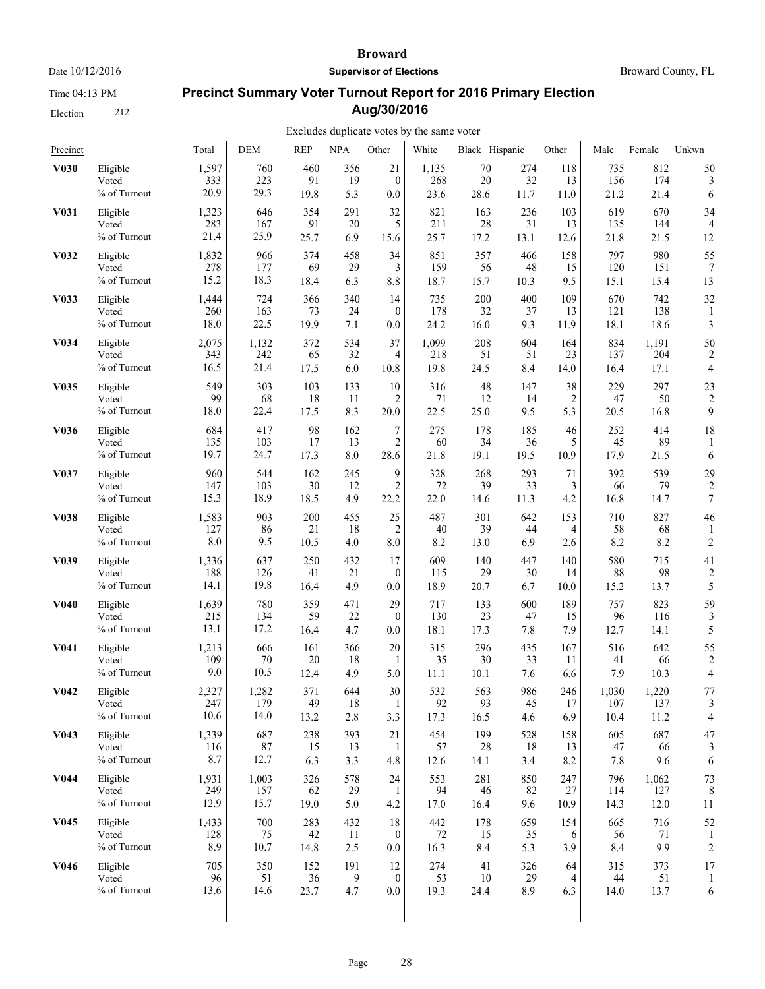Time 04:13 PM

Election 212

#### **Broward**

**Supervisor of Elections**

Broward County, FL

# **Precinct Summary Voter Turnout Report for 2016 Primary Election Aug/30/2016**

| Precinct          |                                      | Total                | <b>DEM</b>           | <b>REP</b>        | <b>NPA</b>       | Other                       | White             | Black Hispanic    |                  | Other            | Male                 | Female               | Unkwn                   |
|-------------------|--------------------------------------|----------------------|----------------------|-------------------|------------------|-----------------------------|-------------------|-------------------|------------------|------------------|----------------------|----------------------|-------------------------|
| <b>V030</b>       | Eligible                             | 1,597                | 760                  | 460               | 356              | 21                          | 1,135             | 70                | 274              | 118              | 735                  | 812                  | 50                      |
|                   | Voted                                | 333                  | 223                  | 91                | 19               | $\mathbf{0}$                | 268               | 20                | 32               | 13               | 156                  | 174                  | 3                       |
|                   | % of Turnout                         | 20.9                 | 29.3                 | 19.8              | 5.3              | 0.0                         | 23.6              | 28.6              | 11.7             | 11.0             | 21.2                 | 21.4                 | 6                       |
| V <sub>0</sub> 31 | Eligible                             | 1,323                | 646                  | 354               | 291              | 32                          | 821               | 163               | 236              | 103              | 619                  | 670                  | 34                      |
|                   | Voted                                | 283                  | 167                  | 91                | 20               | 5                           | 211               | 28                | 31               | 13               | 135                  | 144                  | 4                       |
|                   | % of Turnout                         | 21.4                 | 25.9                 | 25.7              | 6.9              | 15.6                        | 25.7              | 17.2              | 13.1             | 12.6             | 21.8                 | 21.5                 | 12                      |
| V <sub>0</sub> 32 | Eligible                             | 1,832                | 966                  | 374               | 458              | 34                          | 851               | 357               | 466              | 158              | 797                  | 980                  | 55                      |
|                   | Voted                                | 278                  | 177                  | 69                | 29               | 3                           | 159               | 56                | 48               | 15               | 120                  | 151                  | 7                       |
|                   | % of Turnout                         | 15.2                 | 18.3                 | 18.4              | 6.3              | 8.8                         | 18.7              | 15.7              | 10.3             | 9.5              | 15.1                 | 15.4                 | 13                      |
| V033              | Eligible                             | 1,444                | 724                  | 366               | 340              | 14                          | 735               | 200               | 400              | 109              | 670                  | 742                  | 32                      |
|                   | Voted                                | 260                  | 163                  | 73                | 24               | $\mathbf{0}$                | 178               | 32                | 37               | 13               | 121                  | 138                  | 1                       |
|                   | % of Turnout                         | 18.0                 | 22.5                 | 19.9              | 7.1              | 0.0                         | 24.2              | 16.0              | 9.3              | 11.9             | 18.1                 | 18.6                 | 3                       |
| V <sub>0</sub> 34 | Eligible                             | 2,075                | 1,132                | 372               | 534              | 37                          | 1,099             | 208               | 604              | 164              | 834                  | 1,191                | 50                      |
|                   | Voted                                | 343                  | 242                  | 65                | 32               | 4                           | 218               | 51                | 51               | 23               | 137                  | 204                  | $\overline{2}$          |
|                   | % of Turnout                         | 16.5                 | 21.4                 | 17.5              | 6.0              | 10.8                        | 19.8              | 24.5              | 8.4              | 14.0             | 16.4                 | 17.1                 | 4                       |
| V <sub>0</sub> 35 | Eligible                             | 549                  | 303                  | 103               | 133              | 10                          | 316               | 48                | 147              | 38               | 229                  | 297                  | 23                      |
|                   | Voted                                | 99                   | 68                   | 18                | 11               | 2                           | 71                | 12                | 14               | $\overline{c}$   | 47                   | 50                   | $\overline{c}$          |
|                   | % of Turnout                         | 18.0                 | 22.4                 | 17.5              | 8.3              | 20.0                        | 22.5              | 25.0              | 9.5              | 5.3              | 20.5                 | 16.8                 | 9                       |
| <b>V036</b>       | Eligible                             | 684                  | 417                  | 98                | 162              | 7                           | 275               | 178               | 185              | 46               | 252                  | 414                  | 18                      |
|                   | Voted                                | 135                  | 103                  | 17                | 13               | $\overline{2}$              | 60                | 34                | 36               | 5                | 45                   | 89                   | 1                       |
|                   | % of Turnout                         | 19.7                 | 24.7                 | 17.3              | 8.0              | 28.6                        | 21.8              | 19.1              | 19.5             | 10.9             | 17.9                 | 21.5                 | 6                       |
| V037              | Eligible                             | 960                  | 544                  | 162               | 245              | 9                           | 328               | 268               | 293              | 71               | 392                  | 539                  | 29                      |
|                   | Voted                                | 147                  | 103                  | 30                | 12               | $\overline{2}$              | 72                | 39                | 33               | 3                | 66                   | 79                   | 2                       |
|                   | % of Turnout                         | 15.3                 | 18.9                 | 18.5              | 4.9              | 22.2                        | 22.0              | 14.6              | 11.3             | 4.2              | 16.8                 | 14.7                 | 7                       |
| <b>V038</b>       | Eligible<br>Voted<br>% of Turnout    | 1,583<br>127<br>8.0  | 903<br>86<br>9.5     | 200<br>21<br>10.5 | 455<br>18<br>4.0 | 25<br>$\overline{2}$<br>8.0 | 487<br>40<br>8.2  | 301<br>39<br>13.0 | 642<br>44<br>6.9 | 153<br>4<br>2.6  | 710<br>58<br>8.2     | 827<br>68<br>8.2     | 46<br>$\overline{c}$    |
| V <sub>0</sub> 39 | Eligible                             | 1,336                | 637                  | 250               | 432              | 17                          | 609               | 140               | 447              | 140              | 580                  | 715                  | 41                      |
|                   | Voted                                | 188                  | 126                  | 41                | 21               | $\boldsymbol{0}$            | 115               | 29                | 30               | 14               | 88                   | 98                   | $\overline{\mathbf{c}}$ |
|                   | % of Turnout                         | 14.1                 | 19.8                 | 16.4              | 4.9              | 0.0                         | 18.9              | 20.7              | 6.7              | 10.0             | 15.2                 | 13.7                 | 5                       |
| <b>V040</b>       | Eligible                             | 1,639                | 780                  | 359               | 471              | 29                          | 717               | 133               | 600              | 189              | 757                  | 823                  | 59                      |
|                   | Voted                                | 215                  | 134                  | 59                | 22               | $\mathbf{0}$                | 130               | 23                | 47               | 15               | 96                   | 116                  | 3                       |
|                   | % of Turnout                         | 13.1                 | 17.2                 | 16.4              | 4.7              | 0.0                         | 18.1              | 17.3              | 7.8              | 7.9              | 12.7                 | 14.1                 | 5                       |
| V <sub>041</sub>  | Eligible                             | 1,213                | 666                  | 161               | 366              | 20                          | 315               | 296               | 435              | 167              | 516                  | 642                  | 55                      |
|                   | Voted                                | 109                  | 70                   | 20                | 18               | 1                           | 35                | 30                | 33               | 11               | 41                   | 66                   | $\overline{\mathbf{c}}$ |
|                   | % of Turnout                         | 9.0                  | 10.5                 | 12.4              | 4.9              | 5.0                         | 11.1              | 10.1              | 7.6              | 6.6              | 7.9                  | 10.3                 | 4                       |
| <b>V042</b>       | Eligible<br>Voted<br>$\%$ of Turnout | 2,327<br>247<br>10.6 | 1,282<br>179<br>14.0 | 371<br>49<br>13.2 | 644<br>18<br>2.8 | 30<br>3.3                   | 532<br>92<br>17.3 | 563<br>93<br>16.5 | 986<br>45<br>4.6 | 246<br>17<br>6.9 | 1,030<br>107<br>10.4 | 1,220<br>137<br>11.2 | 77<br>3<br>4            |
| V <sub>043</sub>  | Eligible                             | 1,339                | 687                  | 238               | 393              | 21                          | 454               | 199               | 528              | 158              | 605                  | 687                  | 47                      |
|                   | Voted                                | 116                  | 87                   | 15                | 13               | -1                          | 57                | 28                | 18               | 13               | 47                   | 66                   | 3                       |
|                   | % of Turnout                         | 8.7                  | 12.7                 | 6.3               | 3.3              | 4.8                         | 12.6              | 14.1              | 3.4              | 8.2              | 7.8                  | 9.6                  | 6                       |
| V <sub>044</sub>  | Eligible                             | 1,931                | 1,003                | 326               | 578              | 24                          | 553               | 281               | 850              | 247              | 796                  | 1,062                | 73                      |
|                   | Voted                                | 249                  | 157                  | 62                | 29               | 1                           | 94                | 46                | 82               | 27               | 114                  | 127                  | 8                       |
|                   | % of Turnout                         | 12.9                 | 15.7                 | 19.0              | 5.0              | 4.2                         | 17.0              | 16.4              | 9.6              | 10.9             | 14.3                 | 12.0                 | 11                      |
| V <sub>045</sub>  | Eligible                             | 1,433                | 700                  | 283               | 432              | 18                          | 442               | 178               | 659              | 154              | 665                  | 716                  | 52                      |
|                   | Voted                                | 128                  | 75                   | 42                | 11               | $\boldsymbol{0}$            | $72\,$            | 15                | 35               | 6                | 56                   | 71                   | 1                       |
|                   | % of Turnout                         | 8.9                  | 10.7                 | 14.8              | 2.5              | 0.0                         | 16.3              | 8.4               | 5.3              | 3.9              | 8.4                  | 9.9                  | $\overline{c}$          |
| V <sub>046</sub>  | Eligible                             | 705                  | 350                  | 152               | 191              | 12                          | 274               | 41                | 326              | 64               | 315                  | 373                  | 17                      |
|                   | Voted                                | 96                   | 51                   | 36                | 9                | $\theta$                    | 53                | 10                | 29               | 4                | 44                   | 51                   | 1                       |
|                   | % of Turnout                         | 13.6                 | 14.6                 | 23.7              | 4.7              | 0.0                         | 19.3              | 24.4              | 8.9              | 6.3              | 14.0                 | 13.7                 | 6                       |
|                   |                                      |                      |                      |                   |                  |                             |                   |                   |                  |                  |                      |                      |                         |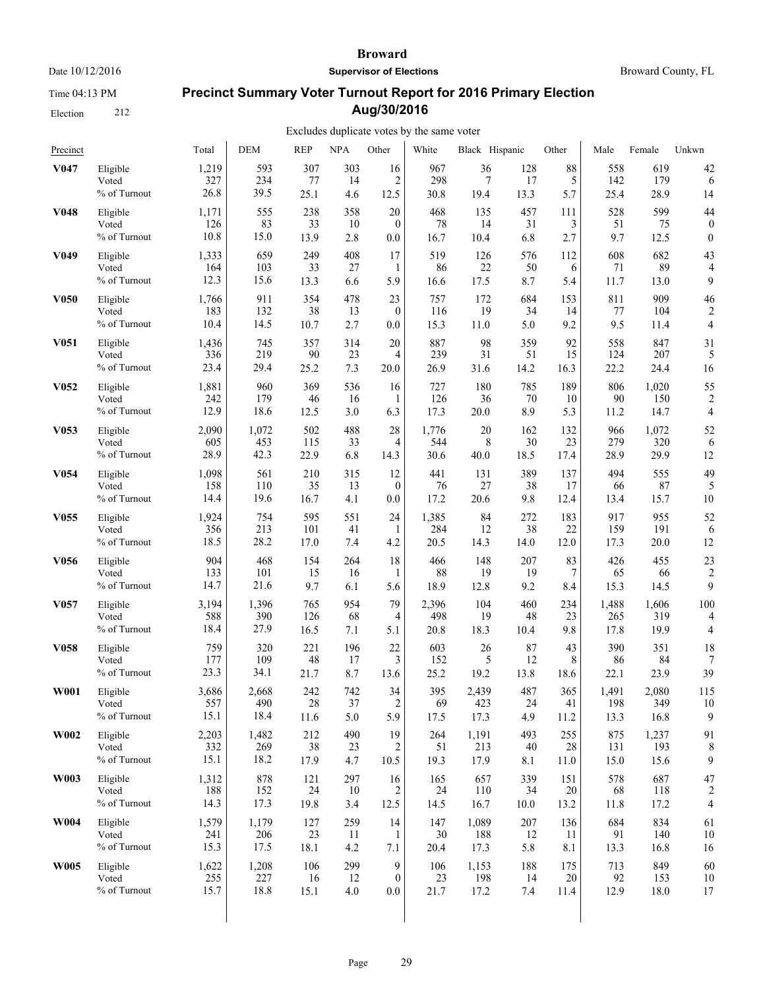Time 04:13 PM

Election 212

#### **Broward**

**Supervisor of Elections**

Broward County, FL

# **Precinct Summary Voter Turnout Report for 2016 Primary Election Aug/30/2016**

| Precinct          |              | Total | <b>DEM</b> | <b>REP</b> | <b>NPA</b> | Other            | White | Black Hispanic |      | Other | Male  | Female | Unkwn            |
|-------------------|--------------|-------|------------|------------|------------|------------------|-------|----------------|------|-------|-------|--------|------------------|
| V <sub>047</sub>  | Eligible     | 1,219 | 593        | 307        | 303        | 16               | 967   | 36             | 128  | 88    | 558   | 619    | 42               |
|                   | Voted        | 327   | 234        | 77         | 14         | 2                | 298   | 7              | 17   | 5     | 142   | 179    | 6                |
|                   | % of Turnout | 26.8  | 39.5       | 25.1       | 4.6        | 12.5             | 30.8  | 19.4           | 13.3 | 5.7   | 25.4  | 28.9   | 14               |
| <b>V048</b>       | Eligible     | 1,171 | 555        | 238        | 358        | 20               | 468   | 135            | 457  | 111   | 528   | 599    | 44               |
|                   | Voted        | 126   | 83         | 33         | 10         | $\theta$         | 78    | 14             | 31   | 3     | 51    | 75     | $\boldsymbol{0}$ |
|                   | % of Turnout | 10.8  | 15.0       | 13.9       | 2.8        | 0.0              | 16.7  | 10.4           | 6.8  | 2.7   | 9.7   | 12.5   | $\mathbf{0}$     |
| V <sub>0</sub> 49 | Eligible     | 1,333 | 659        | 249        | 408        | 17               | 519   | 126            | 576  | 112   | 608   | 682    | 43               |
|                   | Voted        | 164   | 103        | 33         | 27         | 1                | 86    | 22             | 50   | 6     | 71    | 89     | 4                |
|                   | % of Turnout | 12.3  | 15.6       | 13.3       | 6.6        | 5.9              | 16.6  | 17.5           | 8.7  | 5.4   | 11.7  | 13.0   | 9                |
| <b>V050</b>       | Eligible     | 1,766 | 911        | 354        | 478        | 23               | 757   | 172            | 684  | 153   | 811   | 909    | 46               |
|                   | Voted        | 183   | 132        | 38         | 13         | $\boldsymbol{0}$ | 116   | 19             | 34   | 14    | 77    | 104    | $\overline{2}$   |
|                   | % of Turnout | 10.4  | 14.5       | 10.7       | 2.7        | 0.0              | 15.3  | 11.0           | 5.0  | 9.2   | 9.5   | 11.4   | $\overline{4}$   |
| V <sub>051</sub>  | Eligible     | 1,436 | 745        | 357        | 314        | 20               | 887   | 98             | 359  | 92    | 558   | 847    | 31               |
|                   | Voted        | 336   | 219        | 90         | 23         | 4                | 239   | 31             | 51   | 15    | 124   | 207    | 5                |
|                   | % of Turnout | 23.4  | 29.4       | 25.2       | 7.3        | 20.0             | 26.9  | 31.6           | 14.2 | 16.3  | 22.2  | 24.4   | 16               |
| V <sub>052</sub>  | Eligible     | 1,881 | 960        | 369        | 536        | 16               | 727   | 180            | 785  | 189   | 806   | 1,020  | 55               |
|                   | Voted        | 242   | 179        | 46         | 16         | 1                | 126   | 36             | 70   | 10    | 90    | 150    | $\overline{2}$   |
|                   | % of Turnout | 12.9  | 18.6       | 12.5       | 3.0        | 6.3              | 17.3  | 20.0           | 8.9  | 5.3   | 11.2  | 14.7   | 4                |
| V <sub>053</sub>  | Eligible     | 2,090 | 1,072      | 502        | 488        | 28               | 1,776 | 20             | 162  | 132   | 966   | 1,072  | 52               |
|                   | Voted        | 605   | 453        | 115        | 33         | 4                | 544   | 8              | 30   | 23    | 279   | 320    | 6                |
|                   | % of Turnout | 28.9  | 42.3       | 22.9       | 6.8        | 14.3             | 30.6  | 40.0           | 18.5 | 17.4  | 28.9  | 29.9   | 12               |
| V <sub>054</sub>  | Eligible     | 1,098 | 561        | 210        | 315        | 12               | 441   | 131            | 389  | 137   | 494   | 555    | 49               |
|                   | Voted        | 158   | 110        | 35         | 13         | $\mathbf{0}$     | 76    | 27             | 38   | 17    | 66    | 87     | 5                |
|                   | % of Turnout | 14.4  | 19.6       | 16.7       | 4.1        | 0.0              | 17.2  | 20.6           | 9.8  | 12.4  | 13.4  | 15.7   | 10               |
| V <sub>055</sub>  | Eligible     | 1,924 | 754        | 595        | 551        | 24               | 1,385 | 84             | 272  | 183   | 917   | 955    | 52               |
|                   | Voted        | 356   | 213        | 101        | 41         | 1                | 284   | 12             | 38   | 22    | 159   | 191    | 6                |
|                   | % of Turnout | 18.5  | 28.2       | 17.0       | 7.4        | 4.2              | 20.5  | 14.3           | 14.0 | 12.0  | 17.3  | 20.0   | 12               |
| V <sub>056</sub>  | Eligible     | 904   | 468        | 154        | 264        | 18               | 466   | 148            | 207  | 83    | 426   | 455    | 23               |
|                   | Voted        | 133   | 101        | 15         | 16         | 1                | 88    | 19             | 19   | 7     | 65    | 66     | $\overline{2}$   |
|                   | % of Turnout | 14.7  | 21.6       | 9.7        | 6.1        | 5.6              | 18.9  | 12.8           | 9.2  | 8.4   | 15.3  | 14.5   | 9                |
| V <sub>057</sub>  | Eligible     | 3,194 | 1,396      | 765        | 954        | 79               | 2,396 | 104            | 460  | 234   | 1,488 | 1,606  | 100              |
|                   | Voted        | 588   | 390        | 126        | 68         | 4                | 498   | 19             | 48   | 23    | 265   | 319    | 4                |
|                   | % of Turnout | 18.4  | 27.9       | 16.5       | 7.1        | 5.1              | 20.8  | 18.3           | 10.4 | 9.8   | 17.8  | 19.9   | $\overline{4}$   |
| V <sub>058</sub>  | Eligible     | 759   | 320        | 221        | 196        | 22               | 603   | 26             | 87   | 43    | 390   | 351    | 18               |
|                   | Voted        | 177   | 109        | 48         | 17         | 3                | 152   | 5              | 12   | 8     | 86    | 84     | 7                |
|                   | % of Turnout | 23.3  | 34.1       | 21.7       | 8.7        | 13.6             | 25.2  | 19.2           | 13.8 | 18.6  | 22.1  | 23.9   | 39               |
| <b>W001</b>       | Eligible     | 3,686 | 2,668      | 242        | 742        | 34               | 395   | 2,439          | 487  | 365   | 1,491 | 2,080  | 115              |
|                   | Voted        | 557   | 490        | 28         | 37         | $\overline{c}$   | 69    | 423            | 24   | 41    | 198   | 349    | 10               |
|                   | % of Turnout | 15.1  | 18.4       | 11.6       | 5.0        | 5.9              | 17.5  | 17.3           | 4.9  | 11.2  | 13.3  | 16.8   | 9                |
| W002              | Eligible     | 2,203 | 1,482      | 212        | 490        | 19               | 264   | 1,191          | 493  | 255   | 875   | 1,237  | 91               |
|                   | Voted        | 332   | 269        | 38         | 23         | 2                | 51    | 213            | 40   | 28    | 131   | 193    | 8                |
|                   | % of Turnout | 15.1  | 18.2       | 17.9       | 4.7        | 10.5             | 19.3  | 17.9           | 8.1  | 11.0  | 15.0  | 15.6   | 9                |
| W003              | Eligible     | 1,312 | 878        | 121        | 297        | 16               | 165   | 657            | 339  | 151   | 578   | 687    | 47               |
|                   | Voted        | 188   | 152        | 24         | 10         | 2                | 24    | 110            | 34   | 20    | 68    | 118    | $\overline{2}$   |
|                   | % of Turnout | 14.3  | 17.3       | 19.8       | 3.4        | 12.5             | 14.5  | 16.7           | 10.0 | 13.2  | 11.8  | 17.2   | $\overline{4}$   |
| <b>W004</b>       | Eligible     | 1,579 | 1,179      | 127        | 259        | 14               | 147   | 1,089          | 207  | 136   | 684   | 834    | 61               |
|                   | Voted        | 241   | 206        | 23         | 11         | 1                | 30    | 188            | 12   | 11    | 91    | 140    | 10               |
|                   | % of Turnout | 15.3  | 17.5       | 18.1       | 4.2        | 7.1              | 20.4  | 17.3           | 5.8  | 8.1   | 13.3  | 16.8   | 16               |
| <b>W005</b>       | Eligible     | 1,622 | 1,208      | 106        | 299        | 9                | 106   | 1,153          | 188  | 175   | 713   | 849    | 60               |
|                   | Voted        | 255   | 227        | 16         | 12         | $\mathbf{0}$     | 23    | 198            | 14   | 20    | 92    | 153    | 10               |
|                   | % of Turnout | 15.7  | 18.8       | 15.1       | 4.0        | 0.0              | 21.7  | 17.2           | 7.4  | 11.4  | 12.9  | 18.0   | 17               |
|                   |              |       |            |            |            |                  |       |                |      |       |       |        |                  |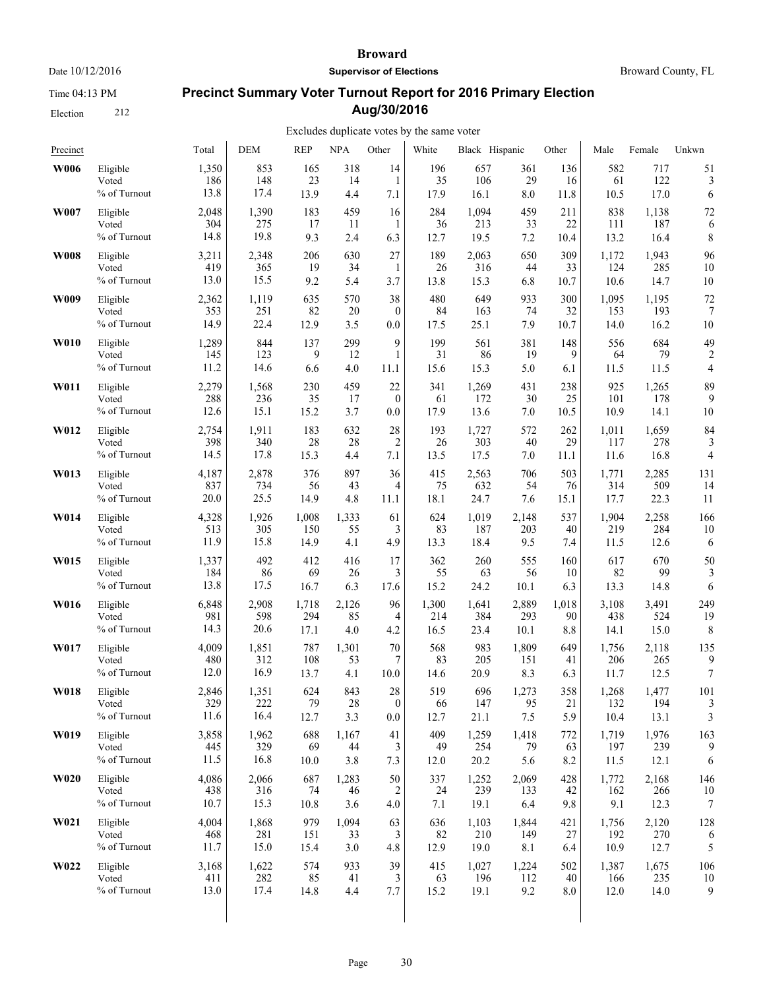Time 04:13 PM

Election 212

#### **Broward**

**Supervisor of Elections**

Broward County, FL

# **Precinct Summary Voter Turnout Report for 2016 Primary Election Aug/30/2016**

| Precinct    |              | Total | <b>DEM</b> | <b>REP</b> | <b>NPA</b> | Other          | White | Black Hispanic |         | Other | Male  | Female | Unkwn            |
|-------------|--------------|-------|------------|------------|------------|----------------|-------|----------------|---------|-------|-------|--------|------------------|
| <b>W006</b> | Eligible     | 1,350 | 853        | 165        | 318        | 14             | 196   | 657            | 361     | 136   | 582   | 717    | 51               |
|             | Voted        | 186   | 148        | 23         | 14         | 1              | 35    | 106            | 29      | 16    | 61    | 122    | 3                |
|             | % of Turnout | 13.8  | 17.4       | 13.9       | 4.4        | 7.1            | 17.9  | 16.1           | $8.0\,$ | 11.8  | 10.5  | 17.0   | 6                |
| W007        | Eligible     | 2,048 | 1,390      | 183        | 459        | 16             | 284   | 1,094          | 459     | 211   | 838   | 1,138  | 72               |
|             | Voted        | 304   | 275        | 17         | 11         | 1              | 36    | 213            | 33      | 22    | 111   | 187    | 6                |
|             | % of Turnout | 14.8  | 19.8       | 9.3        | 2.4        | 6.3            | 12.7  | 19.5           | $7.2\,$ | 10.4  | 13.2  | 16.4   | 8                |
| <b>W008</b> | Eligible     | 3,211 | 2,348      | 206        | 630        | 27             | 189   | 2,063          | 650     | 309   | 1,172 | 1,943  | 96               |
|             | Voted        | 419   | 365        | 19         | 34         | 1              | 26    | 316            | 44      | 33    | 124   | 285    | 10               |
|             | % of Turnout | 13.0  | 15.5       | 9.2        | 5.4        | 3.7            | 13.8  | 15.3           | 6.8     | 10.7  | 10.6  | 14.7   | 10               |
| W009        | Eligible     | 2,362 | 1,119      | 635        | 570        | 38             | 480   | 649            | 933     | 300   | 1,095 | 1,195  | 72               |
|             | Voted        | 353   | 251        | 82         | 20         | $\overline{0}$ | 84    | 163            | 74      | 32    | 153   | 193    | 7                |
|             | % of Turnout | 14.9  | 22.4       | 12.9       | 3.5        | 0.0            | 17.5  | 25.1           | 7.9     | 10.7  | 14.0  | 16.2   | 10               |
| <b>W010</b> | Eligible     | 1,289 | 844        | 137        | 299        | 9              | 199   | 561            | 381     | 148   | 556   | 684    | 49               |
|             | Voted        | 145   | 123        | 9          | 12         | 1              | 31    | 86             | 19      | 9     | 64    | 79     | 2                |
|             | % of Turnout | 11.2  | 14.6       | 6.6        | 4.0        | 11.1           | 15.6  | 15.3           | 5.0     | 6.1   | 11.5  | 11.5   | 4                |
| W011        | Eligible     | 2,279 | 1,568      | 230        | 459        | 22             | 341   | 1,269          | 431     | 238   | 925   | 1,265  | 89               |
|             | Voted        | 288   | 236        | 35         | 17         | $\mathbf{0}$   | 61    | 172            | 30      | 25    | 101   | 178    | 9                |
|             | % of Turnout | 12.6  | 15.1       | 15.2       | 3.7        | 0.0            | 17.9  | 13.6           | 7.0     | 10.5  | 10.9  | 14.1   | 10               |
| W012        | Eligible     | 2,754 | 1,911      | 183        | 632        | 28             | 193   | 1,727          | 572     | 262   | 1,011 | 1,659  | 84               |
|             | Voted        | 398   | 340        | 28         | 28         | $\overline{2}$ | 26    | 303            | 40      | 29    | 117   | 278    | 3                |
|             | % of Turnout | 14.5  | 17.8       | 15.3       | 4.4        | 7.1            | 13.5  | 17.5           | 7.0     | 11.1  | 11.6  | 16.8   | $\overline{4}$   |
| W013        | Eligible     | 4,187 | 2,878      | 376        | 897        | 36             | 415   | 2,563          | 706     | 503   | 1,771 | 2,285  | 131              |
|             | Voted        | 837   | 734        | 56         | 43         | 4              | 75    | 632            | 54      | 76    | 314   | 509    | 14               |
|             | % of Turnout | 20.0  | 25.5       | 14.9       | 4.8        | 11.1           | 18.1  | 24.7           | 7.6     | 15.1  | 17.7  | 22.3   | 11               |
| W014        | Eligible     | 4,328 | 1,926      | 1,008      | 1,333      | 61             | 624   | 1,019          | 2,148   | 537   | 1,904 | 2,258  | 166              |
|             | Voted        | 513   | 305        | 150        | 55         | 3              | 83    | 187            | 203     | 40    | 219   | 284    | 10               |
|             | % of Turnout | 11.9  | 15.8       | 14.9       | 4.1        | 4.9            | 13.3  | 18.4           | 9.5     | 7.4   | 11.5  | 12.6   | 6                |
| W015        | Eligible     | 1,337 | 492        | 412        | 416        | 17             | 362   | 260            | 555     | 160   | 617   | 670    | 50               |
|             | Voted        | 184   | 86         | 69         | 26         | 3              | 55    | 63             | 56      | 10    | 82    | 99     | 3                |
|             | % of Turnout | 13.8  | 17.5       | 16.7       | 6.3        | 17.6           | 15.2  | 24.2           | 10.1    | 6.3   | 13.3  | 14.8   | 6                |
| W016        | Eligible     | 6,848 | 2,908      | 1,718      | 2,126      | 96             | 1,300 | 1,641          | 2,889   | 1,018 | 3,108 | 3,491  | 249              |
|             | Voted        | 981   | 598        | 294        | 85         | 4              | 214   | 384            | 293     | 90    | 438   | 524    | 19               |
|             | % of Turnout | 14.3  | 20.6       | 17.1       | 4.0        | 4.2            | 16.5  | 23.4           | 10.1    | 8.8   | 14.1  | 15.0   | 8                |
| W017        | Eligible     | 4,009 | 1,851      | 787        | 1,301      | 70             | 568   | 983            | 1,809   | 649   | 1,756 | 2,118  | 135              |
|             | Voted        | 480   | 312        | 108        | 53         | 7              | 83    | 205            | 151     | 41    | 206   | 265    | 9                |
|             | % of Turnout | 12.0  | 16.9       | 13.7       | 4.1        | 10.0           | 14.6  | 20.9           | 8.3     | 6.3   | 11.7  | 12.5   | $\boldsymbol{7}$ |
| W018        | Eligible     | 2,846 | 1,351      | 624        | 843        | 28             | 519   | 696            | 1,273   | 358   | 1,268 | 1,477  | 101              |
|             | Voted        | 329   | 222        | 79         | 28         | $\theta$       | 66    | 147            | 95      | 21    | 132   | 194    | 3                |
|             | % of Turnout | 11.6  | 16.4       | 12.7       | 3.3        | 0.0            | 12.7  | 21.1           | 7.5     | 5.9   | 10.4  | 13.1   | 3                |
| W019        | Eligible     | 3,858 | 1,962      | 688        | 1,167      | 41             | 409   | 1,259          | 1,418   | 772   | 1,719 | 1,976  | 163              |
|             | Voted        | 445   | 329        | 69         | 44         | 3              | 49    | 254            | 79      | 63    | 197   | 239    | 9                |
|             | % of Turnout | 11.5  | 16.8       | 10.0       | 3.8        | 7.3            | 12.0  | 20.2           | 5.6     | 8.2   | 11.5  | 12.1   | 6                |
| <b>W020</b> | Eligible     | 4,086 | 2,066      | 687        | 1,283      | 50             | 337   | 1,252          | 2,069   | 428   | 1,772 | 2,168  | 146              |
|             | Voted        | 438   | 316        | 74         | 46         | 2              | 24    | 239            | 133     | 42    | 162   | 266    | 10               |
|             | % of Turnout | 10.7  | 15.3       | 10.8       | 3.6        | 4.0            | 7.1   | 19.1           | 6.4     | 9.8   | 9.1   | 12.3   | 7                |
| W021        | Eligible     | 4,004 | 1,868      | 979        | 1,094      | 63             | 636   | 1,103          | 1,844   | 421   | 1,756 | 2,120  | 128              |
|             | Voted        | 468   | 281        | 151        | 33         | 3              | 82    | 210            | 149     | 27    | 192   | 270    | 6                |
|             | % of Turnout | 11.7  | 15.0       | 15.4       | 3.0        | 4.8            | 12.9  | 19.0           | 8.1     | 6.4   | 10.9  | 12.7   | 5                |
| W022        | Eligible     | 3,168 | 1,622      | 574        | 933        | 39             | 415   | 1,027          | 1,224   | 502   | 1,387 | 1,675  | 106              |
|             | Voted        | 411   | 282        | 85         | 41         | 3              | 63    | 196            | 112     | 40    | 166   | 235    | 10               |
|             | % of Turnout | 13.0  | 17.4       | 14.8       | 4.4        | 7.7            | 15.2  | 19.1           | 9.2     | 8.0   | 12.0  | 14.0   | 9                |
|             |              |       |            |            |            |                |       |                |         |       |       |        |                  |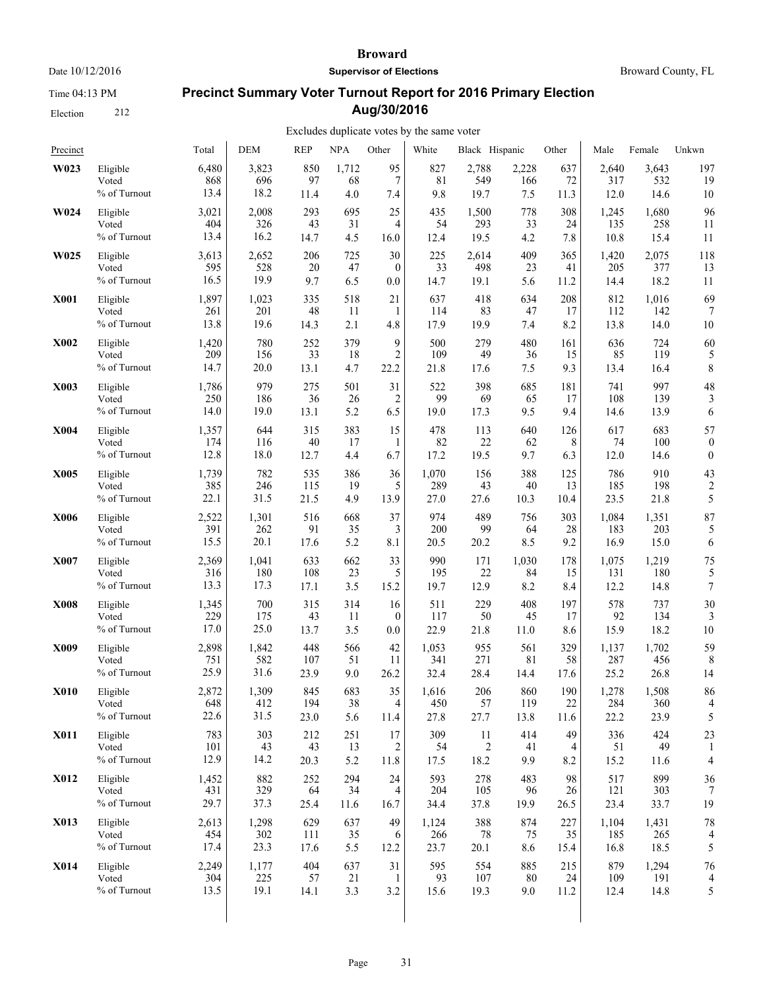Time 04:13 PM

Election 212

#### **Broward**

**Supervisor of Elections**

Broward County, FL

# **Precinct Summary Voter Turnout Report for 2016 Primary Election Aug/30/2016**

| Precinct    |              | Total | <b>DEM</b> | <b>REP</b> | NPA   | Other          | White | Black Hispanic |       | Other | Male  | Female | Unkwn            |
|-------------|--------------|-------|------------|------------|-------|----------------|-------|----------------|-------|-------|-------|--------|------------------|
| W023        | Eligible     | 6,480 | 3,823      | 850        | 1,712 | 95             | 827   | 2,788          | 2,228 | 637   | 2.640 | 3,643  | 197              |
|             | Voted        | 868   | 696        | 97         | 68    | $\tau$         | 81    | 549            | 166   | 72    | 317   | 532    | 19               |
|             | % of Turnout | 13.4  | 18.2       | 11.4       | 4.0   | 7.4            | 9.8   | 19.7           | 7.5   | 11.3  | 12.0  | 14.6   | 10               |
| W024        | Eligible     | 3,021 | 2,008      | 293        | 695   | 25             | 435   | 1,500          | 778   | 308   | 1,245 | 1,680  | 96               |
|             | Voted        | 404   | 326        | 43         | 31    | 4              | 54    | 293            | 33    | 24    | 135   | 258    | 11               |
|             | % of Turnout | 13.4  | 16.2       | 14.7       | 4.5   | 16.0           | 12.4  | 19.5           | 4.2   | 7.8   | 10.8  | 15.4   | 11               |
| W025        | Eligible     | 3,613 | 2,652      | 206        | 725   | 30             | 225   | 2,614          | 409   | 365   | 1,420 | 2,075  | 118              |
|             | Voted        | 595   | 528        | 20         | 47    | $\mathbf{0}$   | 33    | 498            | 23    | 41    | 205   | 377    | 13               |
|             | % of Turnout | 16.5  | 19.9       | 9.7        | 6.5   | 0.0            | 14.7  | 19.1           | 5.6   | 11.2  | 14.4  | 18.2   | 11               |
| <b>X001</b> | Eligible     | 1,897 | 1,023      | 335        | 518   | 21             | 637   | 418            | 634   | 208   | 812   | 1,016  | 69               |
|             | Voted        | 261   | 201        | 48         | 11    | 1              | 114   | 83             | 47    | 17    | 112   | 142    | 7                |
|             | % of Turnout | 13.8  | 19.6       | 14.3       | 2.1   | 4.8            | 17.9  | 19.9           | 7.4   | 8.2   | 13.8  | 14.0   | 10               |
| <b>X002</b> | Eligible     | 1,420 | 780        | 252        | 379   | 9              | 500   | 279            | 480   | 161   | 636   | 724    | 60               |
|             | Voted        | 209   | 156        | 33         | 18    | $\overline{c}$ | 109   | 49             | 36    | 15    | 85    | 119    | 5                |
|             | % of Turnout | 14.7  | 20.0       | 13.1       | 4.7   | 22.2           | 21.8  | 17.6           | 7.5   | 9.3   | 13.4  | 16.4   | 8                |
| X003        | Eligible     | 1,786 | 979        | 275        | 501   | 31             | 522   | 398            | 685   | 181   | 741   | 997    | 48               |
|             | Voted        | 250   | 186        | 36         | 26    | $\overline{2}$ | 99    | 69             | 65    | 17    | 108   | 139    | 3                |
|             | % of Turnout | 14.0  | 19.0       | 13.1       | 5.2   | 6.5            | 19.0  | 17.3           | 9.5   | 9.4   | 14.6  | 13.9   | 6                |
| <b>X004</b> | Eligible     | 1,357 | 644        | 315        | 383   | 15             | 478   | 113            | 640   | 126   | 617   | 683    | 57               |
|             | Voted        | 174   | 116        | 40         | 17    | 1              | 82    | 22             | 62    | 8     | 74    | 100    | $\boldsymbol{0}$ |
|             | % of Turnout | 12.8  | 18.0       | 12.7       | 4.4   | 6.7            | 17.2  | 19.5           | 9.7   | 6.3   | 12.0  | 14.6   | $\theta$         |
| X005        | Eligible     | 1,739 | 782        | 535        | 386   | 36             | 1,070 | 156            | 388   | 125   | 786   | 910    | 43               |
|             | Voted        | 385   | 246        | 115        | 19    | 5              | 289   | 43             | 40    | 13    | 185   | 198    | 2                |
|             | % of Turnout | 22.1  | 31.5       | 21.5       | 4.9   | 13.9           | 27.0  | 27.6           | 10.3  | 10.4  | 23.5  | 21.8   | 5                |
| <b>X006</b> | Eligible     | 2,522 | 1,301      | 516        | 668   | 37             | 974   | 489            | 756   | 303   | 1,084 | 1,351  | 87               |
|             | Voted        | 391   | 262        | 91         | 35    | 3              | 200   | 99             | 64    | 28    | 183   | 203    | 5                |
|             | % of Turnout | 15.5  | 20.1       | 17.6       | 5.2   | 8.1            | 20.5  | 20.2           | 8.5   | 9.2   | 16.9  | 15.0   | 6                |
| <b>X007</b> | Eligible     | 2,369 | 1,041      | 633        | 662   | 33             | 990   | 171            | 1,030 | 178   | 1,075 | 1,219  | 75               |
|             | Voted        | 316   | 180        | 108        | 23    | 5              | 195   | 22             | 84    | 15    | 131   | 180    | 5                |
|             | % of Turnout | 13.3  | 17.3       | 17.1       | 3.5   | 15.2           | 19.7  | 12.9           | 8.2   | 8.4   | 12.2  | 14.8   | 7                |
| <b>X008</b> | Eligible     | 1,345 | 700        | 315        | 314   | 16             | 511   | 229            | 408   | 197   | 578   | 737    | 30               |
|             | Voted        | 229   | 175        | 43         | 11    | $\mathbf{0}$   | 117   | 50             | 45    | 17    | 92    | 134    | 3                |
|             | % of Turnout | 17.0  | 25.0       | 13.7       | 3.5   | 0.0            | 22.9  | 21.8           | 11.0  | 8.6   | 15.9  | 18.2   | 10               |
| X009        | Eligible     | 2,898 | 1,842      | 448        | 566   | 42             | 1,053 | 955            | 561   | 329   | 1,137 | 1,702  | 59               |
|             | Voted        | 751   | 582        | 107        | 51    | 11             | 341   | 271            | 81    | 58    | 287   | 456    | 8                |
|             | % of Turnout | 25.9  | 31.6       | 23.9       | 9.0   | 26.2           | 32.4  | 28.4           | 14.4  | 17.6  | 25.2  | 26.8   | 14               |
| <b>X010</b> | Eligible     | 2,872 | 1,309      | 845        | 683   | 35             | 1,616 | 206            | 860   | 190   | 1,278 | 1,508  | 86               |
|             | Voted        | 648   | 412        | 194        | 38    | 4              | 450   | 57             | 119   | 22    | 284   | 360    | 4                |
|             | % of Turnout | 22.6  | 31.5       | 23.0       | 5.6   | 11.4           | 27.8  | 27.7           | 13.8  | 11.6  | 22.2  | 23.9   | 5                |
| <b>X011</b> | Eligible     | 783   | 303        | 212        | 251   | 17             | 309   | 11             | 414   | 49    | 336   | 424    | 23               |
|             | Voted        | 101   | 43         | 43         | 13    | 2              | 54    | $\overline{c}$ | 41    | 4     | 51    | 49     | 1                |
|             | % of Turnout | 12.9  | 14.2       | 20.3       | 5.2   | 11.8           | 17.5  | 18.2           | 9.9   | 8.2   | 15.2  | 11.6   | 4                |
| <b>X012</b> | Eligible     | 1,452 | 882        | 252        | 294   | 24             | 593   | 278            | 483   | 98    | 517   | 899    | 36               |
|             | Voted        | 431   | 329        | 64         | 34    | 4              | 204   | 105            | 96    | 26    | 121   | 303    | 7                |
|             | % of Turnout | 29.7  | 37.3       | 25.4       | 11.6  | 16.7           | 34.4  | 37.8           | 19.9  | 26.5  | 23.4  | 33.7   | 19               |
| X013        | Eligible     | 2,613 | 1,298      | 629        | 637   | 49             | 1,124 | 388            | 874   | 227   | 1,104 | 1,431  | 78               |
|             | Voted        | 454   | 302        | 111        | 35    | 6              | 266   | 78             | 75    | 35    | 185   | 265    | 4                |
|             | % of Turnout | 17.4  | 23.3       | 17.6       | 5.5   | 12.2           | 23.7  | 20.1           | 8.6   | 15.4  | 16.8  | 18.5   | 5                |
| <b>X014</b> | Eligible     | 2,249 | 1,177      | 404        | 637   | 31             | 595   | 554            | 885   | 215   | 879   | 1,294  | 76               |
|             | Voted        | 304   | 225        | 57         | 21    | $\mathbf{1}$   | 93    | 107            | 80    | 24    | 109   | 191    | 4                |
|             | % of Turnout | 13.5  | 19.1       | 14.1       | 3.3   | 3.2            | 15.6  | 19.3           | 9.0   | 11.2  | 12.4  | 14.8   | 5                |
|             |              |       |            |            |       |                |       |                |       |       |       |        |                  |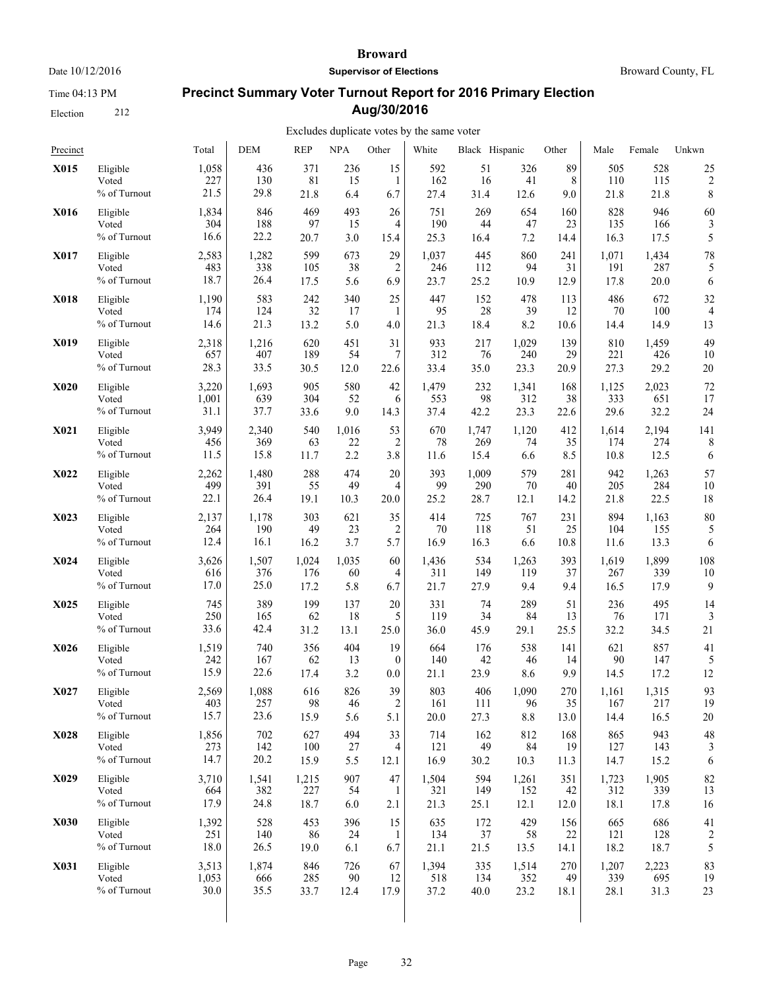Time 04:13 PM

Election 212

#### **Broward**

**Supervisor of Elections**

# **Precinct Summary Voter Turnout Report for 2016 Primary Election Aug/30/2016**

| Precinct    |              | Total | <b>DEM</b> | <b>REP</b> | <b>NPA</b> | Other          | White | Black Hispanic |       | Other | Male  | Female | Unkwn          |
|-------------|--------------|-------|------------|------------|------------|----------------|-------|----------------|-------|-------|-------|--------|----------------|
| X015        | Eligible     | 1,058 | 436        | 371        | 236        | 15             | 592   | 51             | 326   | 89    | 505   | 528    | 25             |
|             | Voted        | 227   | 130        | 81         | 15         | 1              | 162   | 16             | 41    | 8     | 110   | 115    | $\overline{c}$ |
|             | % of Turnout | 21.5  | 29.8       | 21.8       | 6.4        | 6.7            | 27.4  | 31.4           | 12.6  | 9.0   | 21.8  | 21.8   | 8              |
| X016        | Eligible     | 1,834 | 846        | 469        | 493        | 26             | 751   | 269            | 654   | 160   | 828   | 946    | 60             |
|             | Voted        | 304   | 188        | 97         | 15         | 4              | 190   | 44             | 47    | 23    | 135   | 166    | 3              |
|             | % of Turnout | 16.6  | 22.2       | 20.7       | 3.0        | 15.4           | 25.3  | 16.4           | 7.2   | 14.4  | 16.3  | 17.5   | 5              |
| <b>X017</b> | Eligible     | 2,583 | 1,282      | 599        | 673        | 29             | 1,037 | 445            | 860   | 241   | 1,071 | 1,434  | 78             |
|             | Voted        | 483   | 338        | 105        | 38         | $\overline{c}$ | 246   | 112            | 94    | 31    | 191   | 287    | 5              |
|             | % of Turnout | 18.7  | 26.4       | 17.5       | 5.6        | 6.9            | 23.7  | 25.2           | 10.9  | 12.9  | 17.8  | 20.0   | 6              |
| <b>X018</b> | Eligible     | 1,190 | 583        | 242        | 340        | 25             | 447   | 152            | 478   | 113   | 486   | 672    | 32             |
|             | Voted        | 174   | 124        | 32         | 17         | 1              | 95    | 28             | 39    | 12    | 70    | 100    | 4              |
|             | % of Turnout | 14.6  | 21.3       | 13.2       | 5.0        | 4.0            | 21.3  | 18.4           | 8.2   | 10.6  | 14.4  | 14.9   | 13             |
| X019        | Eligible     | 2,318 | 1,216      | 620        | 451        | 31             | 933   | 217            | 1,029 | 139   | 810   | 1,459  | 49             |
|             | Voted        | 657   | 407        | 189        | 54         | 7              | 312   | 76             | 240   | 29    | 221   | 426    | 10             |
|             | % of Turnout | 28.3  | 33.5       | 30.5       | 12.0       | 22.6           | 33.4  | 35.0           | 23.3  | 20.9  | 27.3  | 29.2   | 20             |
| <b>X020</b> | Eligible     | 3,220 | 1,693      | 905        | 580        | 42             | 1,479 | 232            | 1,341 | 168   | 1,125 | 2,023  | 72             |
|             | Voted        | 1,001 | 639        | 304        | 52         | 6              | 553   | 98             | 312   | 38    | 333   | 651    | 17             |
|             | % of Turnout | 31.1  | 37.7       | 33.6       | 9.0        | 14.3           | 37.4  | 42.2           | 23.3  | 22.6  | 29.6  | 32.2   | 24             |
| <b>X021</b> | Eligible     | 3,949 | 2,340      | 540        | 1,016      | 53             | 670   | 1,747          | 1,120 | 412   | 1,614 | 2,194  | 141            |
|             | Voted        | 456   | 369        | 63         | 22         | 2              | 78    | 269            | 74    | 35    | 174   | 274    | 8              |
|             | % of Turnout | 11.5  | 15.8       | 11.7       | 2.2        | 3.8            | 11.6  | 15.4           | 6.6   | 8.5   | 10.8  | 12.5   | 6              |
| <b>X022</b> | Eligible     | 2,262 | 1,480      | 288        | 474        | 20             | 393   | 1,009          | 579   | 281   | 942   | 1,263  | 57             |
|             | Voted        | 499   | 391        | 55         | 49         | 4              | 99    | 290            | 70    | 40    | 205   | 284    | 10             |
|             | % of Turnout | 22.1  | 26.4       | 19.1       | 10.3       | 20.0           | 25.2  | 28.7           | 12.1  | 14.2  | 21.8  | 22.5   | 18             |
| X023        | Eligible     | 2,137 | 1,178      | 303        | 621        | 35             | 414   | 725            | 767   | 231   | 894   | 1,163  | 80             |
|             | Voted        | 264   | 190        | 49         | 23         | 2              | 70    | 118            | 51    | 25    | 104   | 155    | 5              |
|             | % of Turnout | 12.4  | 16.1       | 16.2       | 3.7        | 5.7            | 16.9  | 16.3           | 6.6   | 10.8  | 11.6  | 13.3   | 6              |
| <b>X024</b> | Eligible     | 3,626 | 1,507      | 1,024      | 1,035      | 60             | 1,436 | 534            | 1,263 | 393   | 1,619 | 1,899  | 108            |
|             | Voted        | 616   | 376        | 176        | 60         | 4              | 311   | 149            | 119   | 37    | 267   | 339    | 10             |
|             | % of Turnout | 17.0  | 25.0       | 17.2       | 5.8        | 6.7            | 21.7  | 27.9           | 9.4   | 9.4   | 16.5  | 17.9   | 9              |
| X025        | Eligible     | 745   | 389        | 199        | 137        | 20             | 331   | 74             | 289   | 51    | 236   | 495    | 14             |
|             | Voted        | 250   | 165        | 62         | 18         | 5              | 119   | 34             | 84    | 13    | 76    | 171    | 3              |
|             | % of Turnout | 33.6  | 42.4       | 31.2       | 13.1       | 25.0           | 36.0  | 45.9           | 29.1  | 25.5  | 32.2  | 34.5   | 21             |
| X026        | Eligible     | 1,519 | 740        | 356        | 404        | 19             | 664   | 176            | 538   | 141   | 621   | 857    | 41             |
|             | Voted        | 242   | 167        | 62         | 13         | $\theta$       | 140   | 42             | 46    | 14    | 90    | 147    | 5              |
|             | % of Turnout | 15.9  | 22.6       | 17.4       | 3.2        | 0.0            | 21.1  | 23.9           | 8.6   | 9.9   | 14.5  | 17.2   | 12             |
| X027        | Eligible     | 2,569 | 1,088      | 616        | 826        | 39             | 803   | 406            | 1,090 | 270   | 1,161 | 1,315  | 93             |
|             | Voted        | 403   | 257        | 98         | 46         | $\overline{c}$ | 161   | 111            | 96    | 35    | 167   | 217    | 19             |
|             | % of Turnout | 15.7  | 23.6       | 15.9       | 5.6        | 5.1            | 20.0  | 27.3           | 8.8   | 13.0  | 14.4  | 16.5   | 20             |
| X028        | Eligible     | 1,856 | 702        | 627        | 494        | 33             | 714   | 162            | 812   | 168   | 865   | 943    | 48             |
|             | Voted        | 273   | 142        | 100        | 27         | 4              | 121   | 49             | 84    | 19    | 127   | 143    | 3              |
|             | % of Turnout | 14.7  | 20.2       | 15.9       | 5.5        | 12.1           | 16.9  | 30.2           | 10.3  | 11.3  | 14.7  | 15.2   | 6              |
| X029        | Eligible     | 3,710 | 1,541      | 1,215      | 907        | 47             | 1,504 | 594            | 1,261 | 351   | 1,723 | 1,905  | 82             |
|             | Voted        | 664   | 382        | 227        | 54         | -1             | 321   | 149            | 152   | 42    | 312   | 339    | 13             |
|             | % of Turnout | 17.9  | 24.8       | 18.7       | 6.0        | 2.1            | 21.3  | 25.1           | 12.1  | 12.0  | 18.1  | 17.8   | 16             |
| <b>X030</b> | Eligible     | 1,392 | 528        | 453        | 396        | 15             | 635   | 172            | 429   | 156   | 665   | 686    | 41             |
|             | Voted        | 251   | 140        | 86         | 24         | 1              | 134   | 37             | 58    | 22    | 121   | 128    | $\overline{c}$ |
|             | % of Turnout | 18.0  | 26.5       | 19.0       | 6.1        | 6.7            | 21.1  | 21.5           | 13.5  | 14.1  | 18.2  | 18.7   | 5              |
| X031        | Eligible     | 3,513 | 1,874      | 846        | 726        | 67             | 1,394 | 335            | 1,514 | 270   | 1,207 | 2,223  | 83             |
|             | Voted        | 1,053 | 666        | 285        | 90         | 12             | 518   | 134            | 352   | 49    | 339   | 695    | 19             |
|             | % of Turnout | 30.0  | 35.5       | 33.7       | 12.4       | 17.9           | 37.2  | 40.0           | 23.2  | 18.1  | 28.1  | 31.3   | 23             |
|             |              |       |            |            |            |                |       |                |       |       |       |        |                |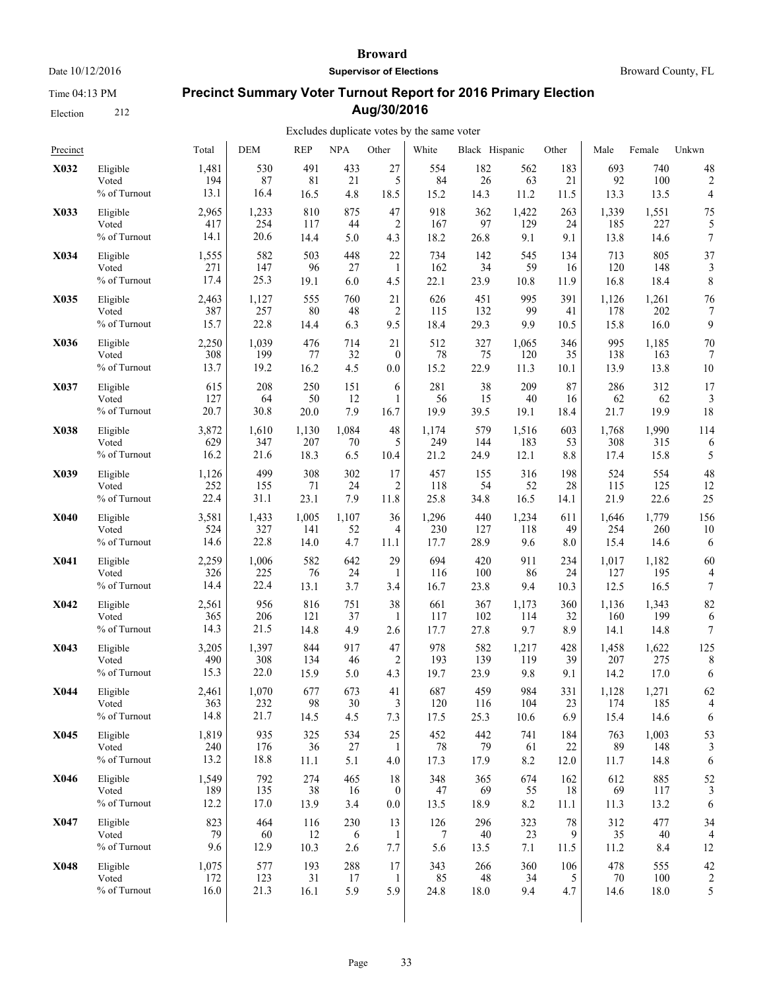Time 04:13 PM

Election 212

#### **Broward**

**Supervisor of Elections**

Broward County, FL

# **Precinct Summary Voter Turnout Report for 2016 Primary Election Aug/30/2016**

| Precinct    |                 | Total | <b>DEM</b> | <b>REP</b> | <b>NPA</b> | Other            | White | Black Hispanic |       | Other | Male  | Female | Unkwn                   |
|-------------|-----------------|-------|------------|------------|------------|------------------|-------|----------------|-------|-------|-------|--------|-------------------------|
| X032        | Eligible        | 1,481 | 530        | 491        | 433        | 27               | 554   | 182            | 562   | 183   | 693   | 740    | 48                      |
|             | Voted           | 194   | 87         | 81         | 21         | 5                | 84    | 26             | 63    | 21    | 92    | 100    | $\overline{c}$          |
|             | % of Turnout    | 13.1  | 16.4       | 16.5       | 4.8        | 18.5             | 15.2  | 14.3           | 11.2  | 11.5  | 13.3  | 13.5   | $\overline{4}$          |
| X033        | Eligible        | 2,965 | 1,233      | 810        | 875        | 47               | 918   | 362            | 1,422 | 263   | 1,339 | 1,551  | 75                      |
|             | Voted           | 417   | 254        | 117        | 44         | $\overline{2}$   | 167   | 97             | 129   | 24    | 185   | 227    | 5                       |
|             | % of Turnout    | 14.1  | 20.6       | 14.4       | 5.0        | 4.3              | 18.2  | 26.8           | 9.1   | 9.1   | 13.8  | 14.6   | $\boldsymbol{7}$        |
| X034        | Eligible        | 1,555 | 582        | 503        | 448        | 22               | 734   | 142            | 545   | 134   | 713   | 805    | 37                      |
|             | Voted           | 271   | 147        | 96         | 27         | 1                | 162   | 34             | 59    | 16    | 120   | 148    | 3                       |
|             | % of Turnout    | 17.4  | 25.3       | 19.1       | 6.0        | 4.5              | 22.1  | 23.9           | 10.8  | 11.9  | 16.8  | 18.4   | 8                       |
| X035        | Eligible        | 2,463 | 1,127      | 555        | 760        | 21               | 626   | 451            | 995   | 391   | 1,126 | 1,261  | 76                      |
|             | Voted           | 387   | 257        | 80         | 48         | 2                | 115   | 132            | 99    | 41    | 178   | 202    | 7                       |
|             | % of Turnout    | 15.7  | 22.8       | 14.4       | 6.3        | 9.5              | 18.4  | 29.3           | 9.9   | 10.5  | 15.8  | 16.0   | 9                       |
| X036        | Eligible        | 2,250 | 1,039      | 476        | 714        | 21               | 512   | 327            | 1,065 | 346   | 995   | 1,185  | 70                      |
|             | Voted           | 308   | 199        | 77         | 32         | $\boldsymbol{0}$ | 78    | 75             | 120   | 35    | 138   | 163    | 7                       |
|             | % of Turnout    | 13.7  | 19.2       | 16.2       | 4.5        | 0.0              | 15.2  | 22.9           | 11.3  | 10.1  | 13.9  | 13.8   | 10                      |
| X037        | Eligible        | 615   | 208        | 250        | 151        | 6                | 281   | 38             | 209   | 87    | 286   | 312    | 17                      |
|             | Voted           | 127   | 64         | 50         | 12         | 1                | 56    | 15             | 40    | 16    | 62    | 62     | 3                       |
|             | % of Turnout    | 20.7  | 30.8       | 20.0       | 7.9        | 16.7             | 19.9  | 39.5           | 19.1  | 18.4  | 21.7  | 19.9   | 18                      |
| X038        | Eligible        | 3,872 | 1,610      | 1,130      | 1,084      | 48               | 1,174 | 579            | 1,516 | 603   | 1,768 | 1,990  | 114                     |
|             | Voted           | 629   | 347        | 207        | 70         | 5                | 249   | 144            | 183   | 53    | 308   | 315    | 6                       |
|             | % of Turnout    | 16.2  | 21.6       | 18.3       | 6.5        | 10.4             | 21.2  | 24.9           | 12.1  | 8.8   | 17.4  | 15.8   | 5                       |
| X039        | Eligible        | 1,126 | 499        | 308        | 302        | 17               | 457   | 155            | 316   | 198   | 524   | 554    | 48                      |
|             | Voted           | 252   | 155        | 71         | 24         | 2                | 118   | 54             | 52    | 28    | 115   | 125    | 12                      |
|             | % of Turnout    | 22.4  | 31.1       | 23.1       | 7.9        | 11.8             | 25.8  | 34.8           | 16.5  | 14.1  | 21.9  | 22.6   | 25                      |
| <b>X040</b> | Eligible        | 3,581 | 1,433      | 1,005      | 1,107      | 36               | 1,296 | 440            | 1,234 | 611   | 1,646 | 1,779  | 156                     |
|             | Voted           | 524   | 327        | 141        | 52         | $\overline{4}$   | 230   | 127            | 118   | 49    | 254   | 260    | 10                      |
|             | % of Turnout    | 14.6  | 22.8       | 14.0       | 4.7        | 11.1             | 17.7  | 28.9           | 9.6   | 8.0   | 15.4  | 14.6   | 6                       |
| X041        | Eligible        | 2,259 | 1,006      | 582        | 642        | 29               | 694   | 420            | 911   | 234   | 1,017 | 1,182  | 60                      |
|             | Voted           | 326   | 225        | 76         | 24         | 1                | 116   | 100            | 86    | 24    | 127   | 195    | 4                       |
|             | % of Turnout    | 14.4  | 22.4       | 13.1       | 3.7        | 3.4              | 16.7  | 23.8           | 9.4   | 10.3  | 12.5  | 16.5   | 7                       |
| <b>X042</b> | Eligible        | 2,561 | 956        | 816        | 751        | 38               | 661   | 367            | 1,173 | 360   | 1,136 | 1,343  | 82                      |
|             | Voted           | 365   | 206        | 121        | 37         | 1                | 117   | 102            | 114   | 32    | 160   | 199    | 6                       |
|             | % of Turnout    | 14.3  | 21.5       | 14.8       | 4.9        | 2.6              | 17.7  | 27.8           | 9.7   | 8.9   | 14.1  | 14.8   | $\boldsymbol{7}$        |
| X043        | Eligible        | 3,205 | 1,397      | 844        | 917        | 47               | 978   | 582            | 1,217 | 428   | 1,458 | 1,622  | 125                     |
|             | Voted           | 490   | 308        | 134        | 46         | 2                | 193   | 139            | 119   | 39    | 207   | 275    | 8                       |
|             | % of Turnout    | 15.3  | 22.0       | 15.9       | 5.0        | 4.3              | 19.7  | 23.9           | 9.8   | 9.1   | 14.2  | 17.0   | 6                       |
| X044        | Eligible        | 2,461 | 1,070      | 677        | 673        | 41               | 687   | 459            | 984   | 331   | 1,128 | 1,271  | 62                      |
|             | Voted           | 363   | 232        | 98         | 30         | 3                | 120   | 116            | 104   | 23    | 174   | 185    | 4                       |
|             | $\%$ of Turnout | 14.8  | 21.7       | 14.5       | 4.5        | 7.3              | 17.5  | 25.3           | 10.6  | 6.9   | 15.4  | 14.6   | 6                       |
| X045        | Eligible        | 1,819 | 935        | 325        | 534        | 25               | 452   | 442            | 741   | 184   | 763   | 1,003  | 53                      |
|             | Voted           | 240   | 176        | 36         | 27         | 1                | 78    | 79             | 61    | 22    | 89    | 148    | 3                       |
|             | % of Turnout    | 13.2  | 18.8       | 11.1       | 5.1        | 4.0              | 17.3  | 17.9           | 8.2   | 12.0  | 11.7  | 14.8   | 6                       |
| X046        | Eligible        | 1,549 | 792        | 274        | 465        | 18               | 348   | 365            | 674   | 162   | 612   | 885    | 52                      |
|             | Voted           | 189   | 135        | 38         | 16         | $\overline{0}$   | 47    | 69             | 55    | 18    | 69    | 117    | 3                       |
|             | % of Turnout    | 12.2  | 17.0       | 13.9       | 3.4        | $0.0\,$          | 13.5  | 18.9           | 8.2   | 11.1  | 11.3  | 13.2   | 6                       |
| X047        | Eligible        | 823   | 464        | 116        | 230        | 13               | 126   | 296            | 323   | 78    | 312   | 477    | 34                      |
|             | Voted           | 79    | 60         | 12         | 6          | $\mathbf{1}$     | 7     | 40             | 23    | 9     | 35    | $40\,$ | $\overline{4}$          |
|             | % of Turnout    | 9.6   | 12.9       | 10.3       | 2.6        | 7.7              | 5.6   | 13.5           | 7.1   | 11.5  | 11.2  | 8.4    | 12                      |
| X048        | Eligible        | 1,075 | 577        | 193        | 288        | 17               | 343   | 266            | 360   | 106   | 478   | 555    | 42                      |
|             | Voted           | 172   | 123        | 31         | 17         | 1                | 85    | 48             | 34    | 5     | 70    | 100    | $\overline{\mathbf{c}}$ |
|             | % of Turnout    | 16.0  | 21.3       | 16.1       | 5.9        | 5.9              | 24.8  | 18.0           | 9.4   | 4.7   | 14.6  | 18.0   | 5                       |
|             |                 |       |            |            |            |                  |       |                |       |       |       |        |                         |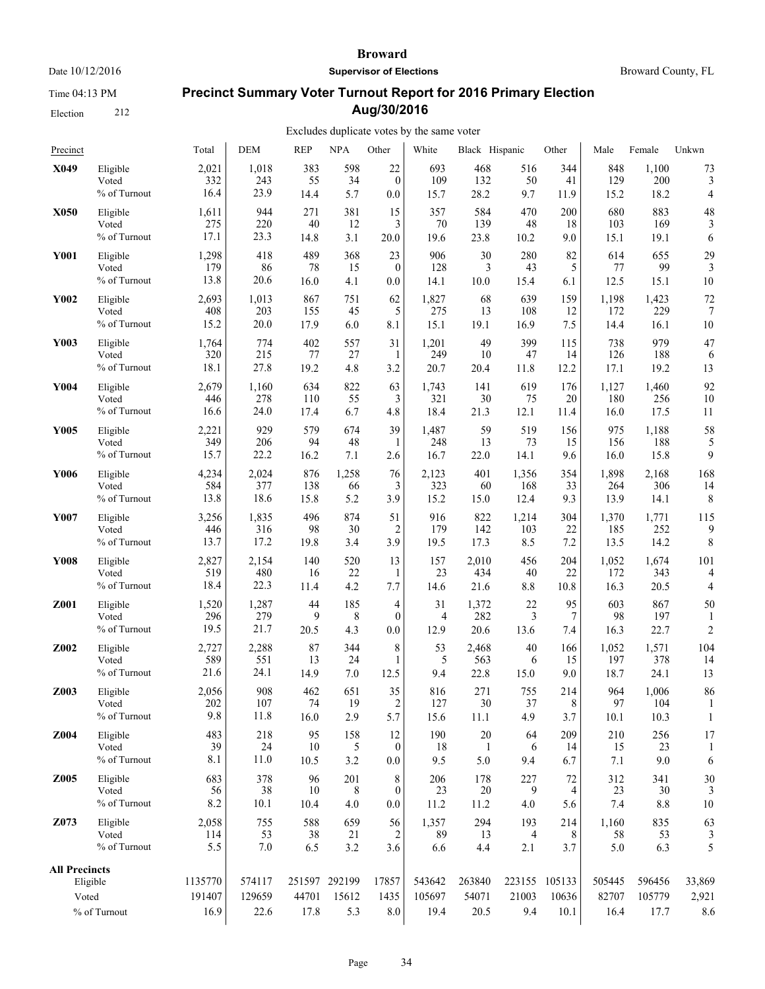Time 04:13 PM

Election 212

#### **Broward**

**Supervisor of Elections**

Broward County, FL

# **Precinct Summary Voter Turnout Report for 2016 Primary Election Aug/30/2016**

| Precinct                      |                                   | Total                     | <b>DEM</b>               | <b>REP</b>       | <b>NPA</b>                    | Other                        | White                    | Black Hispanic          |                 | Other                          | Male                    | Female                   | Unkwn                  |
|-------------------------------|-----------------------------------|---------------------------|--------------------------|------------------|-------------------------------|------------------------------|--------------------------|-------------------------|-----------------|--------------------------------|-------------------------|--------------------------|------------------------|
| X049                          | Eligible                          | 2,021                     | 1,018                    | 383              | 598                           | 22                           | 693                      | 468                     | 516             | 344                            | 848                     | 1,100                    | 73                     |
|                               | Voted                             | 332                       | 243                      | 55               | 34                            | $\boldsymbol{0}$             | 109                      | 132                     | 50              | 41                             | 129                     | 200                      | 3                      |
|                               | % of Turnout                      | 16.4                      | 23.9                     | 14.4             | 5.7                           | 0.0                          | 15.7                     | 28.2                    | 9.7             | 11.9                           | 15.2                    | 18.2                     | 4                      |
| X050                          | Eligible                          | 1,611                     | 944                      | 271              | 381                           | 15                           | 357                      | 584                     | 470             | 200                            | 680                     | 883                      | 48                     |
|                               | Voted                             | 275                       | 220                      | 40               | 12                            | 3                            | 70                       | 139                     | 48              | 18                             | 103                     | 169                      | 3                      |
|                               | % of Turnout                      | 17.1                      | 23.3                     | 14.8             | 3.1                           | $20.0\,$                     | 19.6                     | 23.8                    | 10.2            | 9.0                            | 15.1                    | 19.1                     | 6                      |
| <b>Y001</b>                   | Eligible                          | 1,298                     | 418                      | 489              | 368                           | 23                           | 906                      | 30                      | 280             | 82                             | 614                     | 655                      | 29                     |
|                               | Voted                             | 179                       | 86                       | 78               | 15                            | $\mathbf{0}$                 | 128                      | 3                       | 43              | 5                              | 77                      | 99                       | 3                      |
|                               | % of Turnout                      | 13.8                      | 20.6                     | 16.0             | 4.1                           | 0.0                          | 14.1                     | 10.0                    | 15.4            | 6.1                            | 12.5                    | 15.1                     | 10                     |
| Y002                          | Eligible                          | 2,693                     | 1,013                    | 867              | 751                           | 62                           | 1,827                    | 68                      | 639             | 159                            | 1,198                   | 1,423                    | 72                     |
|                               | Voted                             | 408                       | 203                      | 155              | 45                            | 5                            | 275                      | 13                      | 108             | 12                             | 172                     | 229                      | 7                      |
|                               | % of Turnout                      | 15.2                      | 20.0                     | 17.9             | 6.0                           | 8.1                          | 15.1                     | 19.1                    | 16.9            | 7.5                            | 14.4                    | 16.1                     | 10                     |
| Y003                          | Eligible                          | 1,764                     | 774                      | 402              | 557                           | 31                           | 1,201                    | 49                      | 399             | 115                            | 738                     | 979                      | 47                     |
|                               | Voted                             | 320                       | 215                      | 77               | 27                            | 1                            | 249                      | 10                      | 47              | 14                             | 126                     | 188                      | 6                      |
|                               | % of Turnout                      | 18.1                      | 27.8                     | 19.2             | 4.8                           | 3.2                          | 20.7                     | 20.4                    | 11.8            | 12.2                           | 17.1                    | 19.2                     | 13                     |
| Y004                          | Eligible                          | 2,679                     | 1,160                    | 634              | 822                           | 63                           | 1,743                    | 141                     | 619             | 176                            | 1,127                   | 1,460                    | 92                     |
|                               | Voted                             | 446                       | 278                      | 110              | 55                            | 3                            | 321                      | 30                      | 75              | 20                             | 180                     | 256                      | 10                     |
|                               | % of Turnout                      | 16.6                      | 24.0                     | 17.4             | 6.7                           | 4.8                          | 18.4                     | 21.3                    | 12.1            | 11.4                           | 16.0                    | 17.5                     | 11                     |
| <b>Y005</b>                   | Eligible                          | 2,221                     | 929                      | 579              | 674                           | 39                           | 1,487                    | 59                      | 519             | 156                            | 975                     | 1,188                    | 58                     |
|                               | Voted                             | 349                       | 206                      | 94               | 48                            | 1                            | 248                      | 13                      | 73              | 15                             | 156                     | 188                      | 5                      |
|                               | % of Turnout                      | 15.7                      | 22.2                     | 16.2             | 7.1                           | 2.6                          | 16.7                     | 22.0                    | 14.1            | 9.6                            | 16.0                    | 15.8                     | 9                      |
| Y006                          | Eligible                          | 4,234                     | 2,024                    | 876              | 1,258                         | 76                           | 2,123                    | 401                     | 1,356           | 354                            | 1,898                   | 2,168                    | 168                    |
|                               | Voted                             | 584                       | 377                      | 138              | 66                            | 3                            | 323                      | 60                      | 168             | 33                             | 264                     | 306                      | 14                     |
|                               | % of Turnout                      | 13.8                      | 18.6                     | 15.8             | 5.2                           | 3.9                          | 15.2                     | 15.0                    | 12.4            | 9.3                            | 13.9                    | 14.1                     | 8                      |
| Y007                          | Eligible                          | 3,256                     | 1,835                    | 496              | 874                           | 51                           | 916                      | 822                     | 1,214           | 304                            | 1,370                   | 1,771                    | 115                    |
|                               | Voted                             | 446                       | 316                      | 98               | 30                            | 2                            | 179                      | 142                     | 103             | 22                             | 185                     | 252                      | 9                      |
|                               | % of Turnout                      | 13.7                      | 17.2                     | 19.8             | 3.4                           | 3.9                          | 19.5                     | 17.3                    | 8.5             | 7.2                            | 13.5                    | 14.2                     | 8                      |
| <b>Y008</b>                   | Eligible                          | 2,827                     | 2,154                    | 140              | 520                           | 13                           | 157                      | 2,010                   | 456             | 204                            | 1,052                   | 1,674                    | 101                    |
|                               | Voted                             | 519                       | 480                      | 16               | 22                            | 1                            | 23                       | 434                     | 40              | 22                             | 172                     | 343                      | 4                      |
|                               | % of Turnout                      | 18.4                      | 22.3                     | 11.4             | 4.2                           | 7.7                          | 14.6                     | 21.6                    | 8.8             | 10.8                           | 16.3                    | 20.5                     | 4                      |
| Z001                          | Eligible                          | 1,520                     | 1,287                    | 44               | 185                           | 4                            | 31                       | 1,372                   | 22              | 95                             | 603                     | 867                      | 50                     |
|                               | Voted                             | 296                       | 279                      | 9                | 8                             | $\boldsymbol{0}$             | 4                        | 282                     | 3               | 7                              | 98                      | 197                      | 1                      |
|                               | % of Turnout                      | 19.5                      | 21.7                     | 20.5             | 4.3                           | 0.0                          | 12.9                     | 20.6                    | 13.6            | 7.4                            | 16.3                    | 22.7                     | $\overline{c}$         |
| Z002                          | Eligible                          | 2,727                     | 2,288                    | 87               | 344                           | 8                            | 53                       | 2,468                   | 40              | 166                            | 1,052                   | 1,571                    | 104                    |
|                               | Voted                             | 589                       | 551                      | 13               | 24                            | 1                            | 5                        | 563                     | 6               | 15                             | 197                     | 378                      | 14                     |
|                               | % of Turnout                      | 21.6                      | 24.1                     | 14.9             | 7.0                           | 12.5                         | 9.4                      | 22.8                    | 15.0            | 9.0                            | 18.7                    | 24.1                     | 13                     |
| Z003                          | Eligible                          | 2,056                     | 908                      | 462              | 651                           | 35                           | 816                      | 271                     | 755             | 214                            | 964                     | 1.006                    | 86                     |
|                               | Voted                             | 202                       | 107                      | 74               | 19                            | 2                            | 127                      | $30\,$                  | 37              | 8                              | 97                      | 104                      | 1                      |
|                               | % of Turnout                      | 9.8                       | 11.8                     | 16.0             | 2.9                           | 5.7                          | 15.6                     | 11.1                    | 4.9             | 3.7                            | 10.1                    | 10.3                     | 1                      |
| Z004                          | Eligible                          | 483                       | 218                      | 95               | 158                           | 12                           | 190                      | 20                      | 64              | 209                            | 210                     | 256                      | 17                     |
|                               | Voted                             | 39                        | 24                       | 10               | 5                             | $\boldsymbol{0}$             | 18                       | 1                       | 6               | 14                             | 15                      | 23                       | 1                      |
|                               | % of Turnout                      | 8.1                       | 11.0                     | 10.5             | 3.2                           | 0.0                          | 9.5                      | 5.0                     | 9.4             | 6.7                            | 7.1                     | 9.0                      | 6                      |
| Z005                          | Eligible<br>Voted<br>% of Turnout | 683<br>56<br>8.2          | 378<br>38<br>10.1        | 96<br>10<br>10.4 | 201<br>8<br>4.0               | 8<br>$\boldsymbol{0}$<br>0.0 | 206<br>23<br>11.2        | 178<br>20<br>11.2       | 227<br>9<br>4.0 | 72<br>4<br>5.6                 | 312<br>23<br>7.4        | 341<br>30<br>$8.8\,$     | 30<br>10               |
| Z073                          | Eligible                          | 2,058                     | 755                      | 588              | 659                           | 56                           | 1,357                    | 294                     | 193             | 214                            | 1,160                   | 835                      | 63                     |
|                               | Voted                             | 114                       | 53                       | 38               | 21                            | 2                            | 89                       | 13                      | 4               | 8                              | 58                      | 53                       | 3                      |
|                               | % of Turnout                      | 5.5                       | $7.0\,$                  | 6.5              | 3.2                           | 3.6                          | 6.6                      | 4.4                     | 2.1             | 3.7                            | $5.0$                   | 6.3                      | 5                      |
| <b>All Precincts</b><br>Voted | Eligible<br>% of Turnout          | 1135770<br>191407<br>16.9 | 574117<br>129659<br>22.6 | 44701<br>17.8    | 251597 292199<br>15612<br>5.3 | 17857<br>1435<br>8.0         | 543642<br>105697<br>19.4 | 263840<br>54071<br>20.5 | 21003<br>9.4    | 223155 105133<br>10636<br>10.1 | 505445<br>82707<br>16.4 | 596456<br>105779<br>17.7 | 33,869<br>2,921<br>8.6 |
|                               |                                   |                           |                          |                  |                               |                              |                          |                         |                 |                                |                         |                          |                        |